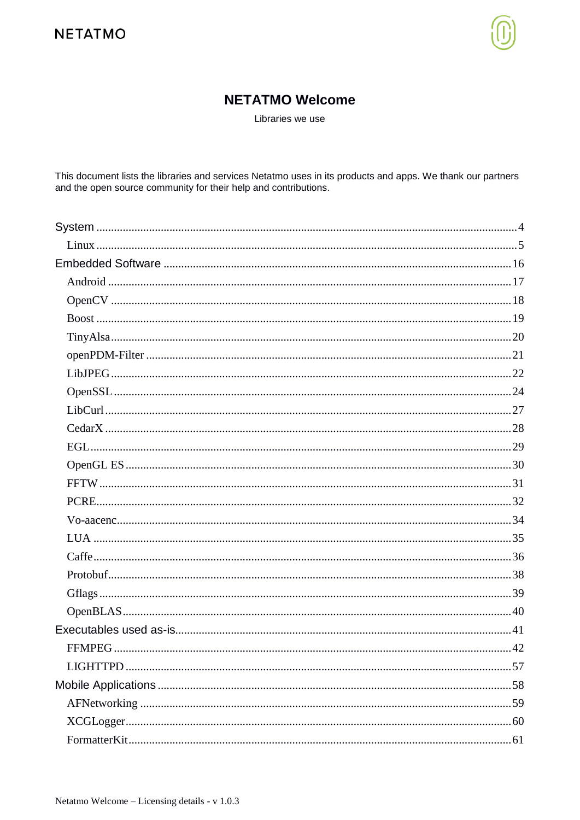

#### **NETATMO Welcome**

Libraries we use

This document lists the libraries and services Netatmo uses in its products and apps. We thank our partners and the open source community for their help and contributions.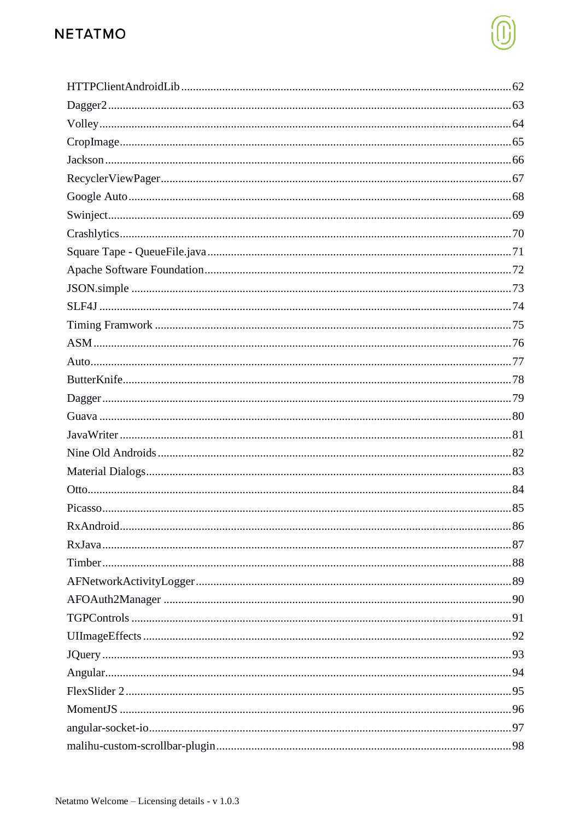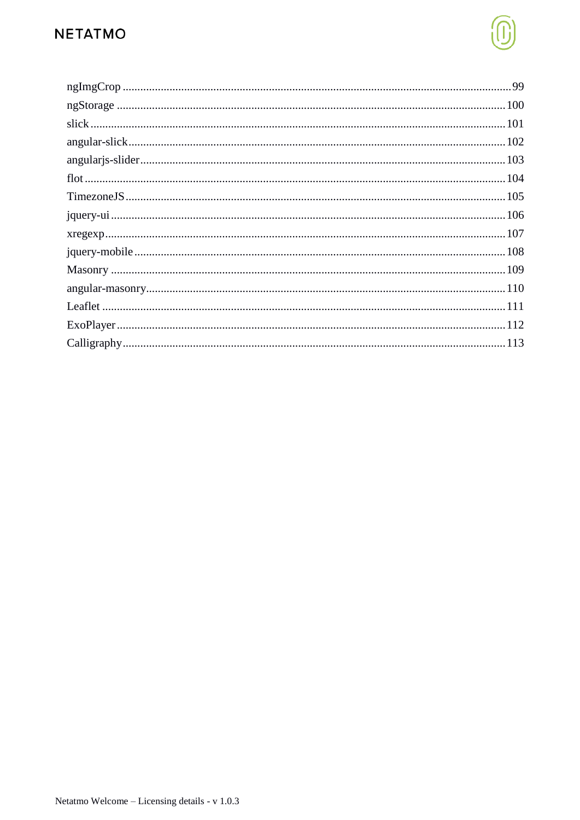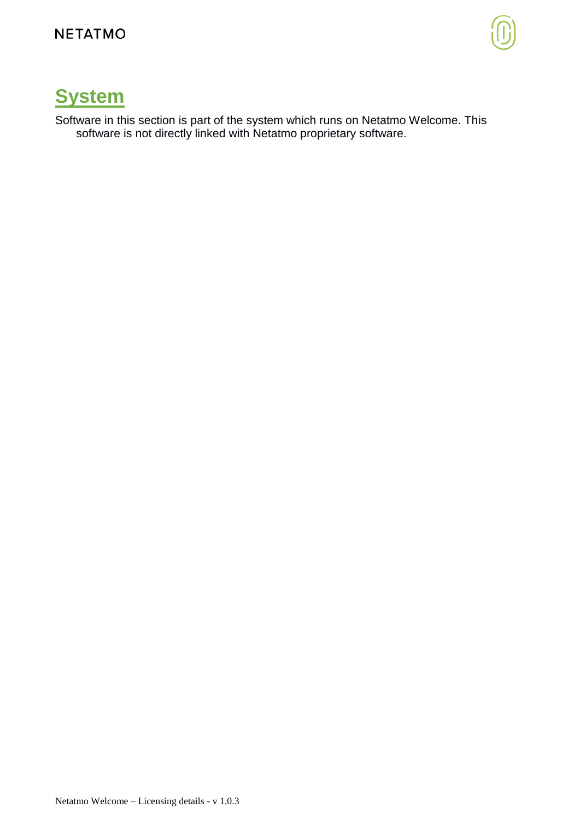

# <span id="page-3-0"></span>**System**

Software in this section is part of the system which runs on Netatmo Welcome. This software is not directly linked with Netatmo proprietary software.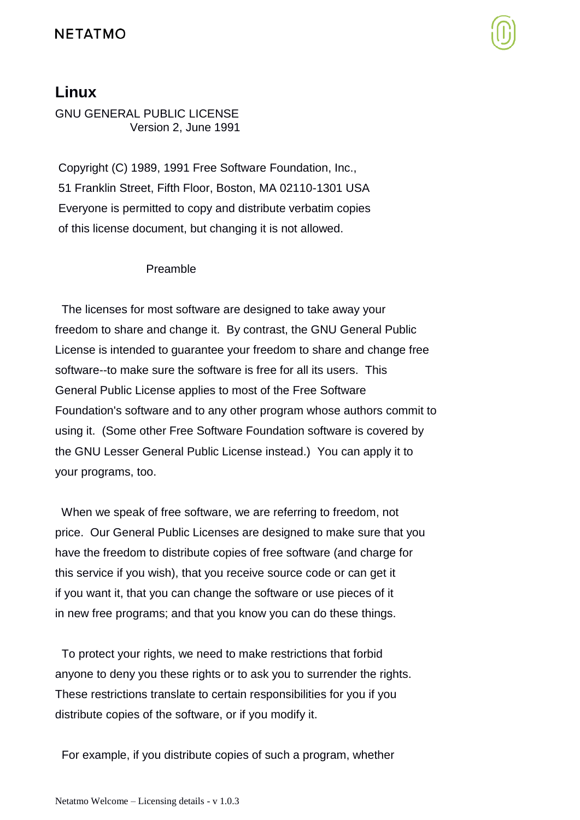

#### <span id="page-4-0"></span>**Linux** GNU GENERAL PUBLIC LICENSE Version 2, June 1991

Copyright (C) 1989, 1991 Free Software Foundation, Inc., 51 Franklin Street, Fifth Floor, Boston, MA 02110-1301 USA Everyone is permitted to copy and distribute verbatim copies of this license document, but changing it is not allowed.

#### Preamble

 The licenses for most software are designed to take away your freedom to share and change it. By contrast, the GNU General Public License is intended to guarantee your freedom to share and change free software--to make sure the software is free for all its users. This General Public License applies to most of the Free Software Foundation's software and to any other program whose authors commit to using it. (Some other Free Software Foundation software is covered by the GNU Lesser General Public License instead.) You can apply it to your programs, too.

 When we speak of free software, we are referring to freedom, not price. Our General Public Licenses are designed to make sure that you have the freedom to distribute copies of free software (and charge for this service if you wish), that you receive source code or can get it if you want it, that you can change the software or use pieces of it in new free programs; and that you know you can do these things.

 To protect your rights, we need to make restrictions that forbid anyone to deny you these rights or to ask you to surrender the rights. These restrictions translate to certain responsibilities for you if you distribute copies of the software, or if you modify it.

For example, if you distribute copies of such a program, whether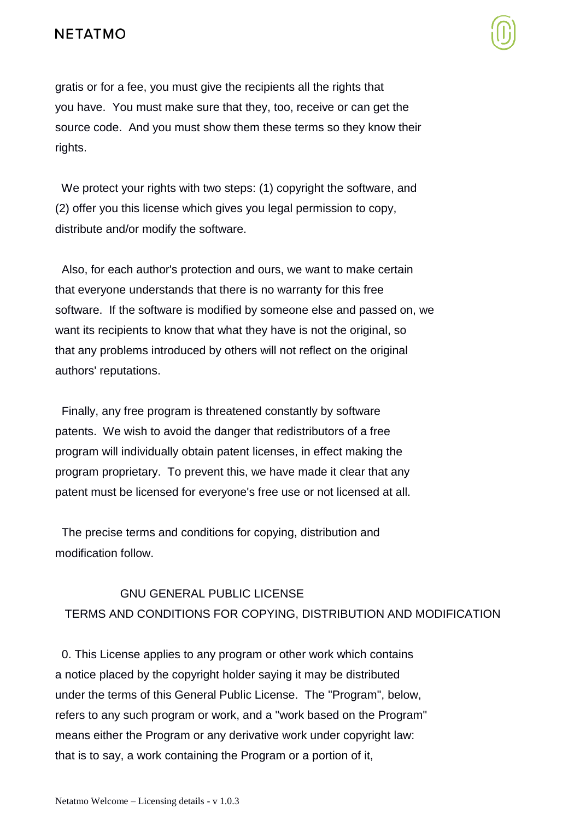gratis or for a fee, you must give the recipients all the rights that you have. You must make sure that they, too, receive or can get the source code. And you must show them these terms so they know their rights.

We protect your rights with two steps: (1) copyright the software, and (2) offer you this license which gives you legal permission to copy, distribute and/or modify the software.

 Also, for each author's protection and ours, we want to make certain that everyone understands that there is no warranty for this free software. If the software is modified by someone else and passed on, we want its recipients to know that what they have is not the original, so that any problems introduced by others will not reflect on the original authors' reputations.

 Finally, any free program is threatened constantly by software patents. We wish to avoid the danger that redistributors of a free program will individually obtain patent licenses, in effect making the program proprietary. To prevent this, we have made it clear that any patent must be licensed for everyone's free use or not licensed at all.

 The precise terms and conditions for copying, distribution and modification follow.

### GNU GENERAL PUBLIC LICENSE TERMS AND CONDITIONS FOR COPYING, DISTRIBUTION AND MODIFICATION

 0. This License applies to any program or other work which contains a notice placed by the copyright holder saying it may be distributed under the terms of this General Public License. The "Program", below, refers to any such program or work, and a "work based on the Program" means either the Program or any derivative work under copyright law: that is to say, a work containing the Program or a portion of it,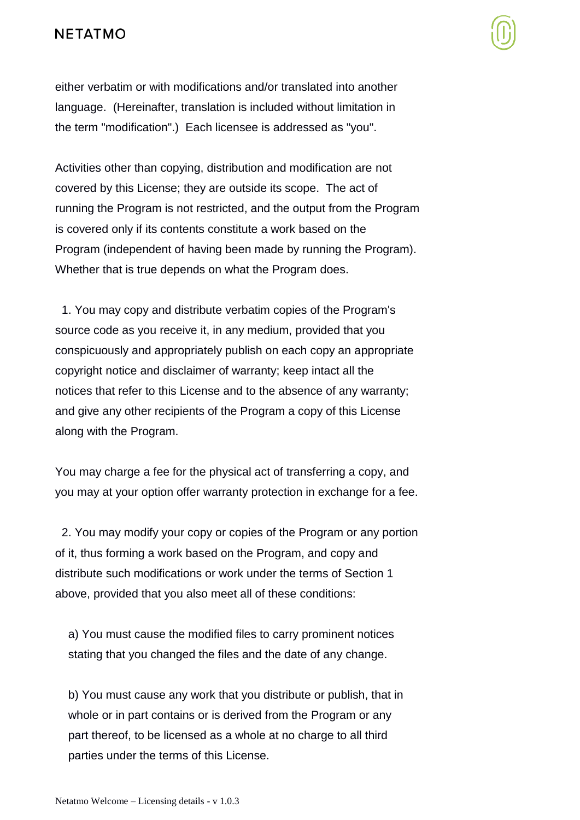either verbatim or with modifications and/or translated into another language. (Hereinafter, translation is included without limitation in the term "modification".) Each licensee is addressed as "you".

Activities other than copying, distribution and modification are not covered by this License; they are outside its scope. The act of running the Program is not restricted, and the output from the Program is covered only if its contents constitute a work based on the Program (independent of having been made by running the Program). Whether that is true depends on what the Program does.

 1. You may copy and distribute verbatim copies of the Program's source code as you receive it, in any medium, provided that you conspicuously and appropriately publish on each copy an appropriate copyright notice and disclaimer of warranty; keep intact all the notices that refer to this License and to the absence of any warranty; and give any other recipients of the Program a copy of this License along with the Program.

You may charge a fee for the physical act of transferring a copy, and you may at your option offer warranty protection in exchange for a fee.

 2. You may modify your copy or copies of the Program or any portion of it, thus forming a work based on the Program, and copy and distribute such modifications or work under the terms of Section 1 above, provided that you also meet all of these conditions:

 a) You must cause the modified files to carry prominent notices stating that you changed the files and the date of any change.

 b) You must cause any work that you distribute or publish, that in whole or in part contains or is derived from the Program or any part thereof, to be licensed as a whole at no charge to all third parties under the terms of this License.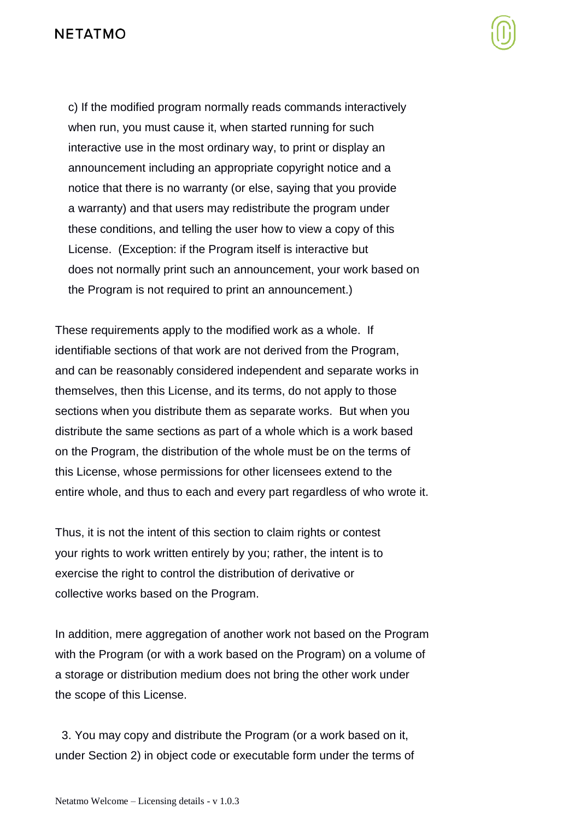c) If the modified program normally reads commands interactively when run, you must cause it, when started running for such interactive use in the most ordinary way, to print or display an announcement including an appropriate copyright notice and a notice that there is no warranty (or else, saying that you provide a warranty) and that users may redistribute the program under these conditions, and telling the user how to view a copy of this License. (Exception: if the Program itself is interactive but does not normally print such an announcement, your work based on the Program is not required to print an announcement.)

These requirements apply to the modified work as a whole. If identifiable sections of that work are not derived from the Program, and can be reasonably considered independent and separate works in themselves, then this License, and its terms, do not apply to those sections when you distribute them as separate works. But when you distribute the same sections as part of a whole which is a work based on the Program, the distribution of the whole must be on the terms of this License, whose permissions for other licensees extend to the entire whole, and thus to each and every part regardless of who wrote it.

Thus, it is not the intent of this section to claim rights or contest your rights to work written entirely by you; rather, the intent is to exercise the right to control the distribution of derivative or collective works based on the Program.

In addition, mere aggregation of another work not based on the Program with the Program (or with a work based on the Program) on a volume of a storage or distribution medium does not bring the other work under the scope of this License.

 3. You may copy and distribute the Program (or a work based on it, under Section 2) in object code or executable form under the terms of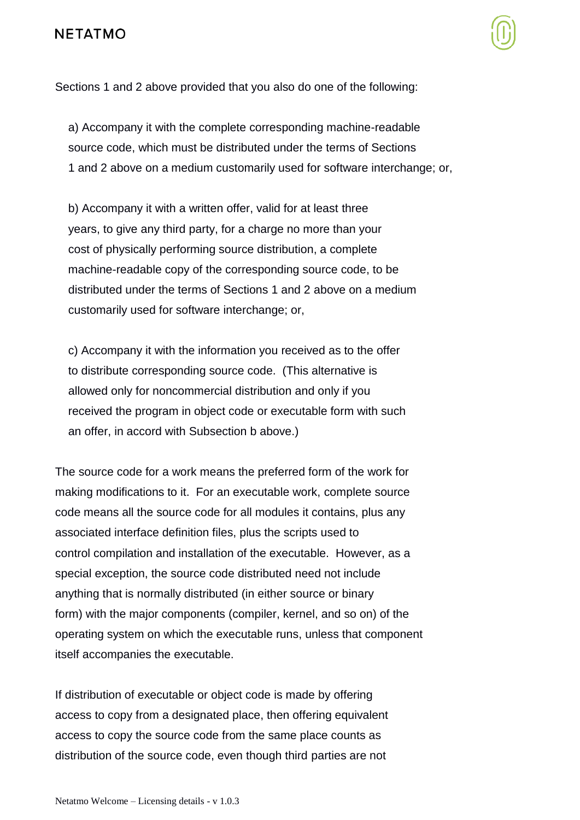Sections 1 and 2 above provided that you also do one of the following:

 a) Accompany it with the complete corresponding machine-readable source code, which must be distributed under the terms of Sections 1 and 2 above on a medium customarily used for software interchange; or,

 b) Accompany it with a written offer, valid for at least three years, to give any third party, for a charge no more than your cost of physically performing source distribution, a complete machine-readable copy of the corresponding source code, to be distributed under the terms of Sections 1 and 2 above on a medium customarily used for software interchange; or,

 c) Accompany it with the information you received as to the offer to distribute corresponding source code. (This alternative is allowed only for noncommercial distribution and only if you received the program in object code or executable form with such an offer, in accord with Subsection b above.)

The source code for a work means the preferred form of the work for making modifications to it. For an executable work, complete source code means all the source code for all modules it contains, plus any associated interface definition files, plus the scripts used to control compilation and installation of the executable. However, as a special exception, the source code distributed need not include anything that is normally distributed (in either source or binary form) with the major components (compiler, kernel, and so on) of the operating system on which the executable runs, unless that component itself accompanies the executable.

If distribution of executable or object code is made by offering access to copy from a designated place, then offering equivalent access to copy the source code from the same place counts as distribution of the source code, even though third parties are not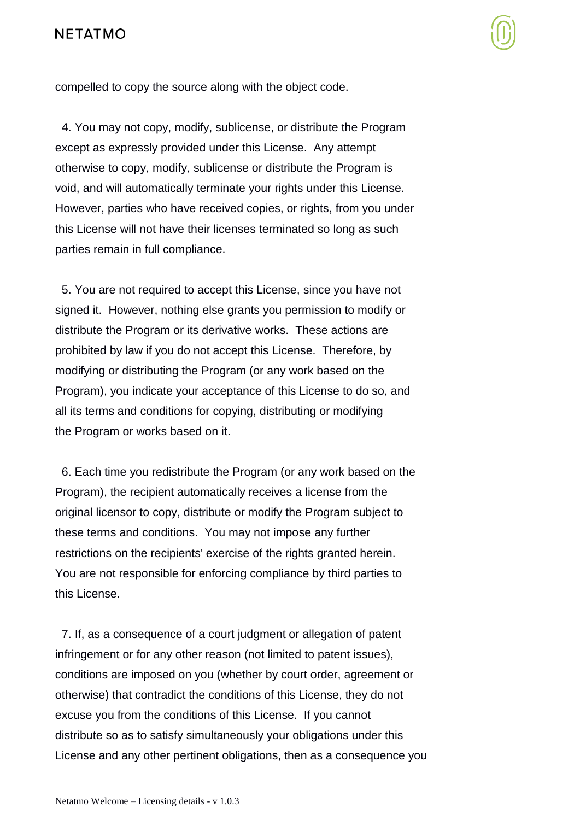compelled to copy the source along with the object code.

 4. You may not copy, modify, sublicense, or distribute the Program except as expressly provided under this License. Any attempt otherwise to copy, modify, sublicense or distribute the Program is void, and will automatically terminate your rights under this License. However, parties who have received copies, or rights, from you under this License will not have their licenses terminated so long as such parties remain in full compliance.

 5. You are not required to accept this License, since you have not signed it. However, nothing else grants you permission to modify or distribute the Program or its derivative works. These actions are prohibited by law if you do not accept this License. Therefore, by modifying or distributing the Program (or any work based on the Program), you indicate your acceptance of this License to do so, and all its terms and conditions for copying, distributing or modifying the Program or works based on it.

 6. Each time you redistribute the Program (or any work based on the Program), the recipient automatically receives a license from the original licensor to copy, distribute or modify the Program subject to these terms and conditions. You may not impose any further restrictions on the recipients' exercise of the rights granted herein. You are not responsible for enforcing compliance by third parties to this License.

 7. If, as a consequence of a court judgment or allegation of patent infringement or for any other reason (not limited to patent issues), conditions are imposed on you (whether by court order, agreement or otherwise) that contradict the conditions of this License, they do not excuse you from the conditions of this License. If you cannot distribute so as to satisfy simultaneously your obligations under this License and any other pertinent obligations, then as a consequence you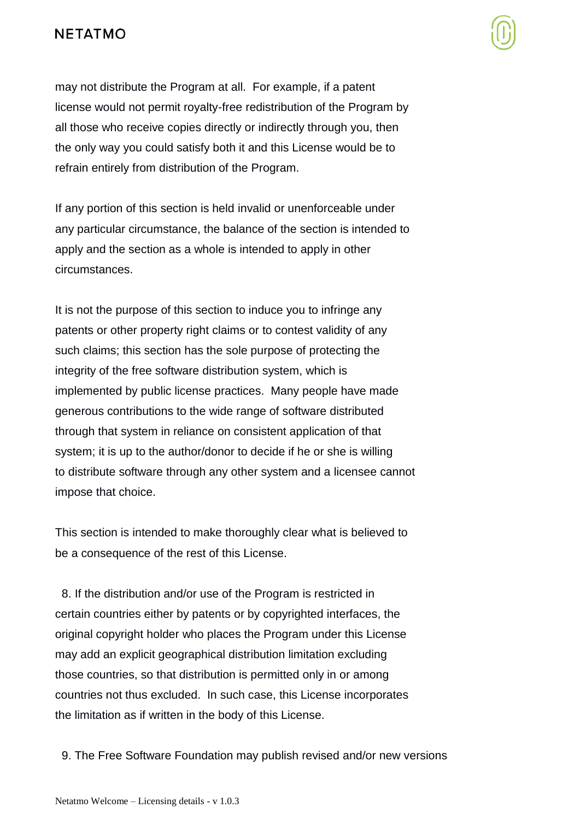may not distribute the Program at all. For example, if a patent license would not permit royalty-free redistribution of the Program by all those who receive copies directly or indirectly through you, then the only way you could satisfy both it and this License would be to refrain entirely from distribution of the Program.

If any portion of this section is held invalid or unenforceable under any particular circumstance, the balance of the section is intended to apply and the section as a whole is intended to apply in other circumstances.

It is not the purpose of this section to induce you to infringe any patents or other property right claims or to contest validity of any such claims; this section has the sole purpose of protecting the integrity of the free software distribution system, which is implemented by public license practices. Many people have made generous contributions to the wide range of software distributed through that system in reliance on consistent application of that system; it is up to the author/donor to decide if he or she is willing to distribute software through any other system and a licensee cannot impose that choice.

This section is intended to make thoroughly clear what is believed to be a consequence of the rest of this License.

 8. If the distribution and/or use of the Program is restricted in certain countries either by patents or by copyrighted interfaces, the original copyright holder who places the Program under this License may add an explicit geographical distribution limitation excluding those countries, so that distribution is permitted only in or among countries not thus excluded. In such case, this License incorporates the limitation as if written in the body of this License.

9. The Free Software Foundation may publish revised and/or new versions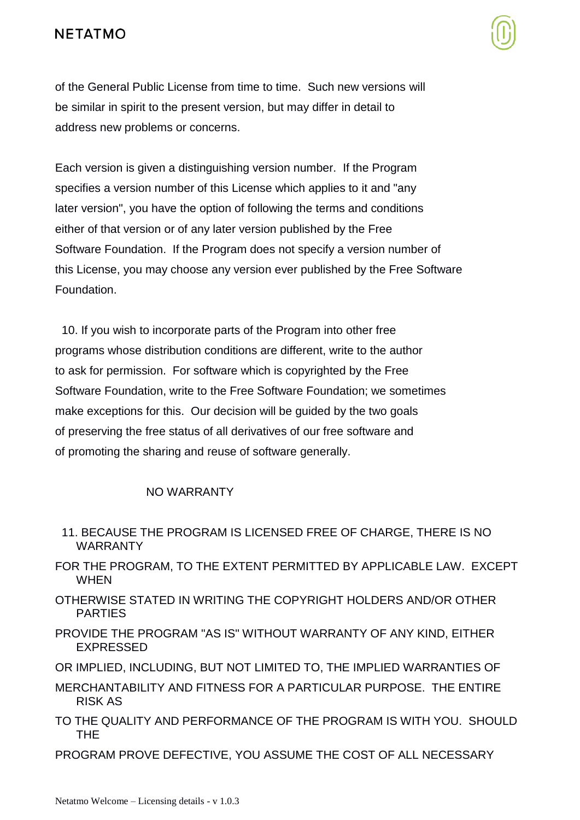of the General Public License from time to time. Such new versions will be similar in spirit to the present version, but may differ in detail to address new problems or concerns.

Each version is given a distinguishing version number. If the Program specifies a version number of this License which applies to it and "any later version", you have the option of following the terms and conditions either of that version or of any later version published by the Free Software Foundation. If the Program does not specify a version number of this License, you may choose any version ever published by the Free Software Foundation.

 10. If you wish to incorporate parts of the Program into other free programs whose distribution conditions are different, write to the author to ask for permission. For software which is copyrighted by the Free Software Foundation, write to the Free Software Foundation; we sometimes make exceptions for this. Our decision will be guided by the two goals of preserving the free status of all derivatives of our free software and of promoting the sharing and reuse of software generally.

#### NO WARRANTY

- 11. BECAUSE THE PROGRAM IS LICENSED FREE OF CHARGE, THERE IS NO WARRANTY
- FOR THE PROGRAM, TO THE EXTENT PERMITTED BY APPLICABLE LAW. EXCEPT **WHEN**
- OTHERWISE STATED IN WRITING THE COPYRIGHT HOLDERS AND/OR OTHER PARTIES
- PROVIDE THE PROGRAM "AS IS" WITHOUT WARRANTY OF ANY KIND, EITHER EXPRESSED

OR IMPLIED, INCLUDING, BUT NOT LIMITED TO, THE IMPLIED WARRANTIES OF

- MERCHANTABILITY AND FITNESS FOR A PARTICULAR PURPOSE. THE ENTIRE RISK AS
- TO THE QUALITY AND PERFORMANCE OF THE PROGRAM IS WITH YOU. SHOULD THE
- PROGRAM PROVE DEFECTIVE, YOU ASSUME THE COST OF ALL NECESSARY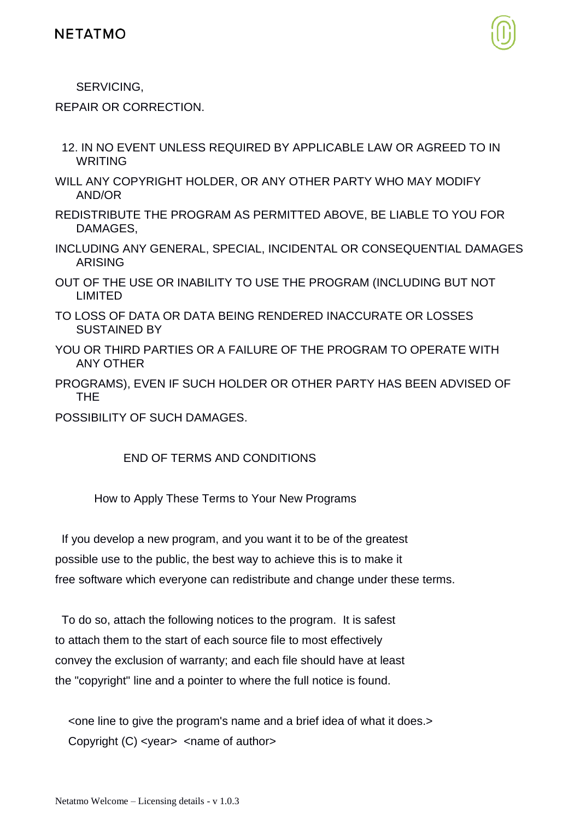

SERVICING,

REPAIR OR CORRECTION.

- 12. IN NO EVENT UNLESS REQUIRED BY APPLICABLE LAW OR AGREED TO IN WRITING
- WILL ANY COPYRIGHT HOLDER, OR ANY OTHER PARTY WHO MAY MODIFY AND/OR
- REDISTRIBUTE THE PROGRAM AS PERMITTED ABOVE, BE LIABLE TO YOU FOR DAMAGES,
- INCLUDING ANY GENERAL, SPECIAL, INCIDENTAL OR CONSEQUENTIAL DAMAGES ARISING
- OUT OF THE USE OR INABILITY TO USE THE PROGRAM (INCLUDING BUT NOT LIMITED
- TO LOSS OF DATA OR DATA BEING RENDERED INACCURATE OR LOSSES SUSTAINED BY
- YOU OR THIRD PARTIES OR A FAILURE OF THE PROGRAM TO OPERATE WITH ANY OTHER
- PROGRAMS), EVEN IF SUCH HOLDER OR OTHER PARTY HAS BEEN ADVISED OF THE

POSSIBILITY OF SUCH DAMAGES.

#### END OF TERMS AND CONDITIONS

How to Apply These Terms to Your New Programs

 If you develop a new program, and you want it to be of the greatest possible use to the public, the best way to achieve this is to make it free software which everyone can redistribute and change under these terms.

 To do so, attach the following notices to the program. It is safest to attach them to the start of each source file to most effectively convey the exclusion of warranty; and each file should have at least the "copyright" line and a pointer to where the full notice is found.

 <one line to give the program's name and a brief idea of what it does.> Copyright (C) <year> <name of author>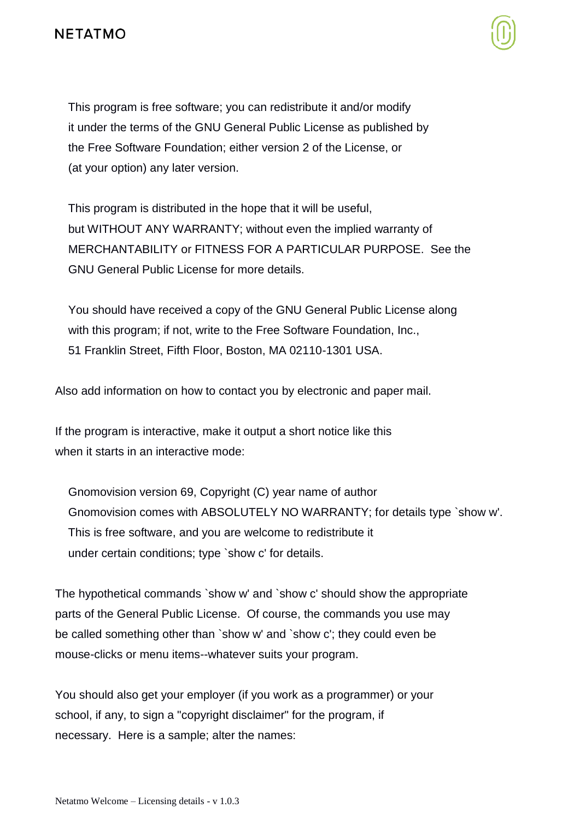This program is free software; you can redistribute it and/or modify it under the terms of the GNU General Public License as published by the Free Software Foundation; either version 2 of the License, or (at your option) any later version.

 This program is distributed in the hope that it will be useful, but WITHOUT ANY WARRANTY; without even the implied warranty of MERCHANTABILITY or FITNESS FOR A PARTICULAR PURPOSE. See the GNU General Public License for more details.

 You should have received a copy of the GNU General Public License along with this program; if not, write to the Free Software Foundation, Inc., 51 Franklin Street, Fifth Floor, Boston, MA 02110-1301 USA.

Also add information on how to contact you by electronic and paper mail.

If the program is interactive, make it output a short notice like this when it starts in an interactive mode:

 Gnomovision version 69, Copyright (C) year name of author Gnomovision comes with ABSOLUTELY NO WARRANTY; for details type `show w'. This is free software, and you are welcome to redistribute it under certain conditions; type `show c' for details.

The hypothetical commands `show w' and `show c' should show the appropriate parts of the General Public License. Of course, the commands you use may be called something other than `show w' and `show c'; they could even be mouse-clicks or menu items--whatever suits your program.

You should also get your employer (if you work as a programmer) or your school, if any, to sign a "copyright disclaimer" for the program, if necessary. Here is a sample; alter the names: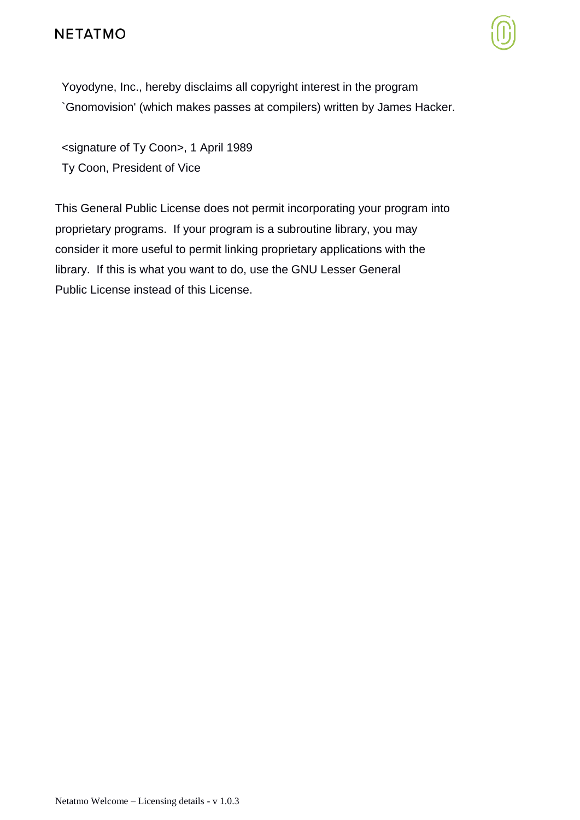

 Yoyodyne, Inc., hereby disclaims all copyright interest in the program `Gnomovision' (which makes passes at compilers) written by James Hacker.

 <signature of Ty Coon>, 1 April 1989 Ty Coon, President of Vice

This General Public License does not permit incorporating your program into proprietary programs. If your program is a subroutine library, you may consider it more useful to permit linking proprietary applications with the library. If this is what you want to do, use the GNU Lesser General Public License instead of this License.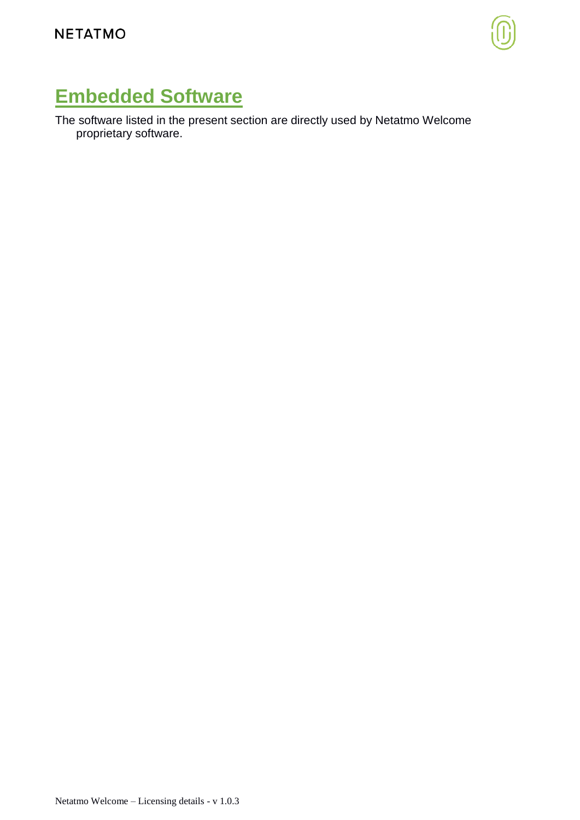

# <span id="page-15-0"></span>**Embedded Software**

The software listed in the present section are directly used by Netatmo Welcome proprietary software.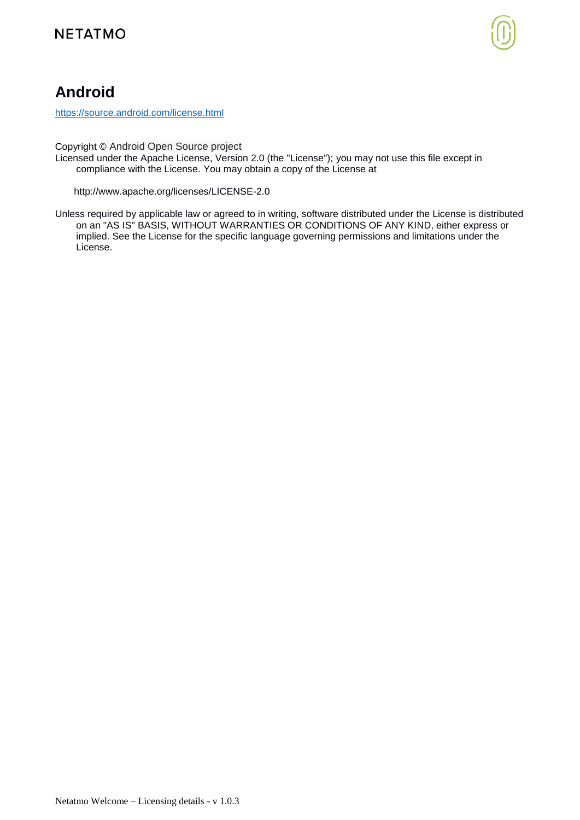

# <span id="page-16-0"></span>**Android**

<https://source.android.com/license.html>

Copyright © Android Open Source project

Licensed under the Apache License, Version 2.0 (the "License"); you may not use this file except in compliance with the License. You may obtain a copy of the License at

http://www.apache.org/licenses/LICENSE-2.0

Unless required by applicable law or agreed to in writing, software distributed under the License is distributed on an "AS IS" BASIS, WITHOUT WARRANTIES OR CONDITIONS OF ANY KIND, either express or implied. See the License for the specific language governing permissions and limitations under the License.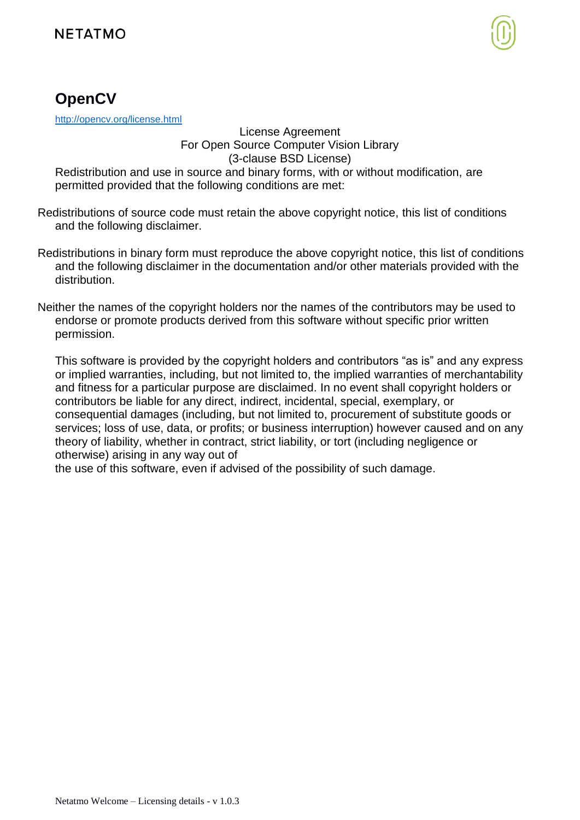

### <span id="page-17-0"></span>**OpenCV**

<http://opencv.org/license.html>

#### License Agreement For Open Source Computer Vision Library (3-clause BSD License) Redistribution and use in source and binary forms, with or without modification, are permitted provided that the following conditions are met:

- Redistributions of source code must retain the above copyright notice, this list of conditions and the following disclaimer.
- Redistributions in binary form must reproduce the above copyright notice, this list of conditions and the following disclaimer in the documentation and/or other materials provided with the distribution.
- Neither the names of the copyright holders nor the names of the contributors may be used to endorse or promote products derived from this software without specific prior written permission.

This software is provided by the copyright holders and contributors "as is" and any express or implied warranties, including, but not limited to, the implied warranties of merchantability and fitness for a particular purpose are disclaimed. In no event shall copyright holders or contributors be liable for any direct, indirect, incidental, special, exemplary, or consequential damages (including, but not limited to, procurement of substitute goods or services; loss of use, data, or profits; or business interruption) however caused and on any theory of liability, whether in contract, strict liability, or tort (including negligence or otherwise) arising in any way out of

the use of this software, even if advised of the possibility of such damage.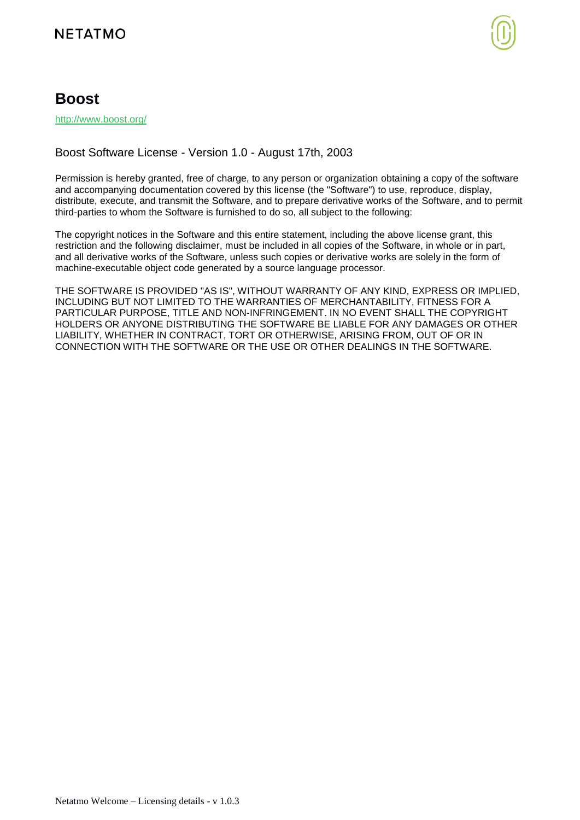

### <span id="page-18-0"></span>**Boost**

<http://www.boost.org/>

#### Boost Software License - Version 1.0 - August 17th, 2003

Permission is hereby granted, free of charge, to any person or organization obtaining a copy of the software and accompanying documentation covered by this license (the "Software") to use, reproduce, display, distribute, execute, and transmit the Software, and to prepare derivative works of the Software, and to permit third-parties to whom the Software is furnished to do so, all subject to the following:

The copyright notices in the Software and this entire statement, including the above license grant, this restriction and the following disclaimer, must be included in all copies of the Software, in whole or in part, and all derivative works of the Software, unless such copies or derivative works are solely in the form of machine-executable object code generated by a source language processor.

THE SOFTWARE IS PROVIDED "AS IS", WITHOUT WARRANTY OF ANY KIND, EXPRESS OR IMPLIED, INCLUDING BUT NOT LIMITED TO THE WARRANTIES OF MERCHANTABILITY, FITNESS FOR A PARTICULAR PURPOSE, TITLE AND NON-INFRINGEMENT. IN NO EVENT SHALL THE COPYRIGHT HOLDERS OR ANYONE DISTRIBUTING THE SOFTWARE BE LIABLE FOR ANY DAMAGES OR OTHER LIABILITY, WHETHER IN CONTRACT, TORT OR OTHERWISE, ARISING FROM, OUT OF OR IN CONNECTION WITH THE SOFTWARE OR THE USE OR OTHER DEALINGS IN THE SOFTWARE.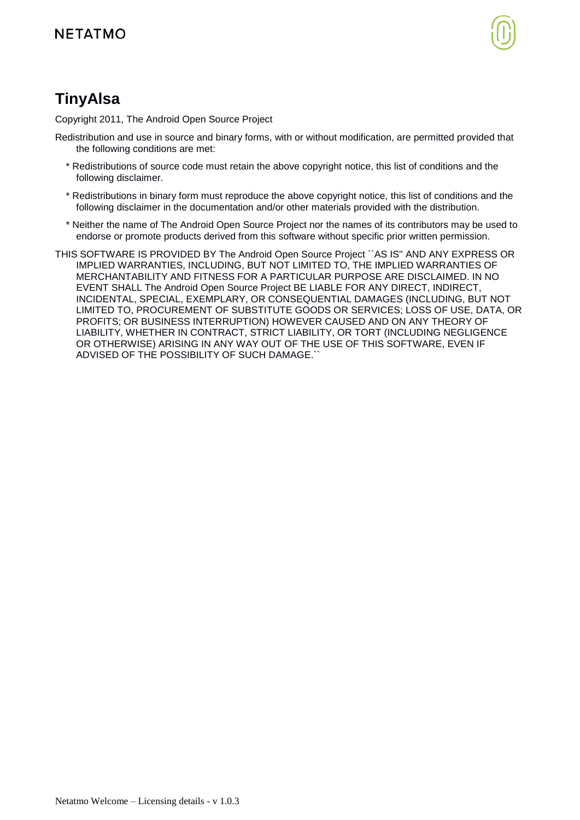

# <span id="page-19-0"></span>**TinyAlsa**

Copyright 2011, The Android Open Source Project

- Redistribution and use in source and binary forms, with or without modification, are permitted provided that the following conditions are met:
	- \* Redistributions of source code must retain the above copyright notice, this list of conditions and the following disclaimer.
	- \* Redistributions in binary form must reproduce the above copyright notice, this list of conditions and the following disclaimer in the documentation and/or other materials provided with the distribution.
	- \* Neither the name of The Android Open Source Project nor the names of its contributors may be used to endorse or promote products derived from this software without specific prior written permission.
- THIS SOFTWARE IS PROVIDED BY The Android Open Source Project ``AS IS'' AND ANY EXPRESS OR IMPLIED WARRANTIES, INCLUDING, BUT NOT LIMITED TO, THE IMPLIED WARRANTIES OF MERCHANTABILITY AND FITNESS FOR A PARTICULAR PURPOSE ARE DISCLAIMED. IN NO EVENT SHALL The Android Open Source Project BE LIABLE FOR ANY DIRECT, INDIRECT, INCIDENTAL, SPECIAL, EXEMPLARY, OR CONSEQUENTIAL DAMAGES (INCLUDING, BUT NOT LIMITED TO, PROCUREMENT OF SUBSTITUTE GOODS OR SERVICES; LOSS OF USE, DATA, OR PROFITS; OR BUSINESS INTERRUPTION) HOWEVER CAUSED AND ON ANY THEORY OF LIABILITY, WHETHER IN CONTRACT, STRICT LIABILITY, OR TORT (INCLUDING NEGLIGENCE OR OTHERWISE) ARISING IN ANY WAY OUT OF THE USE OF THIS SOFTWARE, EVEN IF ADVISED OF THE POSSIBILITY OF SUCH DAMAGE.``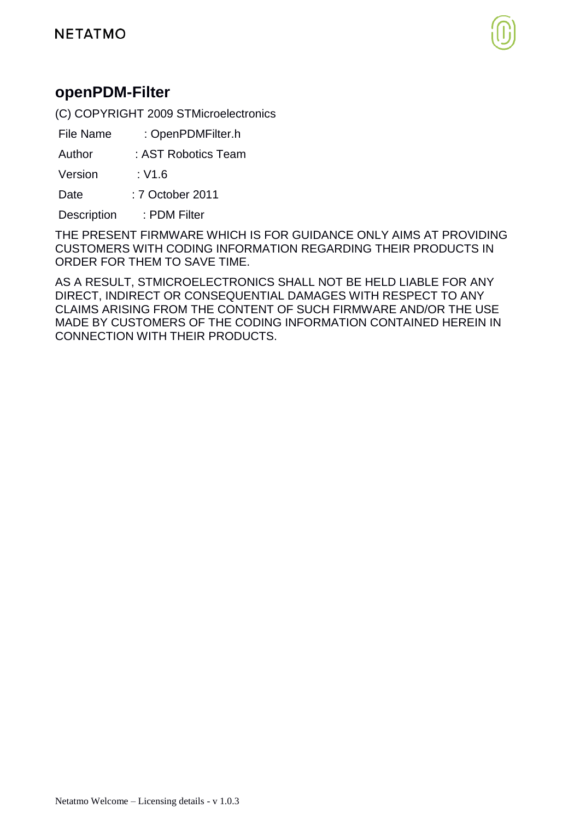

### <span id="page-20-0"></span>**openPDM-Filter**

(C) COPYRIGHT 2009 STMicroelectronics

File Name : OpenPDMFilter.h

Author : AST Robotics Team

Version : V1.6

Date : 7 October 2011

Description : PDM Filter

THE PRESENT FIRMWARE WHICH IS FOR GUIDANCE ONLY AIMS AT PROVIDING CUSTOMERS WITH CODING INFORMATION REGARDING THEIR PRODUCTS IN ORDER FOR THEM TO SAVE TIME.

AS A RESULT, STMICROELECTRONICS SHALL NOT BE HELD LIABLE FOR ANY DIRECT, INDIRECT OR CONSEQUENTIAL DAMAGES WITH RESPECT TO ANY CLAIMS ARISING FROM THE CONTENT OF SUCH FIRMWARE AND/OR THE USE MADE BY CUSTOMERS OF THE CODING INFORMATION CONTAINED HEREIN IN CONNECTION WITH THEIR PRODUCTS.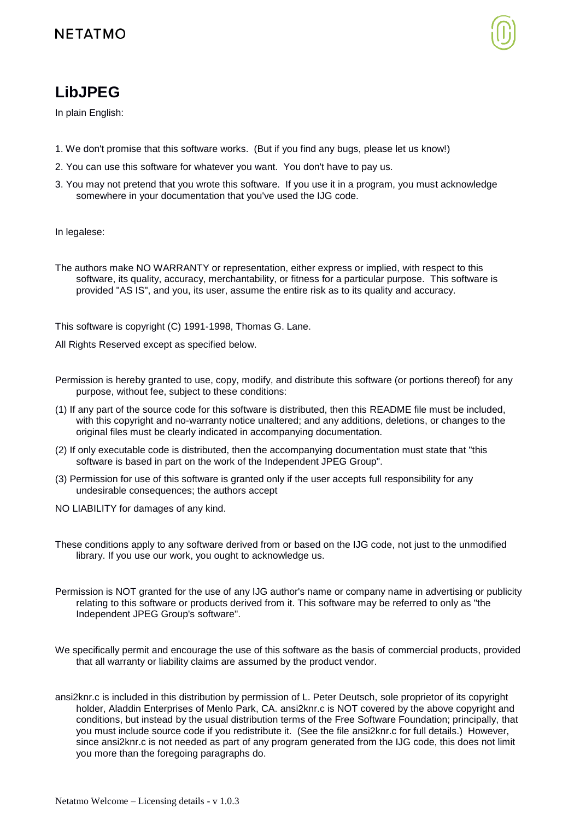

### <span id="page-21-0"></span>**LibJPEG**

In plain English:

- 1. We don't promise that this software works. (But if you find any bugs, please let us know!)
- 2. You can use this software for whatever you want. You don't have to pay us.
- 3. You may not pretend that you wrote this software. If you use it in a program, you must acknowledge somewhere in your documentation that you've used the IJG code.

In legalese:

The authors make NO WARRANTY or representation, either express or implied, with respect to this software, its quality, accuracy, merchantability, or fitness for a particular purpose. This software is provided "AS IS", and you, its user, assume the entire risk as to its quality and accuracy.

This software is copyright (C) 1991-1998, Thomas G. Lane.

All Rights Reserved except as specified below.

- Permission is hereby granted to use, copy, modify, and distribute this software (or portions thereof) for any purpose, without fee, subject to these conditions:
- (1) If any part of the source code for this software is distributed, then this README file must be included, with this copyright and no-warranty notice unaltered; and any additions, deletions, or changes to the original files must be clearly indicated in accompanying documentation.
- (2) If only executable code is distributed, then the accompanying documentation must state that "this software is based in part on the work of the Independent JPEG Group".
- (3) Permission for use of this software is granted only if the user accepts full responsibility for any undesirable consequences; the authors accept
- NO LIABILITY for damages of any kind.
- These conditions apply to any software derived from or based on the IJG code, not just to the unmodified library. If you use our work, you ought to acknowledge us.
- Permission is NOT granted for the use of any IJG author's name or company name in advertising or publicity relating to this software or products derived from it. This software may be referred to only as "the Independent JPEG Group's software".
- We specifically permit and encourage the use of this software as the basis of commercial products, provided that all warranty or liability claims are assumed by the product vendor.
- ansi2knr.c is included in this distribution by permission of L. Peter Deutsch, sole proprietor of its copyright holder, Aladdin Enterprises of Menlo Park, CA. ansi2knr.c is NOT covered by the above copyright and conditions, but instead by the usual distribution terms of the Free Software Foundation; principally, that you must include source code if you redistribute it. (See the file ansi2knr.c for full details.) However, since ansi2knr.c is not needed as part of any program generated from the IJG code, this does not limit you more than the foregoing paragraphs do.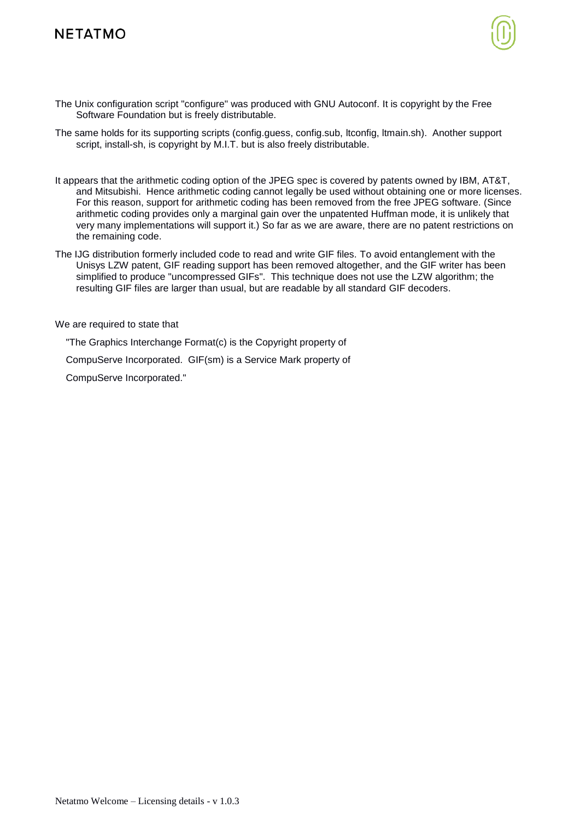

- The Unix configuration script "configure" was produced with GNU Autoconf. It is copyright by the Free Software Foundation but is freely distributable.
- The same holds for its supporting scripts (config.guess, config.sub, ltconfig, ltmain.sh). Another support script, install-sh, is copyright by M.I.T. but is also freely distributable.
- It appears that the arithmetic coding option of the JPEG spec is covered by patents owned by IBM, AT&T, and Mitsubishi. Hence arithmetic coding cannot legally be used without obtaining one or more licenses. For this reason, support for arithmetic coding has been removed from the free JPEG software. (Since arithmetic coding provides only a marginal gain over the unpatented Huffman mode, it is unlikely that very many implementations will support it.) So far as we are aware, there are no patent restrictions on the remaining code.
- The IJG distribution formerly included code to read and write GIF files. To avoid entanglement with the Unisys LZW patent, GIF reading support has been removed altogether, and the GIF writer has been simplified to produce "uncompressed GIFs". This technique does not use the LZW algorithm; the resulting GIF files are larger than usual, but are readable by all standard GIF decoders.

We are required to state that

"The Graphics Interchange Format(c) is the Copyright property of

CompuServe Incorporated. GIF(sm) is a Service Mark property of

CompuServe Incorporated."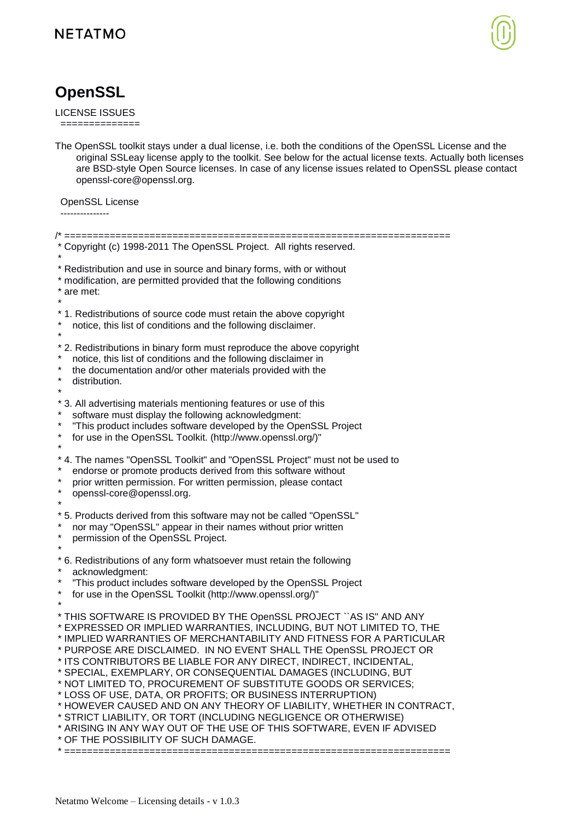# <span id="page-23-0"></span>**OpenSSL**

LICENSE ISSUES ==============

The OpenSSL toolkit stays under a dual license, i.e. both the conditions of the OpenSSL License and the original SSLeay license apply to the toolkit. See below for the actual license texts. Actually both licenses are BSD-style Open Source licenses. In case of any license issues related to OpenSSL please contact openssl-core@openssl.org.

OpenSSL License

---------------

 $/$ \* ======== Copyright (c) 1998-2011 The OpenSSL Project. All rights reserved. \* Redistribution and use in source and binary forms, with or without modification, are permitted provided that the following conditions \* are met: \* \* 1. Redistributions of source code must retain the above copyright notice, this list of conditions and the following disclaimer. \* \* 2. Redistributions in binary form must reproduce the above copyright notice, this list of conditions and the following disclaimer in \* the documentation and/or other materials provided with the distribution. \* 3. All advertising materials mentioning features or use of this software must display the following acknowledgment: \* "This product includes software developed by the OpenSSL Project" for use in the OpenSSL Toolkit. (http://www.openssl.org/)" \* \* 4. The names "OpenSSL Toolkit" and "OpenSSL Project" must not be used to endorse or promote products derived from this software without prior written permission. For written permission, please contact openssl-core@openssl.org. \* \* 5. Products derived from this software may not be called "OpenSSL" nor may "OpenSSL" appear in their names without prior written permission of the OpenSSL Project. \* \* 6. Redistributions of any form whatsoever must retain the following \* acknowledgment: \* "This product includes software developed by the OpenSSL Project for use in the OpenSSL Toolkit (http://www.openssl.org/)" \* \* THIS SOFTWARE IS PROVIDED BY THE OpenSSL PROJECT ``AS IS'' AND ANY \* EXPRESSED OR IMPLIED WARRANTIES, INCLUDING, BUT NOT LIMITED TO, THE \* IMPLIED WARRANTIES OF MERCHANTABILITY AND FITNESS FOR A PARTICULAR \* PURPOSE ARE DISCLAIMED. IN NO EVENT SHALL THE OpenSSL PROJECT OR \* ITS CONTRIBUTORS BE LIABLE FOR ANY DIRECT, INDIRECT, INCIDENTAL, \* SPECIAL, EXEMPLARY, OR CONSEQUENTIAL DAMAGES (INCLUDING, BUT \* NOT LIMITED TO, PROCUREMENT OF SUBSTITUTE GOODS OR SERVICES; \* LOSS OF USE, DATA, OR PROFITS; OR BUSINESS INTERRUPTION) \* HOWEVER CAUSED AND ON ANY THEORY OF LIABILITY, WHETHER IN CONTRACT, \* STRICT LIABILITY, OR TORT (INCLUDING NEGLIGENCE OR OTHERWISE) \* ARISING IN ANY WAY OUT OF THE USE OF THIS SOFTWARE, EVEN IF ADVISED \* OF THE POSSIBILITY OF SUCH DAMAGE. \* ====================================================================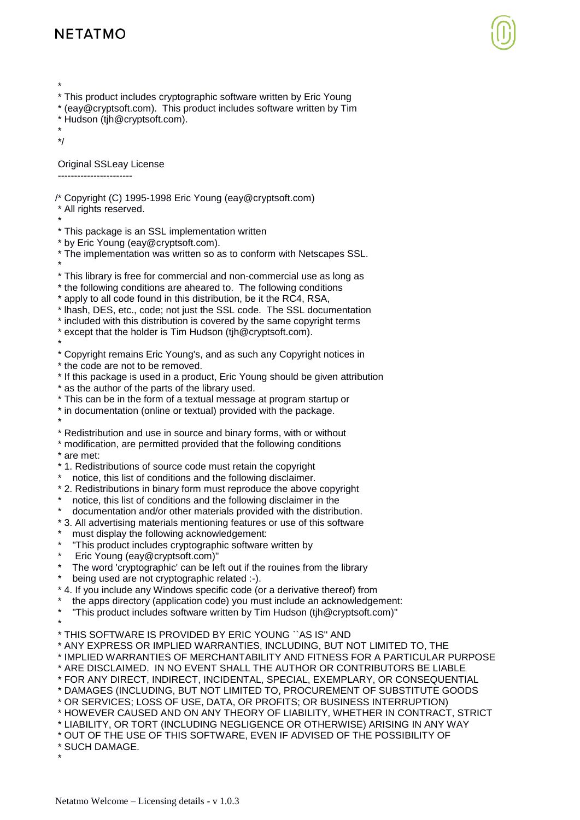\*

This product includes cryptographic software written by Eric Young

(eay@cryptsoft.com). This product includes software written by Tim

\* Hudson (tjh@cryptsoft.com).

\*

\*/

Original SSLeay License -----------------------

/\* Copyright (C) 1995-1998 Eric Young (eay@cryptsoft.com)

All rights reserved.

\* \* This package is an SSL implementation written

\* by Eric Young (eay@cryptsoft.com).

\* The implementation was written so as to conform with Netscapes SSL.

\* \* This library is free for commercial and non-commercial use as long as

\* the following conditions are aheared to. The following conditions

\* apply to all code found in this distribution, be it the RC4, RSA,

\* lhash, DES, etc., code; not just the SSL code. The SSL documentation

\* included with this distribution is covered by the same copyright terms

\* except that the holder is Tim Hudson (tjh@cryptsoft.com).

\* \* Copyright remains Eric Young's, and as such any Copyright notices in

\* the code are not to be removed.

\* If this package is used in a product, Eric Young should be given attribution

\* as the author of the parts of the library used.

\* This can be in the form of a textual message at program startup or

in documentation (online or textual) provided with the package.

\* \* Redistribution and use in source and binary forms, with or without

modification, are permitted provided that the following conditions

\* are met:

- \* 1. Redistributions of source code must retain the copyright
- notice, this list of conditions and the following disclaimer.
- \* 2. Redistributions in binary form must reproduce the above copyright
- \* notice, this list of conditions and the following disclaimer in the<br>\* degeneration and/or other materials arounded with the distribute

documentation and/or other materials provided with the distribution.

\* 3. All advertising materials mentioning features or use of this software

- \* must display the following acknowledgement:
- \* "This product includes cryptographic software written by
- Eric Young (eay@cryptsoft.com)"

The word 'cryptographic' can be left out if the rouines from the library

being used are not cryptographic related :-).

\* 4. If you include any Windows specific code (or a derivative thereof) from

the apps directory (application code) you must include an acknowledgement:

\* "This product includes software written by Tim Hudson (tjh@cryptsoft.com)"

\*

\* THIS SOFTWARE IS PROVIDED BY ERIC YOUNG ``AS IS'' AND

\* ANY EXPRESS OR IMPLIED WARRANTIES, INCLUDING, BUT NOT LIMITED TO, THE

IMPLIED WARRANTIES OF MERCHANTABILITY AND FITNESS FOR A PARTICULAR PURPOSE

\* ARE DISCLAIMED. IN NO EVENT SHALL THE AUTHOR OR CONTRIBUTORS BE LIABLE

\* FOR ANY DIRECT, INDIRECT, INCIDENTAL, SPECIAL, EXEMPLARY, OR CONSEQUENTIAL

\* DAMAGES (INCLUDING, BUT NOT LIMITED TO, PROCUREMENT OF SUBSTITUTE GOODS

\* OR SERVICES; LOSS OF USE, DATA, OR PROFITS; OR BUSINESS INTERRUPTION)

\* HOWEVER CAUSED AND ON ANY THEORY OF LIABILITY, WHETHER IN CONTRACT, STRICT

\* LIABILITY, OR TORT (INCLUDING NEGLIGENCE OR OTHERWISE) ARISING IN ANY WAY

\* OUT OF THE USE OF THIS SOFTWARE, EVEN IF ADVISED OF THE POSSIBILITY OF

\* SUCH DAMAGE.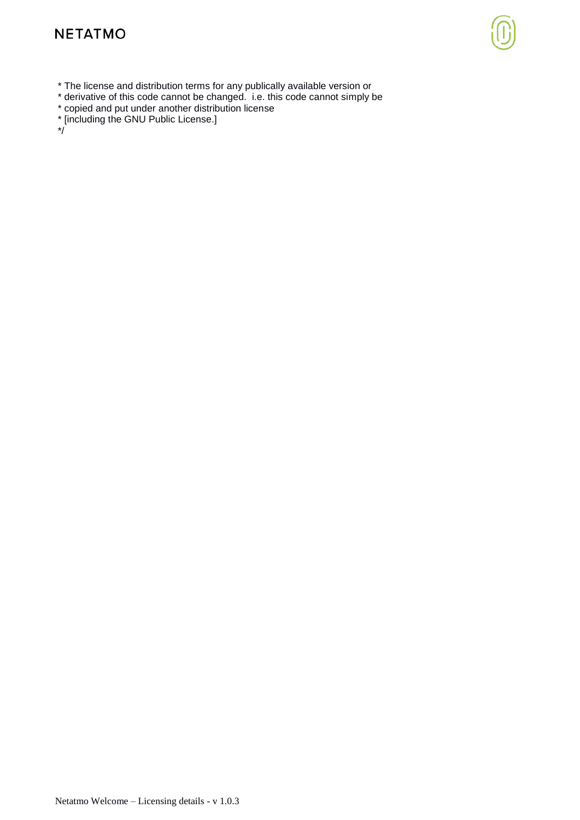

- \* The license and distribution terms for any publically available version or
- \* derivative of this code cannot be changed. i.e. this code cannot simply be
- \* copied and put under another distribution license
- \* [including the GNU Public License.]

\*/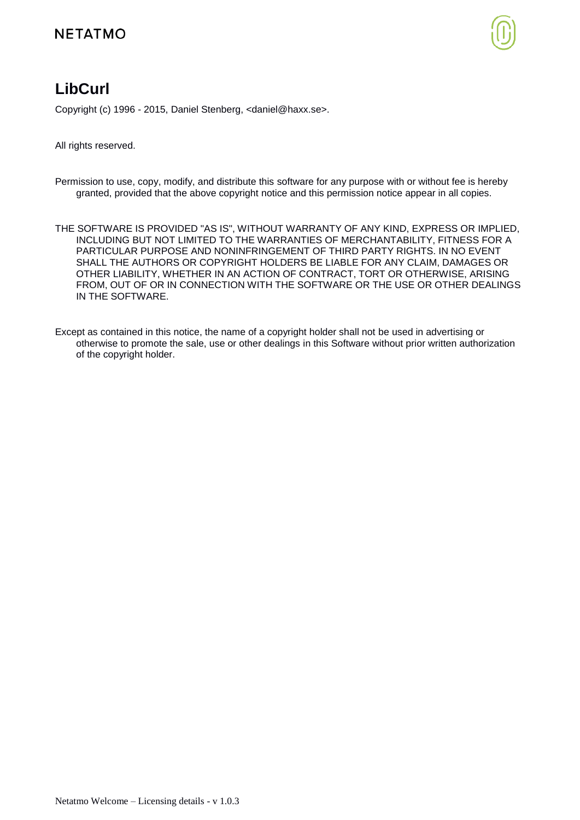

# <span id="page-26-0"></span>**LibCurl**

Copyright (c) 1996 - 2015, Daniel Stenberg, <daniel@haxx.se>.

All rights reserved.

- Permission to use, copy, modify, and distribute this software for any purpose with or without fee is hereby granted, provided that the above copyright notice and this permission notice appear in all copies.
- THE SOFTWARE IS PROVIDED "AS IS", WITHOUT WARRANTY OF ANY KIND, EXPRESS OR IMPLIED, INCLUDING BUT NOT LIMITED TO THE WARRANTIES OF MERCHANTABILITY, FITNESS FOR A PARTICULAR PURPOSE AND NONINFRINGEMENT OF THIRD PARTY RIGHTS. IN NO EVENT SHALL THE AUTHORS OR COPYRIGHT HOLDERS BE LIABLE FOR ANY CLAIM, DAMAGES OR OTHER LIABILITY, WHETHER IN AN ACTION OF CONTRACT, TORT OR OTHERWISE, ARISING FROM, OUT OF OR IN CONNECTION WITH THE SOFTWARE OR THE USE OR OTHER DEALINGS IN THE SOFTWARE.
- Except as contained in this notice, the name of a copyright holder shall not be used in advertising or otherwise to promote the sale, use or other dealings in this Software without prior written authorization of the copyright holder.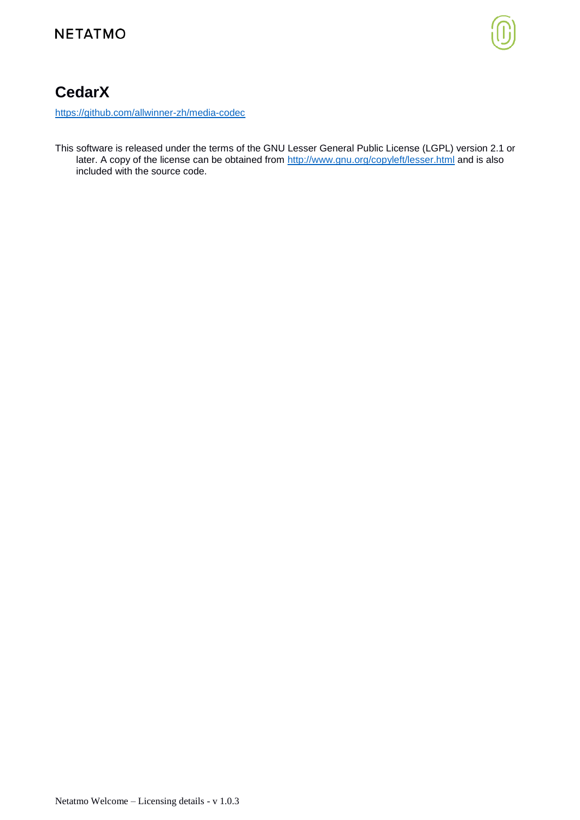

# <span id="page-27-0"></span>**CedarX**

<https://github.com/allwinner-zh/media-codec>

This software is released under the terms of the GNU Lesser General Public License (LGPL) version 2.1 or later. A copy of the license can be obtained from<http://www.gnu.org/copyleft/lesser.html> and is also included with the source code.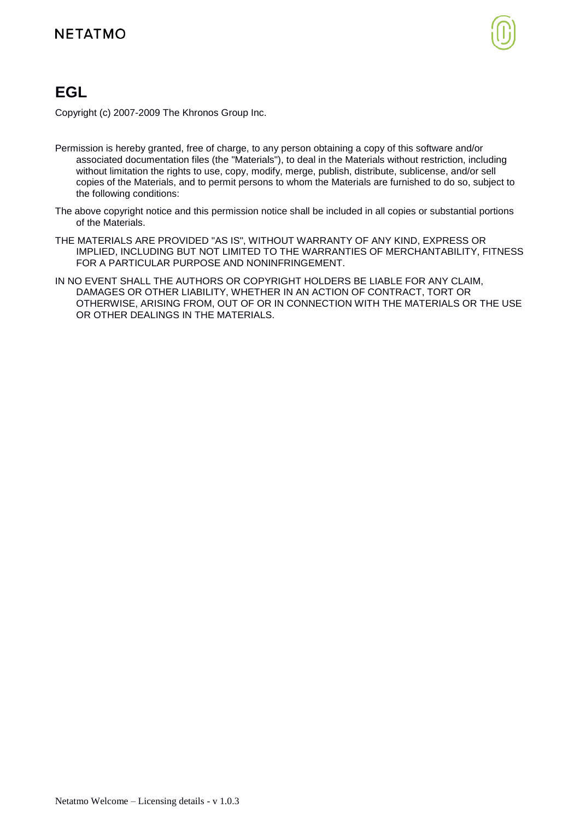# <span id="page-28-0"></span>**EGL**

Copyright (c) 2007-2009 The Khronos Group Inc.

- Permission is hereby granted, free of charge, to any person obtaining a copy of this software and/or associated documentation files (the "Materials"), to deal in the Materials without restriction, including without limitation the rights to use, copy, modify, merge, publish, distribute, sublicense, and/or sell copies of the Materials, and to permit persons to whom the Materials are furnished to do so, subject to the following conditions:
- The above copyright notice and this permission notice shall be included in all copies or substantial portions of the Materials.
- THE MATERIALS ARE PROVIDED "AS IS", WITHOUT WARRANTY OF ANY KIND, EXPRESS OR IMPLIED, INCLUDING BUT NOT LIMITED TO THE WARRANTIES OF MERCHANTABILITY, FITNESS FOR A PARTICULAR PURPOSE AND NONINFRINGEMENT.
- IN NO EVENT SHALL THE AUTHORS OR COPYRIGHT HOLDERS BE LIABLE FOR ANY CLAIM, DAMAGES OR OTHER LIABILITY, WHETHER IN AN ACTION OF CONTRACT, TORT OR OTHERWISE, ARISING FROM, OUT OF OR IN CONNECTION WITH THE MATERIALS OR THE USE OR OTHER DEALINGS IN THE MATERIALS.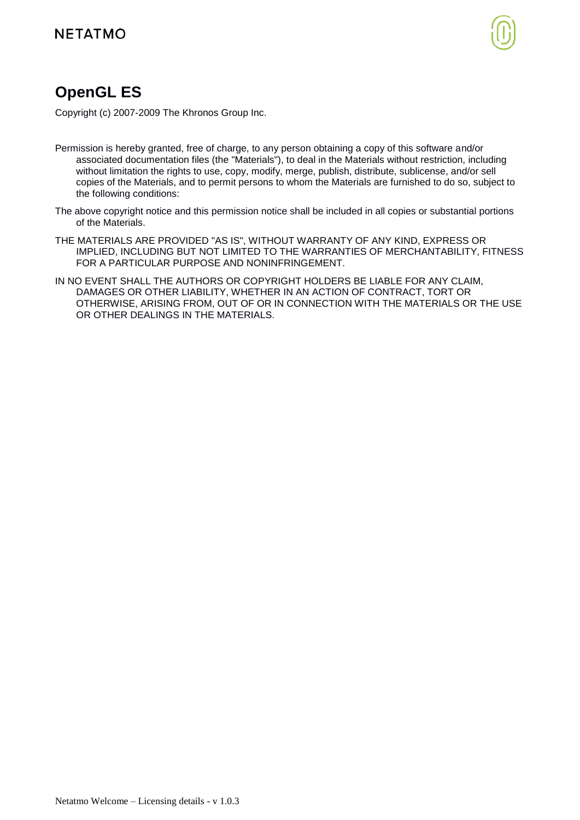### <span id="page-29-0"></span>**OpenGL ES**

Copyright (c) 2007-2009 The Khronos Group Inc.

- Permission is hereby granted, free of charge, to any person obtaining a copy of this software and/or associated documentation files (the "Materials"), to deal in the Materials without restriction, including without limitation the rights to use, copy, modify, merge, publish, distribute, sublicense, and/or sell copies of the Materials, and to permit persons to whom the Materials are furnished to do so, subject to the following conditions:
- The above copyright notice and this permission notice shall be included in all copies or substantial portions of the Materials.
- THE MATERIALS ARE PROVIDED "AS IS", WITHOUT WARRANTY OF ANY KIND, EXPRESS OR IMPLIED, INCLUDING BUT NOT LIMITED TO THE WARRANTIES OF MERCHANTABILITY, FITNESS FOR A PARTICULAR PURPOSE AND NONINFRINGEMENT.
- IN NO EVENT SHALL THE AUTHORS OR COPYRIGHT HOLDERS BE LIABLE FOR ANY CLAIM, DAMAGES OR OTHER LIABILITY, WHETHER IN AN ACTION OF CONTRACT, TORT OR OTHERWISE, ARISING FROM, OUT OF OR IN CONNECTION WITH THE MATERIALS OR THE USE OR OTHER DEALINGS IN THE MATERIALS.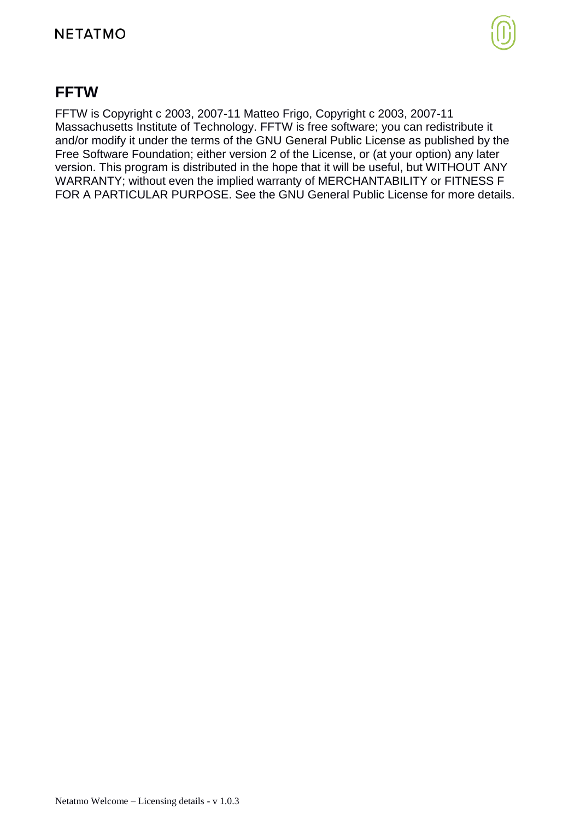

### <span id="page-30-0"></span>**FFTW**

FFTW is Copyright c 2003, 2007-11 Matteo Frigo, Copyright c 2003, 2007-11 Massachusetts Institute of Technology. FFTW is free software; you can redistribute it and/or modify it under the terms of the GNU General Public License as published by the Free Software Foundation; either version 2 of the License, or (at your option) any later version. This program is distributed in the hope that it will be useful, but WITHOUT ANY WARRANTY; without even the implied warranty of MERCHANTABILITY or FITNESS F FOR A PARTICULAR PURPOSE. See the GNU General Public License for more details.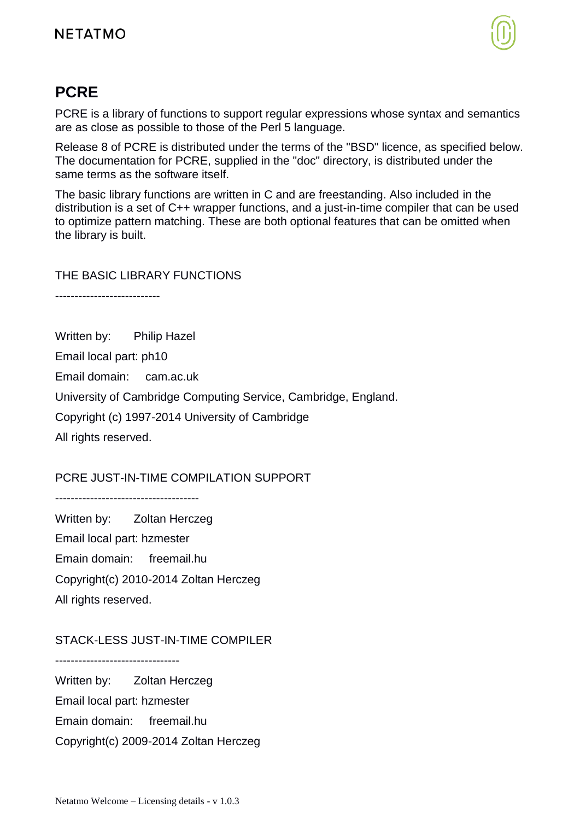

### <span id="page-31-0"></span>**PCRE**

PCRE is a library of functions to support regular expressions whose syntax and semantics are as close as possible to those of the Perl 5 language.

Release 8 of PCRE is distributed under the terms of the "BSD" licence, as specified below. The documentation for PCRE, supplied in the "doc" directory, is distributed under the same terms as the software itself.

The basic library functions are written in C and are freestanding. Also included in the distribution is a set of C++ wrapper functions, and a just-in-time compiler that can be used to optimize pattern matching. These are both optional features that can be omitted when the library is built.

THE BASIC LIBRARY FUNCTIONS

---------------------------

Written by: Philip Hazel

Email local part: ph10

Email domain: cam.ac.uk

University of Cambridge Computing Service, Cambridge, England.

Copyright (c) 1997-2014 University of Cambridge

All rights reserved.

PCRE JUST-IN-TIME COMPILATION SUPPORT

-------------------------------------

Written by: Zoltan Herczeg Email local part: hzmester Emain domain: freemail.hu Copyright(c) 2010-2014 Zoltan Herczeg All rights reserved.

#### STACK-LESS JUST-IN-TIME COMPILER

--------------------------------

Written by: Zoltan Herczeg

Email local part: hzmester

Emain domain: freemail.hu

Copyright(c) 2009-2014 Zoltan Herczeg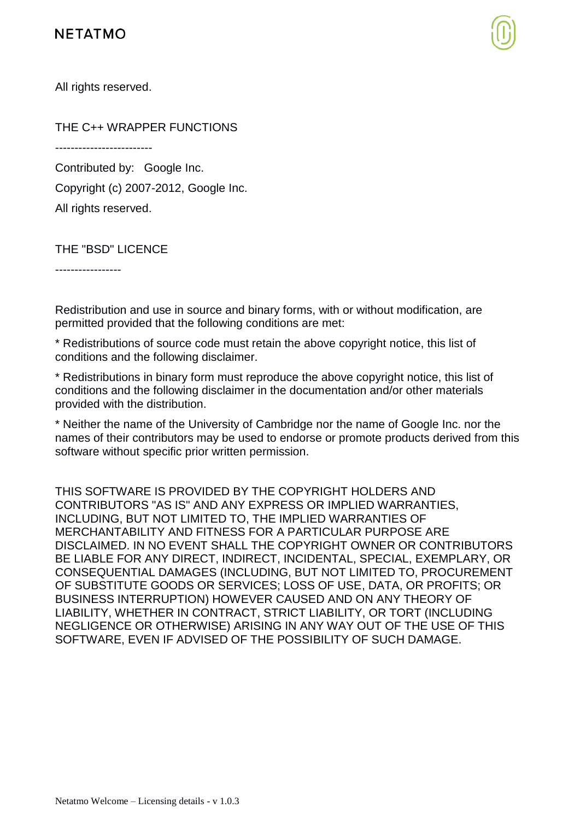

All rights reserved.

THE C++ WRAPPER FUNCTIONS

-------------------------

Contributed by: Google Inc. Copyright (c) 2007-2012, Google Inc. All rights reserved.

THE "BSD" LICENCE

-----------------

Redistribution and use in source and binary forms, with or without modification, are permitted provided that the following conditions are met:

\* Redistributions of source code must retain the above copyright notice, this list of conditions and the following disclaimer.

\* Redistributions in binary form must reproduce the above copyright notice, this list of conditions and the following disclaimer in the documentation and/or other materials provided with the distribution.

\* Neither the name of the University of Cambridge nor the name of Google Inc. nor the names of their contributors may be used to endorse or promote products derived from this software without specific prior written permission.

THIS SOFTWARE IS PROVIDED BY THE COPYRIGHT HOLDERS AND CONTRIBUTORS "AS IS" AND ANY EXPRESS OR IMPLIED WARRANTIES, INCLUDING, BUT NOT LIMITED TO, THE IMPLIED WARRANTIES OF MERCHANTABILITY AND FITNESS FOR A PARTICULAR PURPOSE ARE DISCLAIMED. IN NO EVENT SHALL THE COPYRIGHT OWNER OR CONTRIBUTORS BE LIABLE FOR ANY DIRECT, INDIRECT, INCIDENTAL, SPECIAL, EXEMPLARY, OR CONSEQUENTIAL DAMAGES (INCLUDING, BUT NOT LIMITED TO, PROCUREMENT OF SUBSTITUTE GOODS OR SERVICES; LOSS OF USE, DATA, OR PROFITS; OR BUSINESS INTERRUPTION) HOWEVER CAUSED AND ON ANY THEORY OF LIABILITY, WHETHER IN CONTRACT, STRICT LIABILITY, OR TORT (INCLUDING NEGLIGENCE OR OTHERWISE) ARISING IN ANY WAY OUT OF THE USE OF THIS SOFTWARE, EVEN IF ADVISED OF THE POSSIBILITY OF SUCH DAMAGE.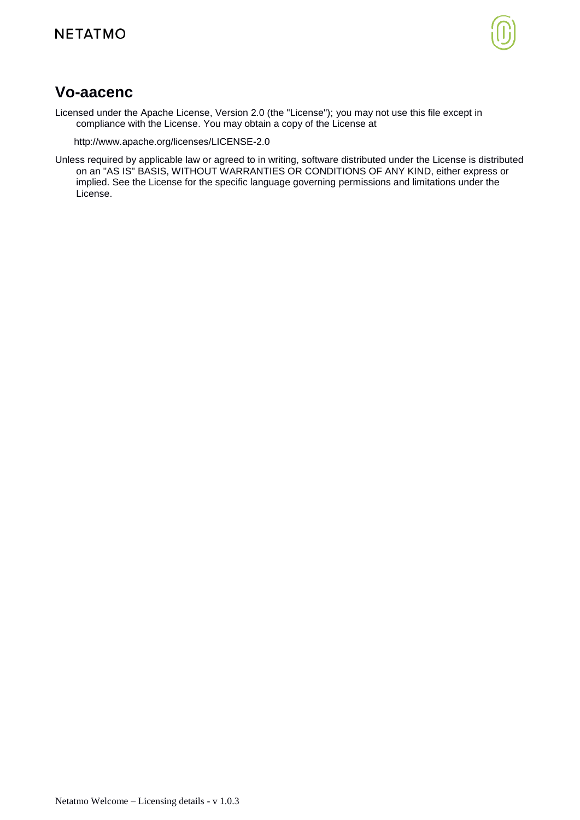

### <span id="page-33-0"></span>**Vo-aacenc**

Licensed under the Apache License, Version 2.0 (the "License"); you may not use this file except in compliance with the License. You may obtain a copy of the License at

http://www.apache.org/licenses/LICENSE-2.0

Unless required by applicable law or agreed to in writing, software distributed under the License is distributed on an "AS IS" BASIS, WITHOUT WARRANTIES OR CONDITIONS OF ANY KIND, either express or implied. See the License for the specific language governing permissions and limitations under the License.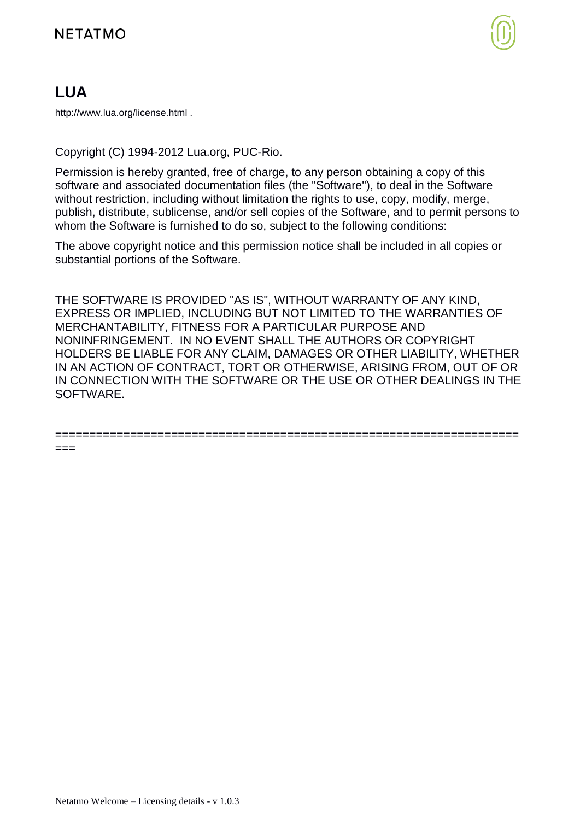

### <span id="page-34-0"></span>**LUA**

http://www.lua.org/license.html .

Copyright (C) 1994-2012 Lua.org, PUC-Rio.

Permission is hereby granted, free of charge, to any person obtaining a copy of this software and associated documentation files (the "Software"), to deal in the Software without restriction, including without limitation the rights to use, copy, modify, merge. publish, distribute, sublicense, and/or sell copies of the Software, and to permit persons to whom the Software is furnished to do so, subject to the following conditions:

The above copyright notice and this permission notice shall be included in all copies or substantial portions of the Software.

THE SOFTWARE IS PROVIDED "AS IS", WITHOUT WARRANTY OF ANY KIND, EXPRESS OR IMPLIED, INCLUDING BUT NOT LIMITED TO THE WARRANTIES OF MERCHANTABILITY, FITNESS FOR A PARTICULAR PURPOSE AND NONINFRINGEMENT. IN NO EVENT SHALL THE AUTHORS OR COPYRIGHT HOLDERS BE LIABLE FOR ANY CLAIM, DAMAGES OR OTHER LIABILITY, WHETHER IN AN ACTION OF CONTRACT, TORT OR OTHERWISE, ARISING FROM, OUT OF OR IN CONNECTION WITH THE SOFTWARE OR THE USE OR OTHER DEALINGS IN THE SOFTWARE.

====================================================================

===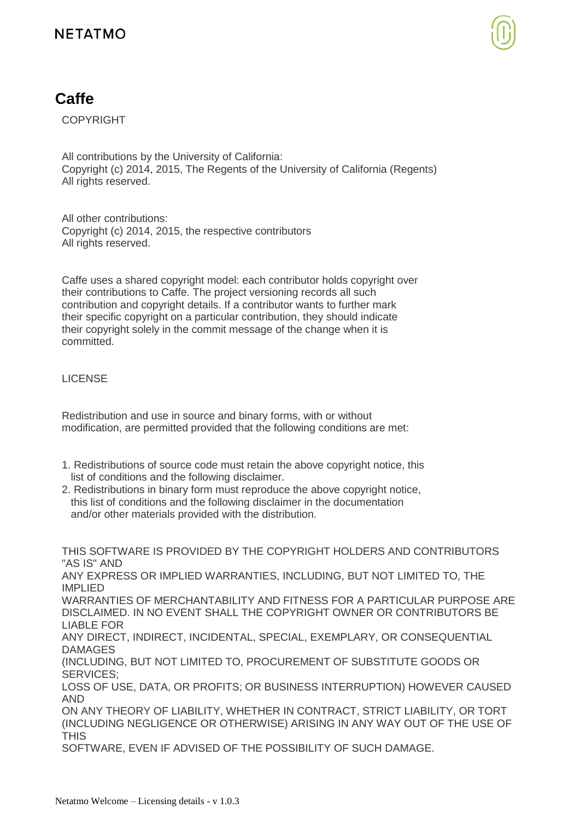

# <span id="page-35-0"></span>**Caffe**

**COPYRIGHT** 

All contributions by the University of California: Copyright (c) 2014, 2015, The Regents of the University of California (Regents) All rights reserved.

All other contributions: Copyright (c) 2014, 2015, the respective contributors All rights reserved.

Caffe uses a shared copyright model: each contributor holds copyright over their contributions to Caffe. The project versioning records all such contribution and copyright details. If a contributor wants to further mark their specific copyright on a particular contribution, they should indicate their copyright solely in the commit message of the change when it is committed.

#### **LICENSE**

Redistribution and use in source and binary forms, with or without modification, are permitted provided that the following conditions are met:

- 1. Redistributions of source code must retain the above copyright notice, this list of conditions and the following disclaimer.
- 2. Redistributions in binary form must reproduce the above copyright notice, this list of conditions and the following disclaimer in the documentation and/or other materials provided with the distribution.

THIS SOFTWARE IS PROVIDED BY THE COPYRIGHT HOLDERS AND CONTRIBUTORS "AS IS" AND ANY EXPRESS OR IMPLIED WARRANTIES, INCLUDING, BUT NOT LIMITED TO, THE IMPLIED WARRANTIES OF MERCHANTABILITY AND FITNESS FOR A PARTICULAR PURPOSE ARE DISCLAIMED. IN NO EVENT SHALL THE COPYRIGHT OWNER OR CONTRIBUTORS BE LIABLE FOR ANY DIRECT, INDIRECT, INCIDENTAL, SPECIAL, EXEMPLARY, OR CONSEQUENTIAL DAMAGES (INCLUDING, BUT NOT LIMITED TO, PROCUREMENT OF SUBSTITUTE GOODS OR SERVICES; LOSS OF USE, DATA, OR PROFITS; OR BUSINESS INTERRUPTION) HOWEVER CAUSED AND ON ANY THEORY OF LIABILITY, WHETHER IN CONTRACT, STRICT LIABILITY, OR TORT (INCLUDING NEGLIGENCE OR OTHERWISE) ARISING IN ANY WAY OUT OF THE USE OF **THIS** 

SOFTWARE, EVEN IF ADVISED OF THE POSSIBILITY OF SUCH DAMAGE.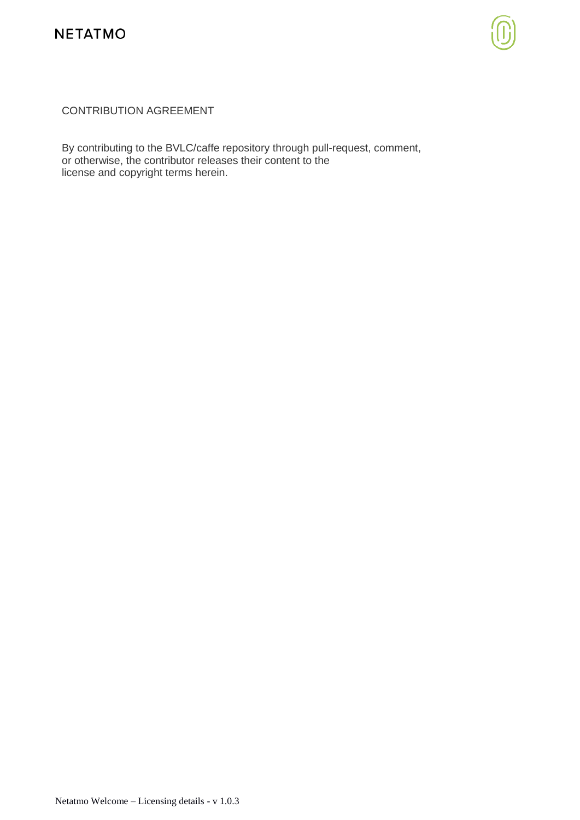

#### CONTRIBUTION AGREEMENT

By contributing to the BVLC/caffe repository through pull-request, comment, or otherwise, the contributor releases their content to the license and copyright terms herein.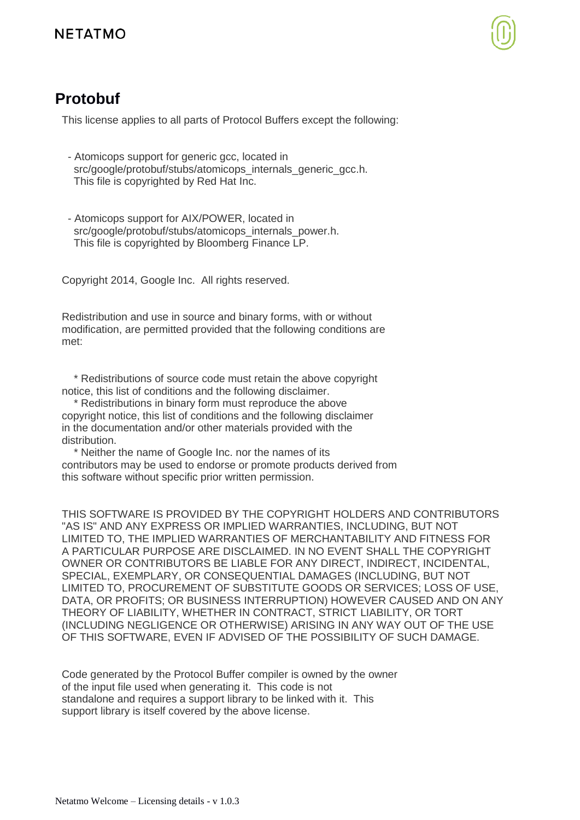

### **Protobuf**

This license applies to all parts of Protocol Buffers except the following:

- Atomicops support for generic gcc, located in src/aooale/protobuf/stubs/atomicops\_internals\_generic\_gcc.h. This file is copyrighted by Red Hat Inc.
- Atomicops support for AIX/POWER, located in src/google/protobuf/stubs/atomicops\_internals\_power.h. This file is copyrighted by Bloomberg Finance LP.

Copyright 2014, Google Inc. All rights reserved.

Redistribution and use in source and binary forms, with or without modification, are permitted provided that the following conditions are met:

 \* Redistributions of source code must retain the above copyright notice, this list of conditions and the following disclaimer.

 \* Redistributions in binary form must reproduce the above copyright notice, this list of conditions and the following disclaimer in the documentation and/or other materials provided with the distribution.

 \* Neither the name of Google Inc. nor the names of its contributors may be used to endorse or promote products derived from this software without specific prior written permission.

THIS SOFTWARE IS PROVIDED BY THE COPYRIGHT HOLDERS AND CONTRIBUTORS "AS IS" AND ANY EXPRESS OR IMPLIED WARRANTIES, INCLUDING, BUT NOT LIMITED TO, THE IMPLIED WARRANTIES OF MERCHANTABILITY AND FITNESS FOR A PARTICULAR PURPOSE ARE DISCLAIMED. IN NO EVENT SHALL THE COPYRIGHT OWNER OR CONTRIBUTORS BE LIABLE FOR ANY DIRECT, INDIRECT, INCIDENTAL, SPECIAL, EXEMPLARY, OR CONSEQUENTIAL DAMAGES (INCLUDING, BUT NOT LIMITED TO, PROCUREMENT OF SUBSTITUTE GOODS OR SERVICES; LOSS OF USE, DATA, OR PROFITS; OR BUSINESS INTERRUPTION) HOWEVER CAUSED AND ON ANY THEORY OF LIABILITY, WHETHER IN CONTRACT, STRICT LIABILITY, OR TORT (INCLUDING NEGLIGENCE OR OTHERWISE) ARISING IN ANY WAY OUT OF THE USE OF THIS SOFTWARE, EVEN IF ADVISED OF THE POSSIBILITY OF SUCH DAMAGE.

Code generated by the Protocol Buffer compiler is owned by the owner of the input file used when generating it. This code is not standalone and requires a support library to be linked with it. This support library is itself covered by the above license.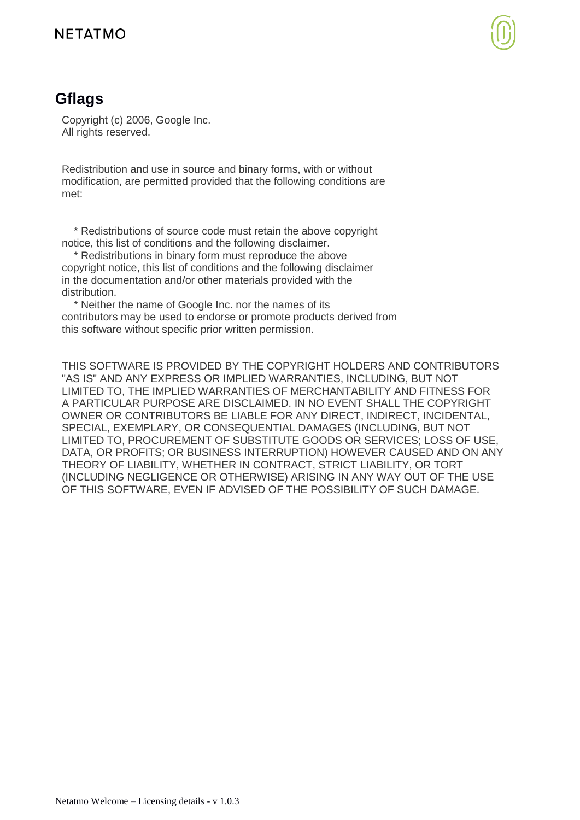

### **Gflags**

Copyright (c) 2006, Google Inc. All rights reserved.

Redistribution and use in source and binary forms, with or without modification, are permitted provided that the following conditions are met:

 \* Redistributions of source code must retain the above copyright notice, this list of conditions and the following disclaimer.

 \* Redistributions in binary form must reproduce the above copyright notice, this list of conditions and the following disclaimer in the documentation and/or other materials provided with the distribution.

 \* Neither the name of Google Inc. nor the names of its contributors may be used to endorse or promote products derived from this software without specific prior written permission.

THIS SOFTWARE IS PROVIDED BY THE COPYRIGHT HOLDERS AND CONTRIBUTORS "AS IS" AND ANY EXPRESS OR IMPLIED WARRANTIES, INCLUDING, BUT NOT LIMITED TO, THE IMPLIED WARRANTIES OF MERCHANTABILITY AND FITNESS FOR A PARTICULAR PURPOSE ARE DISCLAIMED. IN NO EVENT SHALL THE COPYRIGHT OWNER OR CONTRIBUTORS BE LIABLE FOR ANY DIRECT, INDIRECT, INCIDENTAL, SPECIAL, EXEMPLARY, OR CONSEQUENTIAL DAMAGES (INCLUDING, BUT NOT LIMITED TO, PROCUREMENT OF SUBSTITUTE GOODS OR SERVICES; LOSS OF USE, DATA, OR PROFITS; OR BUSINESS INTERRUPTION) HOWEVER CAUSED AND ON ANY THEORY OF LIABILITY, WHETHER IN CONTRACT, STRICT LIABILITY, OR TORT (INCLUDING NEGLIGENCE OR OTHERWISE) ARISING IN ANY WAY OUT OF THE USE OF THIS SOFTWARE, EVEN IF ADVISED OF THE POSSIBILITY OF SUCH DAMAGE.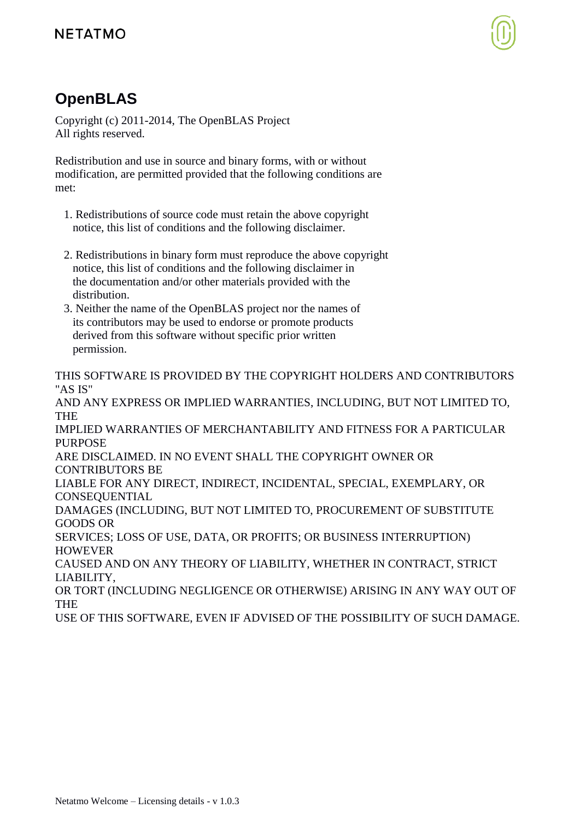

# **OpenBLAS**

Copyright (c) 2011-2014, The OpenBLAS Project All rights reserved.

Redistribution and use in source and binary forms, with or without modification, are permitted provided that the following conditions are met:

- 1. Redistributions of source code must retain the above copyright notice, this list of conditions and the following disclaimer.
- 2. Redistributions in binary form must reproduce the above copyright notice, this list of conditions and the following disclaimer in the documentation and/or other materials provided with the distribution.
- 3. Neither the name of the OpenBLAS project nor the names of its contributors may be used to endorse or promote products derived from this software without specific prior written permission.

THIS SOFTWARE IS PROVIDED BY THE COPYRIGHT HOLDERS AND CONTRIBUTORS "AS IS"

AND ANY EXPRESS OR IMPLIED WARRANTIES, INCLUDING, BUT NOT LIMITED TO, THE

IMPLIED WARRANTIES OF MERCHANTABILITY AND FITNESS FOR A PARTICULAR PURPOSE

ARE DISCLAIMED. IN NO EVENT SHALL THE COPYRIGHT OWNER OR CONTRIBUTORS BE

LIABLE FOR ANY DIRECT, INDIRECT, INCIDENTAL, SPECIAL, EXEMPLARY, OR **CONSEQUENTIAL** 

DAMAGES (INCLUDING, BUT NOT LIMITED TO, PROCUREMENT OF SUBSTITUTE GOODS OR

SERVICES; LOSS OF USE, DATA, OR PROFITS; OR BUSINESS INTERRUPTION) HOWEVER

CAUSED AND ON ANY THEORY OF LIABILITY, WHETHER IN CONTRACT, STRICT LIABILITY,

OR TORT (INCLUDING NEGLIGENCE OR OTHERWISE) ARISING IN ANY WAY OUT OF THE

USE OF THIS SOFTWARE, EVEN IF ADVISED OF THE POSSIBILITY OF SUCH DAMAGE.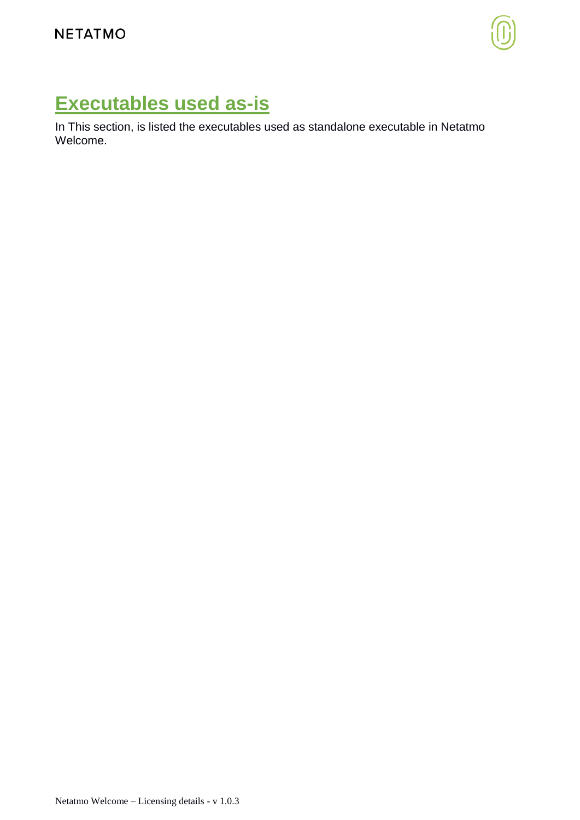

# **Executables used as-is**

In This section, is listed the executables used as standalone executable in Netatmo Welcome.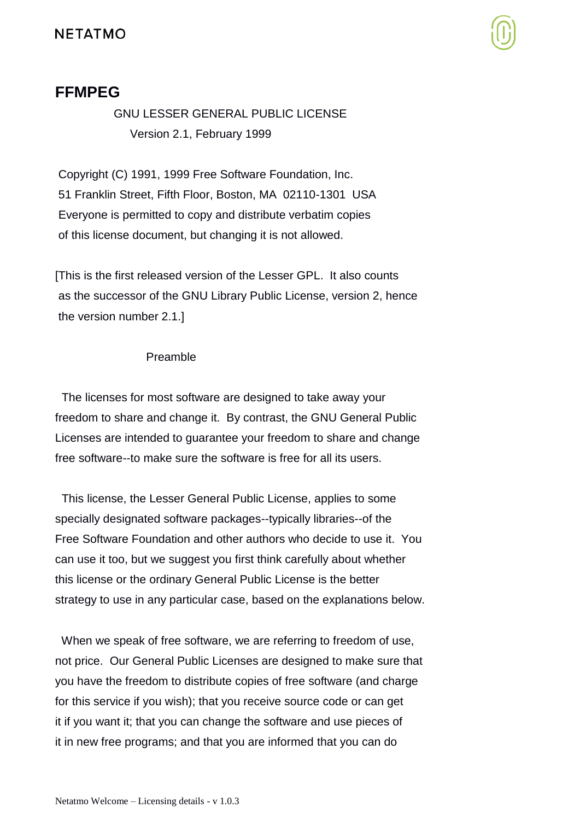

#### **FFMPEG**

 GNU LESSER GENERAL PUBLIC LICENSE Version 2.1, February 1999

Copyright (C) 1991, 1999 Free Software Foundation, Inc. 51 Franklin Street, Fifth Floor, Boston, MA 02110-1301 USA Everyone is permitted to copy and distribute verbatim copies of this license document, but changing it is not allowed.

[This is the first released version of the Lesser GPL. It also counts as the successor of the GNU Library Public License, version 2, hence the version number 2.1.]

#### Preamble

 The licenses for most software are designed to take away your freedom to share and change it. By contrast, the GNU General Public Licenses are intended to guarantee your freedom to share and change free software--to make sure the software is free for all its users.

 This license, the Lesser General Public License, applies to some specially designated software packages--typically libraries--of the Free Software Foundation and other authors who decide to use it. You can use it too, but we suggest you first think carefully about whether this license or the ordinary General Public License is the better strategy to use in any particular case, based on the explanations below.

 When we speak of free software, we are referring to freedom of use, not price. Our General Public Licenses are designed to make sure that you have the freedom to distribute copies of free software (and charge for this service if you wish); that you receive source code or can get it if you want it; that you can change the software and use pieces of it in new free programs; and that you are informed that you can do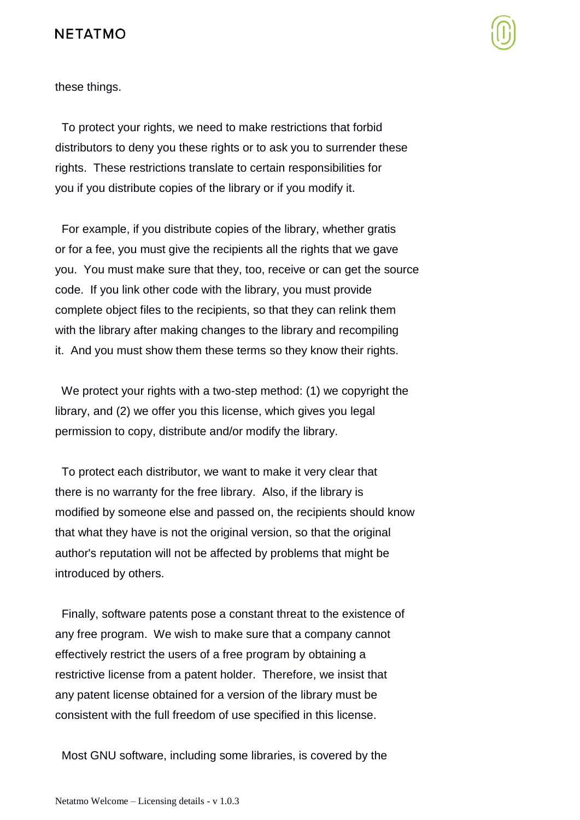

these things.

 To protect your rights, we need to make restrictions that forbid distributors to deny you these rights or to ask you to surrender these rights. These restrictions translate to certain responsibilities for you if you distribute copies of the library or if you modify it.

 For example, if you distribute copies of the library, whether gratis or for a fee, you must give the recipients all the rights that we gave you. You must make sure that they, too, receive or can get the source code. If you link other code with the library, you must provide complete object files to the recipients, so that they can relink them with the library after making changes to the library and recompiling it. And you must show them these terms so they know their rights.

 We protect your rights with a two-step method: (1) we copyright the library, and (2) we offer you this license, which gives you legal permission to copy, distribute and/or modify the library.

 To protect each distributor, we want to make it very clear that there is no warranty for the free library. Also, if the library is modified by someone else and passed on, the recipients should know that what they have is not the original version, so that the original author's reputation will not be affected by problems that might be introduced by others.

 Finally, software patents pose a constant threat to the existence of any free program. We wish to make sure that a company cannot effectively restrict the users of a free program by obtaining a restrictive license from a patent holder. Therefore, we insist that any patent license obtained for a version of the library must be consistent with the full freedom of use specified in this license.

Most GNU software, including some libraries, is covered by the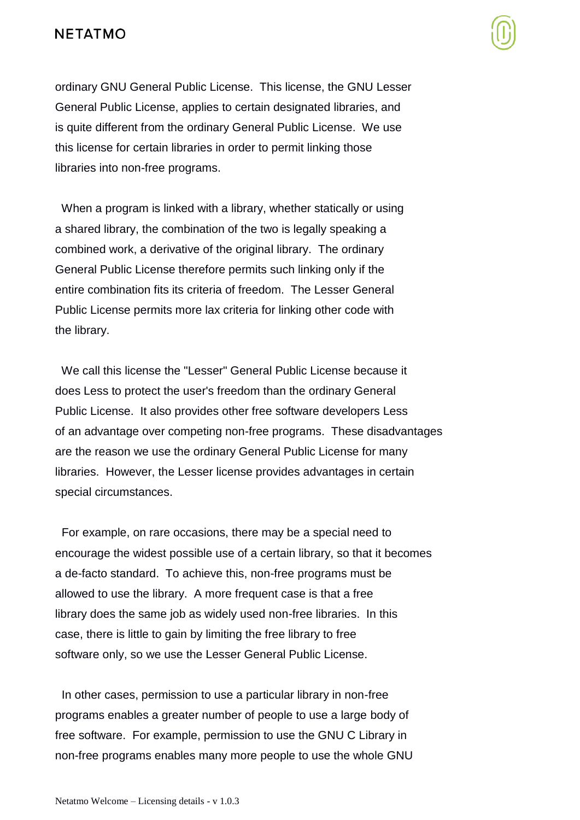ordinary GNU General Public License. This license, the GNU Lesser General Public License, applies to certain designated libraries, and is quite different from the ordinary General Public License. We use this license for certain libraries in order to permit linking those libraries into non-free programs.

 When a program is linked with a library, whether statically or using a shared library, the combination of the two is legally speaking a combined work, a derivative of the original library. The ordinary General Public License therefore permits such linking only if the entire combination fits its criteria of freedom. The Lesser General Public License permits more lax criteria for linking other code with the library.

 We call this license the "Lesser" General Public License because it does Less to protect the user's freedom than the ordinary General Public License. It also provides other free software developers Less of an advantage over competing non-free programs. These disadvantages are the reason we use the ordinary General Public License for many libraries. However, the Lesser license provides advantages in certain special circumstances.

 For example, on rare occasions, there may be a special need to encourage the widest possible use of a certain library, so that it becomes a de-facto standard. To achieve this, non-free programs must be allowed to use the library. A more frequent case is that a free library does the same job as widely used non-free libraries. In this case, there is little to gain by limiting the free library to free software only, so we use the Lesser General Public License.

 In other cases, permission to use a particular library in non-free programs enables a greater number of people to use a large body of free software. For example, permission to use the GNU C Library in non-free programs enables many more people to use the whole GNU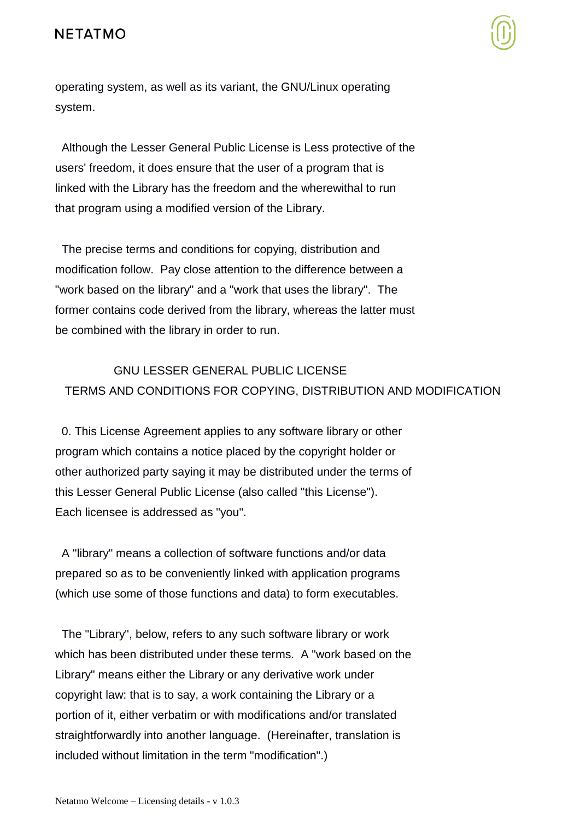operating system, as well as its variant, the GNU/Linux operating system.

 Although the Lesser General Public License is Less protective of the users' freedom, it does ensure that the user of a program that is linked with the Library has the freedom and the wherewithal to run that program using a modified version of the Library.

 The precise terms and conditions for copying, distribution and modification follow. Pay close attention to the difference between a "work based on the library" and a "work that uses the library". The former contains code derived from the library, whereas the latter must be combined with the library in order to run.

#### GNU LESSER GENERAL PUBLIC LICENSE TERMS AND CONDITIONS FOR COPYING, DISTRIBUTION AND MODIFICATION

 0. This License Agreement applies to any software library or other program which contains a notice placed by the copyright holder or other authorized party saying it may be distributed under the terms of this Lesser General Public License (also called "this License"). Each licensee is addressed as "you".

 A "library" means a collection of software functions and/or data prepared so as to be conveniently linked with application programs (which use some of those functions and data) to form executables.

 The "Library", below, refers to any such software library or work which has been distributed under these terms. A "work based on the Library" means either the Library or any derivative work under copyright law: that is to say, a work containing the Library or a portion of it, either verbatim or with modifications and/or translated straightforwardly into another language. (Hereinafter, translation is included without limitation in the term "modification".)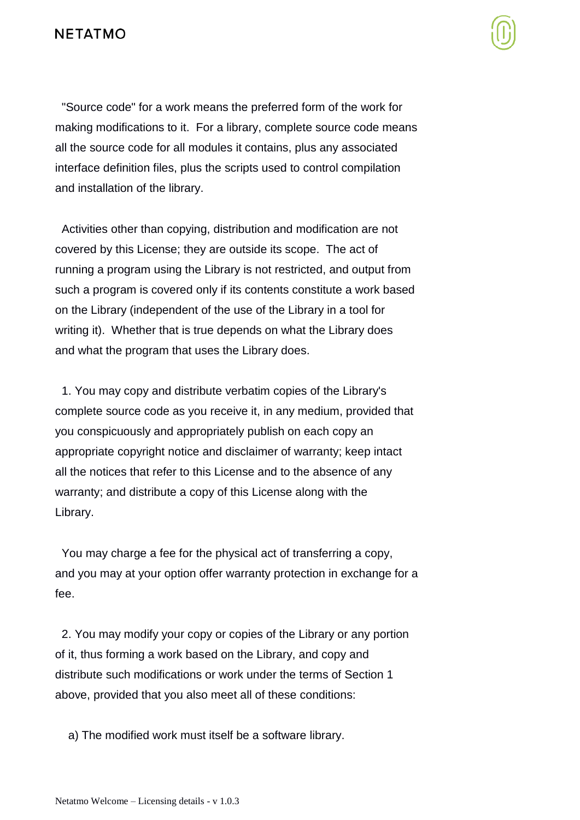"Source code" for a work means the preferred form of the work for making modifications to it. For a library, complete source code means all the source code for all modules it contains, plus any associated interface definition files, plus the scripts used to control compilation and installation of the library.

 Activities other than copying, distribution and modification are not covered by this License; they are outside its scope. The act of running a program using the Library is not restricted, and output from such a program is covered only if its contents constitute a work based on the Library (independent of the use of the Library in a tool for writing it). Whether that is true depends on what the Library does and what the program that uses the Library does.

 1. You may copy and distribute verbatim copies of the Library's complete source code as you receive it, in any medium, provided that you conspicuously and appropriately publish on each copy an appropriate copyright notice and disclaimer of warranty; keep intact all the notices that refer to this License and to the absence of any warranty; and distribute a copy of this License along with the Library.

 You may charge a fee for the physical act of transferring a copy, and you may at your option offer warranty protection in exchange for a fee.

 2. You may modify your copy or copies of the Library or any portion of it, thus forming a work based on the Library, and copy and distribute such modifications or work under the terms of Section 1 above, provided that you also meet all of these conditions:

a) The modified work must itself be a software library.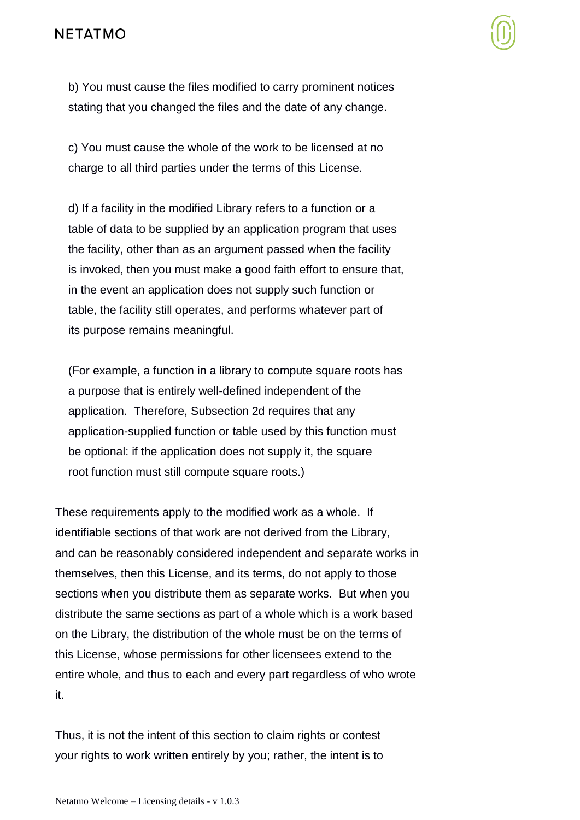b) You must cause the files modified to carry prominent notices stating that you changed the files and the date of any change.

 c) You must cause the whole of the work to be licensed at no charge to all third parties under the terms of this License.

 d) If a facility in the modified Library refers to a function or a table of data to be supplied by an application program that uses the facility, other than as an argument passed when the facility is invoked, then you must make a good faith effort to ensure that, in the event an application does not supply such function or table, the facility still operates, and performs whatever part of its purpose remains meaningful.

 (For example, a function in a library to compute square roots has a purpose that is entirely well-defined independent of the application. Therefore, Subsection 2d requires that any application-supplied function or table used by this function must be optional: if the application does not supply it, the square root function must still compute square roots.)

These requirements apply to the modified work as a whole. If identifiable sections of that work are not derived from the Library, and can be reasonably considered independent and separate works in themselves, then this License, and its terms, do not apply to those sections when you distribute them as separate works. But when you distribute the same sections as part of a whole which is a work based on the Library, the distribution of the whole must be on the terms of this License, whose permissions for other licensees extend to the entire whole, and thus to each and every part regardless of who wrote it.

Thus, it is not the intent of this section to claim rights or contest your rights to work written entirely by you; rather, the intent is to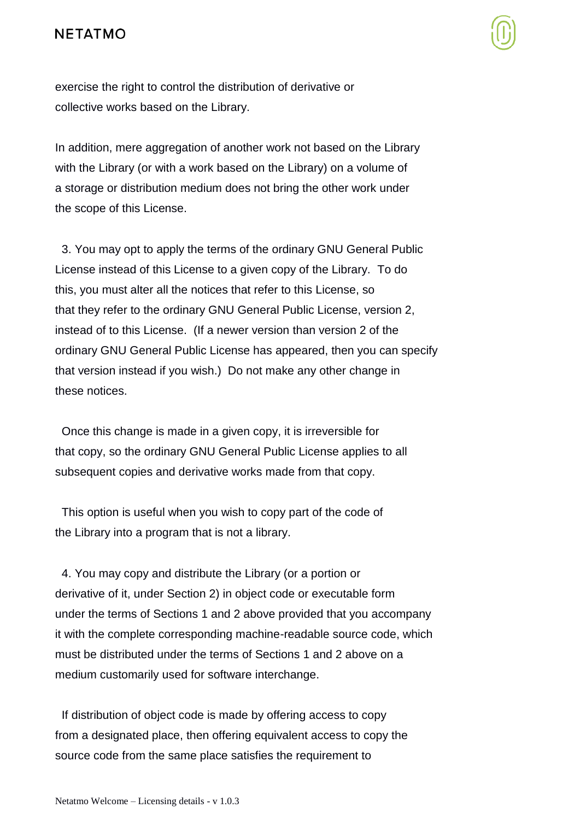exercise the right to control the distribution of derivative or collective works based on the Library.

In addition, mere aggregation of another work not based on the Library with the Library (or with a work based on the Library) on a volume of a storage or distribution medium does not bring the other work under the scope of this License.

 3. You may opt to apply the terms of the ordinary GNU General Public License instead of this License to a given copy of the Library. To do this, you must alter all the notices that refer to this License, so that they refer to the ordinary GNU General Public License, version 2, instead of to this License. (If a newer version than version 2 of the ordinary GNU General Public License has appeared, then you can specify that version instead if you wish.) Do not make any other change in these notices.

 Once this change is made in a given copy, it is irreversible for that copy, so the ordinary GNU General Public License applies to all subsequent copies and derivative works made from that copy.

 This option is useful when you wish to copy part of the code of the Library into a program that is not a library.

 4. You may copy and distribute the Library (or a portion or derivative of it, under Section 2) in object code or executable form under the terms of Sections 1 and 2 above provided that you accompany it with the complete corresponding machine-readable source code, which must be distributed under the terms of Sections 1 and 2 above on a medium customarily used for software interchange.

 If distribution of object code is made by offering access to copy from a designated place, then offering equivalent access to copy the source code from the same place satisfies the requirement to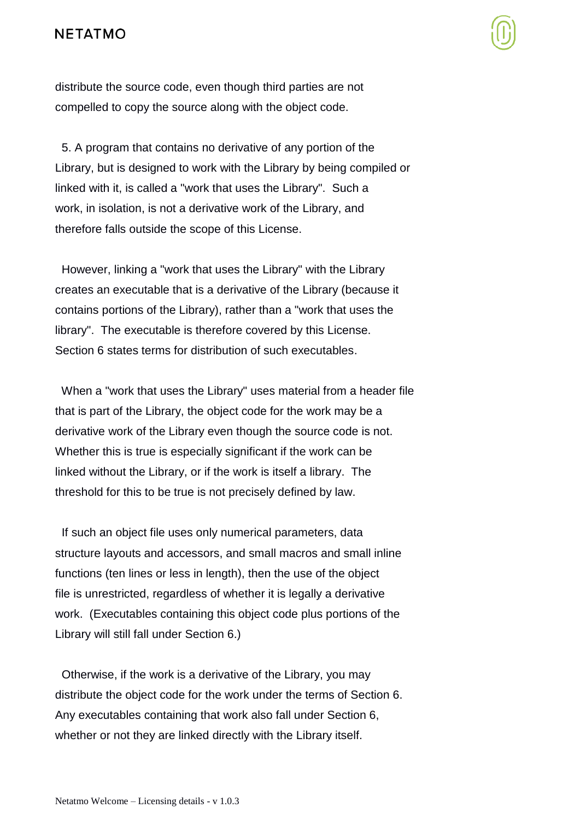distribute the source code, even though third parties are not compelled to copy the source along with the object code.

 5. A program that contains no derivative of any portion of the Library, but is designed to work with the Library by being compiled or linked with it, is called a "work that uses the Library". Such a work, in isolation, is not a derivative work of the Library, and therefore falls outside the scope of this License.

 However, linking a "work that uses the Library" with the Library creates an executable that is a derivative of the Library (because it contains portions of the Library), rather than a "work that uses the library". The executable is therefore covered by this License. Section 6 states terms for distribution of such executables.

 When a "work that uses the Library" uses material from a header file that is part of the Library, the object code for the work may be a derivative work of the Library even though the source code is not. Whether this is true is especially significant if the work can be linked without the Library, or if the work is itself a library. The threshold for this to be true is not precisely defined by law.

 If such an object file uses only numerical parameters, data structure layouts and accessors, and small macros and small inline functions (ten lines or less in length), then the use of the object file is unrestricted, regardless of whether it is legally a derivative work. (Executables containing this object code plus portions of the Library will still fall under Section 6.)

 Otherwise, if the work is a derivative of the Library, you may distribute the object code for the work under the terms of Section 6. Any executables containing that work also fall under Section 6, whether or not they are linked directly with the Library itself.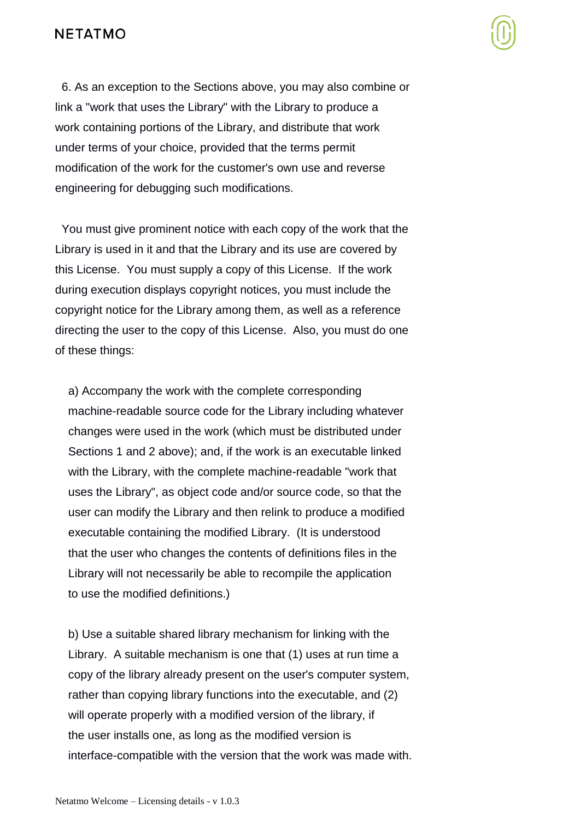6. As an exception to the Sections above, you may also combine or link a "work that uses the Library" with the Library to produce a work containing portions of the Library, and distribute that work under terms of your choice, provided that the terms permit modification of the work for the customer's own use and reverse engineering for debugging such modifications.

 You must give prominent notice with each copy of the work that the Library is used in it and that the Library and its use are covered by this License. You must supply a copy of this License. If the work during execution displays copyright notices, you must include the copyright notice for the Library among them, as well as a reference directing the user to the copy of this License. Also, you must do one of these things:

 a) Accompany the work with the complete corresponding machine-readable source code for the Library including whatever changes were used in the work (which must be distributed under Sections 1 and 2 above); and, if the work is an executable linked with the Library, with the complete machine-readable "work that uses the Library", as object code and/or source code, so that the user can modify the Library and then relink to produce a modified executable containing the modified Library. (It is understood that the user who changes the contents of definitions files in the Library will not necessarily be able to recompile the application to use the modified definitions.)

 b) Use a suitable shared library mechanism for linking with the Library. A suitable mechanism is one that (1) uses at run time a copy of the library already present on the user's computer system, rather than copying library functions into the executable, and (2) will operate properly with a modified version of the library, if the user installs one, as long as the modified version is interface-compatible with the version that the work was made with.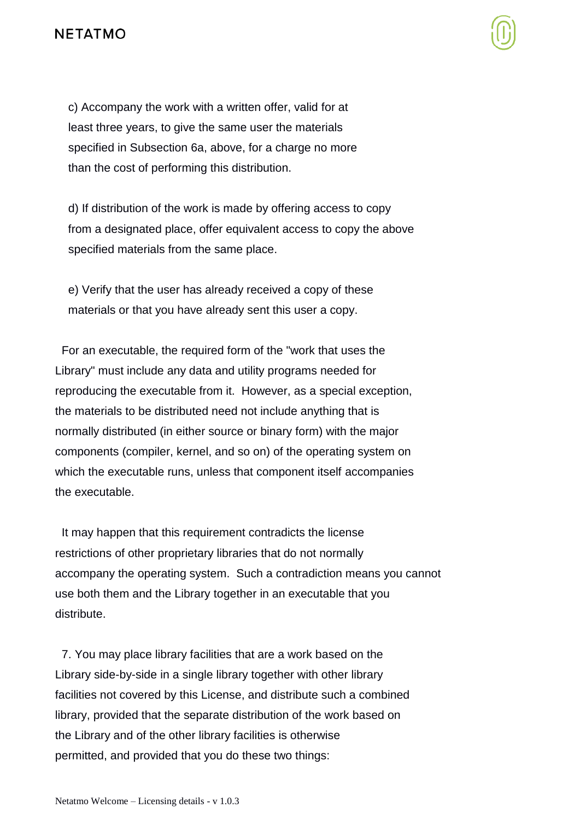c) Accompany the work with a written offer, valid for at least three years, to give the same user the materials specified in Subsection 6a, above, for a charge no more than the cost of performing this distribution.

 d) If distribution of the work is made by offering access to copy from a designated place, offer equivalent access to copy the above specified materials from the same place.

 e) Verify that the user has already received a copy of these materials or that you have already sent this user a copy.

 For an executable, the required form of the "work that uses the Library" must include any data and utility programs needed for reproducing the executable from it. However, as a special exception, the materials to be distributed need not include anything that is normally distributed (in either source or binary form) with the major components (compiler, kernel, and so on) of the operating system on which the executable runs, unless that component itself accompanies the executable.

 It may happen that this requirement contradicts the license restrictions of other proprietary libraries that do not normally accompany the operating system. Such a contradiction means you cannot use both them and the Library together in an executable that you distribute.

 7. You may place library facilities that are a work based on the Library side-by-side in a single library together with other library facilities not covered by this License, and distribute such a combined library, provided that the separate distribution of the work based on the Library and of the other library facilities is otherwise permitted, and provided that you do these two things: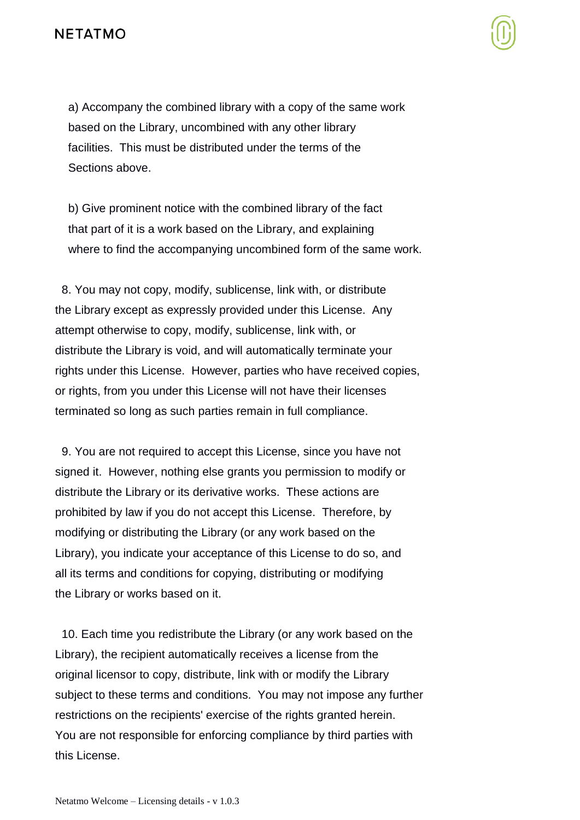a) Accompany the combined library with a copy of the same work based on the Library, uncombined with any other library facilities. This must be distributed under the terms of the Sections above.

 b) Give prominent notice with the combined library of the fact that part of it is a work based on the Library, and explaining where to find the accompanying uncombined form of the same work.

 8. You may not copy, modify, sublicense, link with, or distribute the Library except as expressly provided under this License. Any attempt otherwise to copy, modify, sublicense, link with, or distribute the Library is void, and will automatically terminate your rights under this License. However, parties who have received copies, or rights, from you under this License will not have their licenses terminated so long as such parties remain in full compliance.

 9. You are not required to accept this License, since you have not signed it. However, nothing else grants you permission to modify or distribute the Library or its derivative works. These actions are prohibited by law if you do not accept this License. Therefore, by modifying or distributing the Library (or any work based on the Library), you indicate your acceptance of this License to do so, and all its terms and conditions for copying, distributing or modifying the Library or works based on it.

 10. Each time you redistribute the Library (or any work based on the Library), the recipient automatically receives a license from the original licensor to copy, distribute, link with or modify the Library subject to these terms and conditions. You may not impose any further restrictions on the recipients' exercise of the rights granted herein. You are not responsible for enforcing compliance by third parties with this License.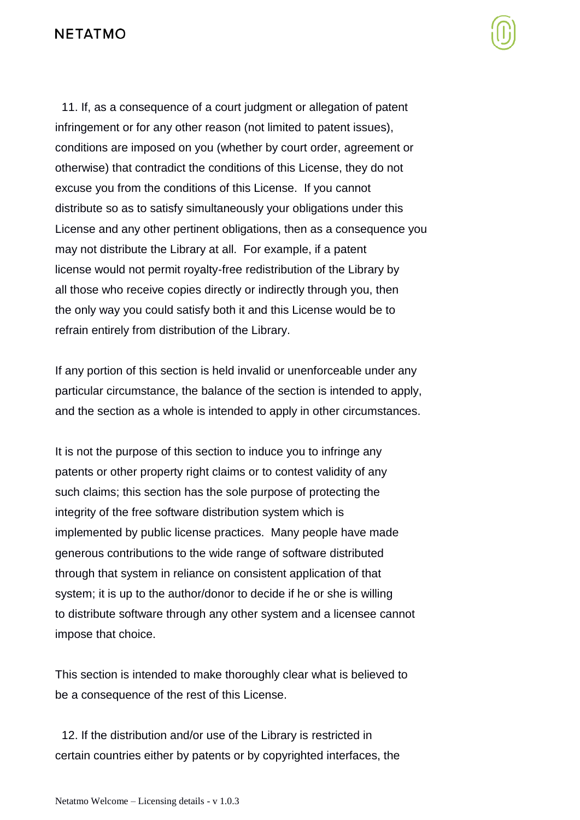11. If, as a consequence of a court judgment or allegation of patent infringement or for any other reason (not limited to patent issues), conditions are imposed on you (whether by court order, agreement or otherwise) that contradict the conditions of this License, they do not excuse you from the conditions of this License. If you cannot distribute so as to satisfy simultaneously your obligations under this License and any other pertinent obligations, then as a consequence you may not distribute the Library at all. For example, if a patent license would not permit royalty-free redistribution of the Library by all those who receive copies directly or indirectly through you, then the only way you could satisfy both it and this License would be to refrain entirely from distribution of the Library.

If any portion of this section is held invalid or unenforceable under any particular circumstance, the balance of the section is intended to apply, and the section as a whole is intended to apply in other circumstances.

It is not the purpose of this section to induce you to infringe any patents or other property right claims or to contest validity of any such claims; this section has the sole purpose of protecting the integrity of the free software distribution system which is implemented by public license practices. Many people have made generous contributions to the wide range of software distributed through that system in reliance on consistent application of that system; it is up to the author/donor to decide if he or she is willing to distribute software through any other system and a licensee cannot impose that choice.

This section is intended to make thoroughly clear what is believed to be a consequence of the rest of this License.

 12. If the distribution and/or use of the Library is restricted in certain countries either by patents or by copyrighted interfaces, the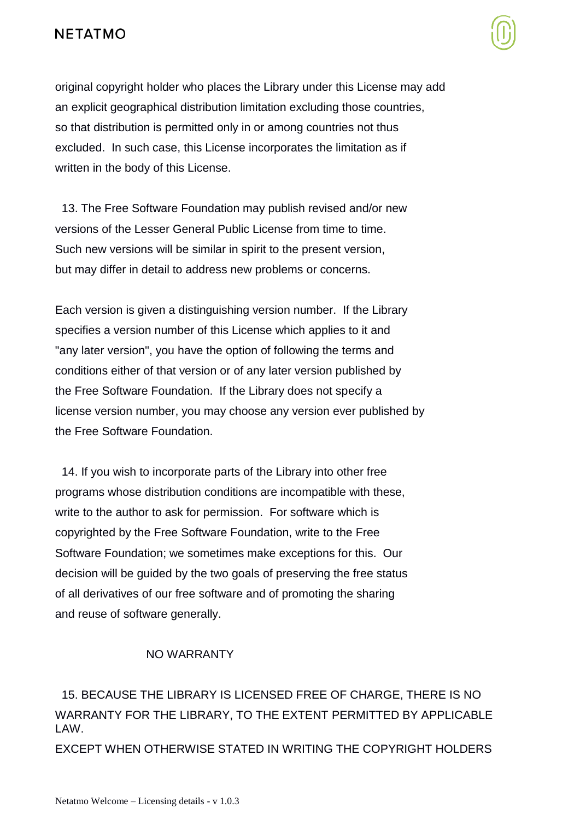original copyright holder who places the Library under this License may add an explicit geographical distribution limitation excluding those countries, so that distribution is permitted only in or among countries not thus excluded. In such case, this License incorporates the limitation as if written in the body of this License.

 13. The Free Software Foundation may publish revised and/or new versions of the Lesser General Public License from time to time. Such new versions will be similar in spirit to the present version, but may differ in detail to address new problems or concerns.

Each version is given a distinguishing version number. If the Library specifies a version number of this License which applies to it and "any later version", you have the option of following the terms and conditions either of that version or of any later version published by the Free Software Foundation. If the Library does not specify a license version number, you may choose any version ever published by the Free Software Foundation.

 14. If you wish to incorporate parts of the Library into other free programs whose distribution conditions are incompatible with these, write to the author to ask for permission. For software which is copyrighted by the Free Software Foundation, write to the Free Software Foundation; we sometimes make exceptions for this. Our decision will be guided by the two goals of preserving the free status of all derivatives of our free software and of promoting the sharing and reuse of software generally.

#### NO WARRANTY

 15. BECAUSE THE LIBRARY IS LICENSED FREE OF CHARGE, THERE IS NO WARRANTY FOR THE LIBRARY, TO THE EXTENT PERMITTED BY APPLICABLE LAW.

EXCEPT WHEN OTHERWISE STATED IN WRITING THE COPYRIGHT HOLDERS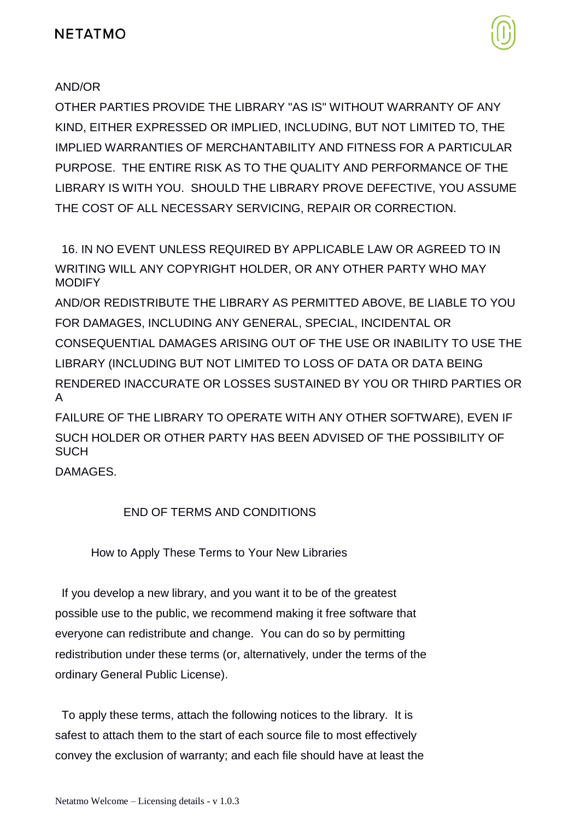

#### AND/OR

OTHER PARTIES PROVIDE THE LIBRARY "AS IS" WITHOUT WARRANTY OF ANY KIND, EITHER EXPRESSED OR IMPLIED, INCLUDING, BUT NOT LIMITED TO, THE IMPLIED WARRANTIES OF MERCHANTABILITY AND FITNESS FOR A PARTICULAR PURPOSE. THE ENTIRE RISK AS TO THE QUALITY AND PERFORMANCE OF THE LIBRARY IS WITH YOU. SHOULD THE LIBRARY PROVE DEFECTIVE, YOU ASSUME THE COST OF ALL NECESSARY SERVICING, REPAIR OR CORRECTION.

 16. IN NO EVENT UNLESS REQUIRED BY APPLICABLE LAW OR AGREED TO IN WRITING WILL ANY COPYRIGHT HOLDER, OR ANY OTHER PARTY WHO MAY MODIFY

AND/OR REDISTRIBUTE THE LIBRARY AS PERMITTED ABOVE, BE LIABLE TO YOU FOR DAMAGES, INCLUDING ANY GENERAL, SPECIAL, INCIDENTAL OR CONSEQUENTIAL DAMAGES ARISING OUT OF THE USE OR INABILITY TO USE THE LIBRARY (INCLUDING BUT NOT LIMITED TO LOSS OF DATA OR DATA BEING RENDERED INACCURATE OR LOSSES SUSTAINED BY YOU OR THIRD PARTIES OR A

FAILURE OF THE LIBRARY TO OPERATE WITH ANY OTHER SOFTWARE), EVEN IF SUCH HOLDER OR OTHER PARTY HAS BEEN ADVISED OF THE POSSIBILITY OF SUCH

DAMAGES.

#### END OF TERMS AND CONDITIONS

How to Apply These Terms to Your New Libraries

 If you develop a new library, and you want it to be of the greatest possible use to the public, we recommend making it free software that everyone can redistribute and change. You can do so by permitting redistribution under these terms (or, alternatively, under the terms of the ordinary General Public License).

 To apply these terms, attach the following notices to the library. It is safest to attach them to the start of each source file to most effectively convey the exclusion of warranty; and each file should have at least the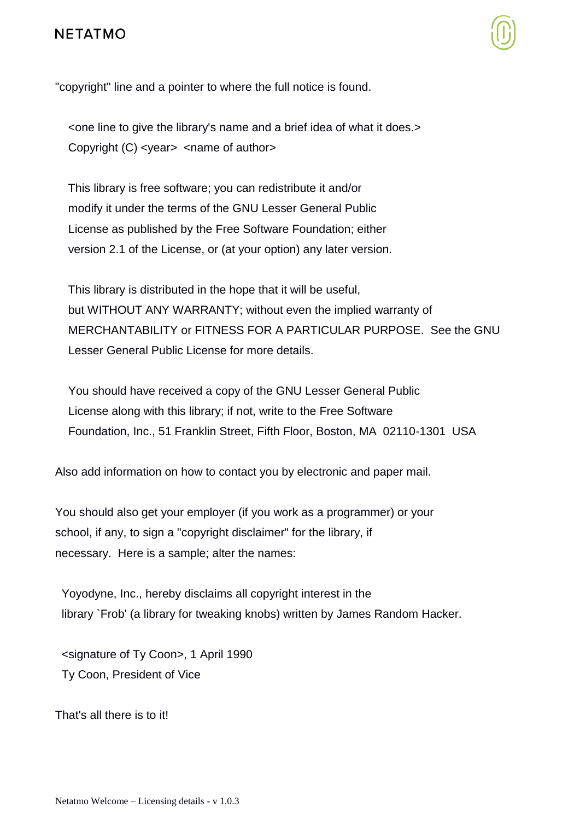"copyright" line and a pointer to where the full notice is found.

 <one line to give the library's name and a brief idea of what it does.> Copyright (C) <year> <name of author>

 This library is free software; you can redistribute it and/or modify it under the terms of the GNU Lesser General Public License as published by the Free Software Foundation; either version 2.1 of the License, or (at your option) any later version.

 This library is distributed in the hope that it will be useful, but WITHOUT ANY WARRANTY; without even the implied warranty of MERCHANTABILITY or FITNESS FOR A PARTICULAR PURPOSE. See the GNU Lesser General Public License for more details.

 You should have received a copy of the GNU Lesser General Public License along with this library; if not, write to the Free Software Foundation, Inc., 51 Franklin Street, Fifth Floor, Boston, MA 02110-1301 USA

Also add information on how to contact you by electronic and paper mail.

You should also get your employer (if you work as a programmer) or your school, if any, to sign a "copyright disclaimer" for the library, if necessary. Here is a sample; alter the names:

 Yoyodyne, Inc., hereby disclaims all copyright interest in the library `Frob' (a library for tweaking knobs) written by James Random Hacker.

 <signature of Ty Coon>, 1 April 1990 Ty Coon, President of Vice

That's all there is to it!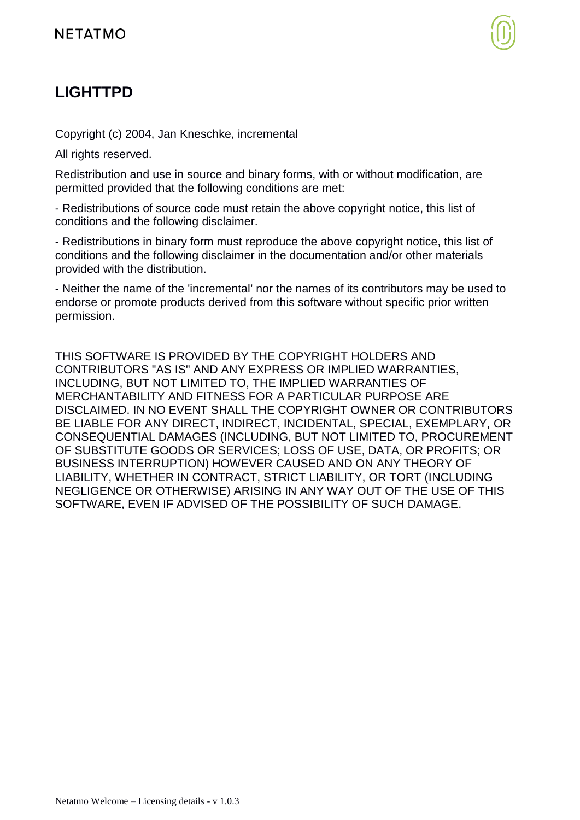

## **LIGHTTPD**

Copyright (c) 2004, Jan Kneschke, incremental

All rights reserved.

Redistribution and use in source and binary forms, with or without modification, are permitted provided that the following conditions are met:

- Redistributions of source code must retain the above copyright notice, this list of conditions and the following disclaimer.

- Redistributions in binary form must reproduce the above copyright notice, this list of conditions and the following disclaimer in the documentation and/or other materials provided with the distribution.

- Neither the name of the 'incremental' nor the names of its contributors may be used to endorse or promote products derived from this software without specific prior written permission.

THIS SOFTWARE IS PROVIDED BY THE COPYRIGHT HOLDERS AND CONTRIBUTORS "AS IS" AND ANY EXPRESS OR IMPLIED WARRANTIES, INCLUDING, BUT NOT LIMITED TO, THE IMPLIED WARRANTIES OF MERCHANTABILITY AND FITNESS FOR A PARTICULAR PURPOSE ARE DISCLAIMED. IN NO EVENT SHALL THE COPYRIGHT OWNER OR CONTRIBUTORS BE LIABLE FOR ANY DIRECT, INDIRECT, INCIDENTAL, SPECIAL, EXEMPLARY, OR CONSEQUENTIAL DAMAGES (INCLUDING, BUT NOT LIMITED TO, PROCUREMENT OF SUBSTITUTE GOODS OR SERVICES; LOSS OF USE, DATA, OR PROFITS; OR BUSINESS INTERRUPTION) HOWEVER CAUSED AND ON ANY THEORY OF LIABILITY, WHETHER IN CONTRACT, STRICT LIABILITY, OR TORT (INCLUDING NEGLIGENCE OR OTHERWISE) ARISING IN ANY WAY OUT OF THE USE OF THIS SOFTWARE, EVEN IF ADVISED OF THE POSSIBILITY OF SUCH DAMAGE.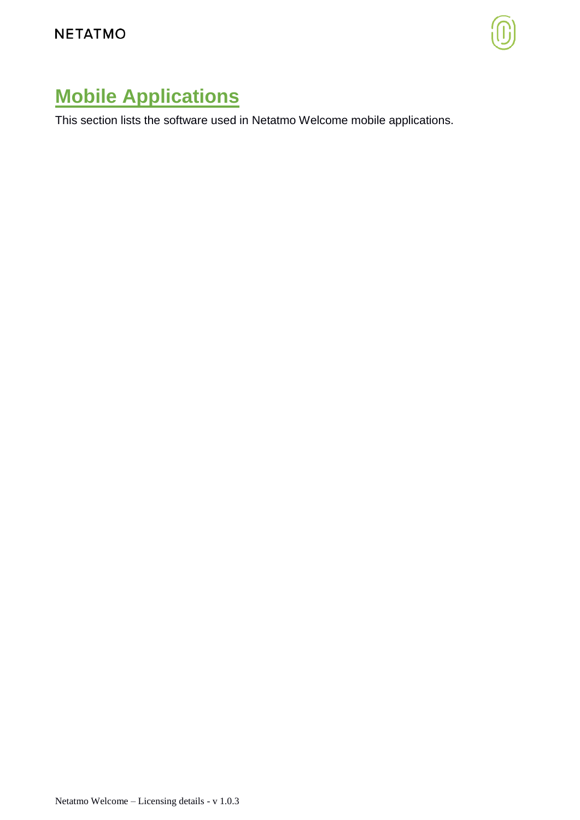

# **Mobile Applications**

This section lists the software used in Netatmo Welcome mobile applications.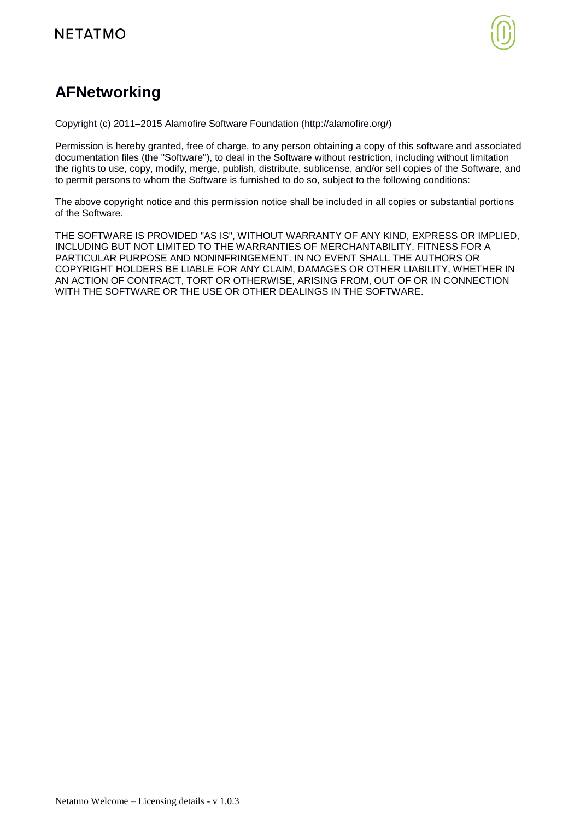

## **AFNetworking**

Copyright (c) 2011–2015 Alamofire Software Foundation (http://alamofire.org/)

Permission is hereby granted, free of charge, to any person obtaining a copy of this software and associated documentation files (the "Software"), to deal in the Software without restriction, including without limitation the rights to use, copy, modify, merge, publish, distribute, sublicense, and/or sell copies of the Software, and to permit persons to whom the Software is furnished to do so, subject to the following conditions:

The above copyright notice and this permission notice shall be included in all copies or substantial portions of the Software.

THE SOFTWARE IS PROVIDED "AS IS", WITHOUT WARRANTY OF ANY KIND, EXPRESS OR IMPLIED, INCLUDING BUT NOT LIMITED TO THE WARRANTIES OF MERCHANTABILITY, FITNESS FOR A PARTICULAR PURPOSE AND NONINFRINGEMENT. IN NO EVENT SHALL THE AUTHORS OR COPYRIGHT HOLDERS BE LIABLE FOR ANY CLAIM, DAMAGES OR OTHER LIABILITY, WHETHER IN AN ACTION OF CONTRACT, TORT OR OTHERWISE, ARISING FROM, OUT OF OR IN CONNECTION WITH THE SOFTWARE OR THE USE OR OTHER DEALINGS IN THE SOFTWARE.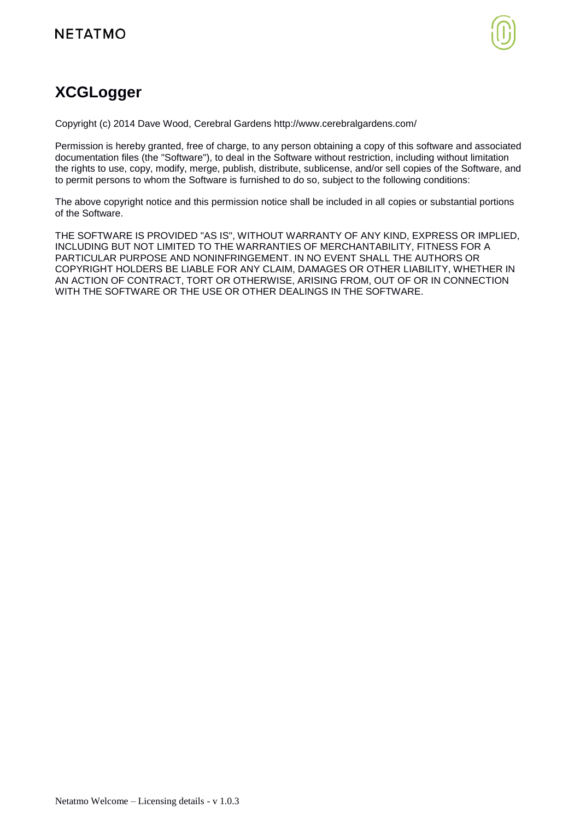

### **XCGLogger**

Copyright (c) 2014 Dave Wood, Cerebral Gardens http://www.cerebralgardens.com/

Permission is hereby granted, free of charge, to any person obtaining a copy of this software and associated documentation files (the "Software"), to deal in the Software without restriction, including without limitation the rights to use, copy, modify, merge, publish, distribute, sublicense, and/or sell copies of the Software, and to permit persons to whom the Software is furnished to do so, subject to the following conditions:

The above copyright notice and this permission notice shall be included in all copies or substantial portions of the Software.

THE SOFTWARE IS PROVIDED "AS IS", WITHOUT WARRANTY OF ANY KIND, EXPRESS OR IMPLIED, INCLUDING BUT NOT LIMITED TO THE WARRANTIES OF MERCHANTABILITY, FITNESS FOR A PARTICULAR PURPOSE AND NONINFRINGEMENT. IN NO EVENT SHALL THE AUTHORS OR COPYRIGHT HOLDERS BE LIABLE FOR ANY CLAIM, DAMAGES OR OTHER LIABILITY, WHETHER IN AN ACTION OF CONTRACT, TORT OR OTHERWISE, ARISING FROM, OUT OF OR IN CONNECTION WITH THE SOFTWARE OR THE USE OR OTHER DEALINGS IN THE SOFTWARE.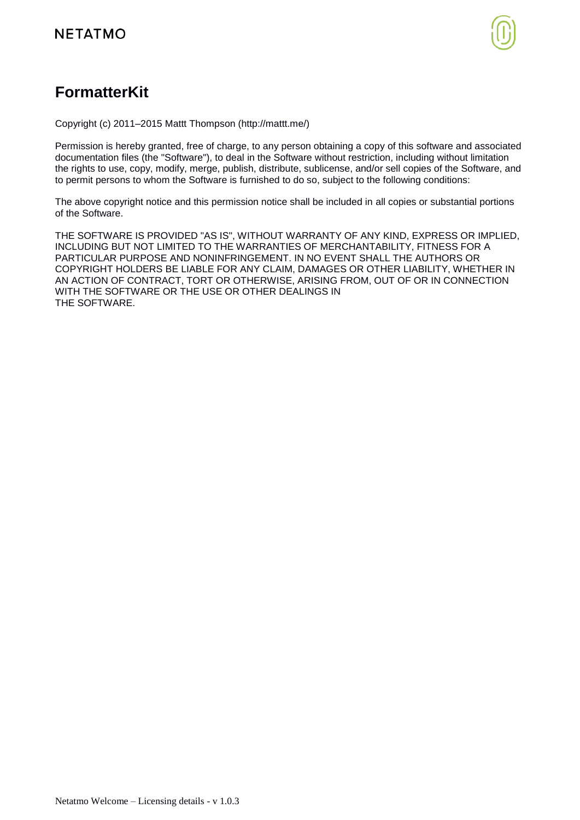## **FormatterKit**

Copyright (c) 2011–2015 Mattt Thompson (http://mattt.me/)

Permission is hereby granted, free of charge, to any person obtaining a copy of this software and associated documentation files (the "Software"), to deal in the Software without restriction, including without limitation the rights to use, copy, modify, merge, publish, distribute, sublicense, and/or sell copies of the Software, and to permit persons to whom the Software is furnished to do so, subject to the following conditions:

The above copyright notice and this permission notice shall be included in all copies or substantial portions of the Software.

THE SOFTWARE IS PROVIDED "AS IS", WITHOUT WARRANTY OF ANY KIND, EXPRESS OR IMPLIED, INCLUDING BUT NOT LIMITED TO THE WARRANTIES OF MERCHANTABILITY, FITNESS FOR A PARTICULAR PURPOSE AND NONINFRINGEMENT. IN NO EVENT SHALL THE AUTHORS OR COPYRIGHT HOLDERS BE LIABLE FOR ANY CLAIM, DAMAGES OR OTHER LIABILITY, WHETHER IN AN ACTION OF CONTRACT, TORT OR OTHERWISE, ARISING FROM, OUT OF OR IN CONNECTION WITH THE SOFTWARE OR THE USE OR OTHER DEALINGS IN THE SOFTWARE.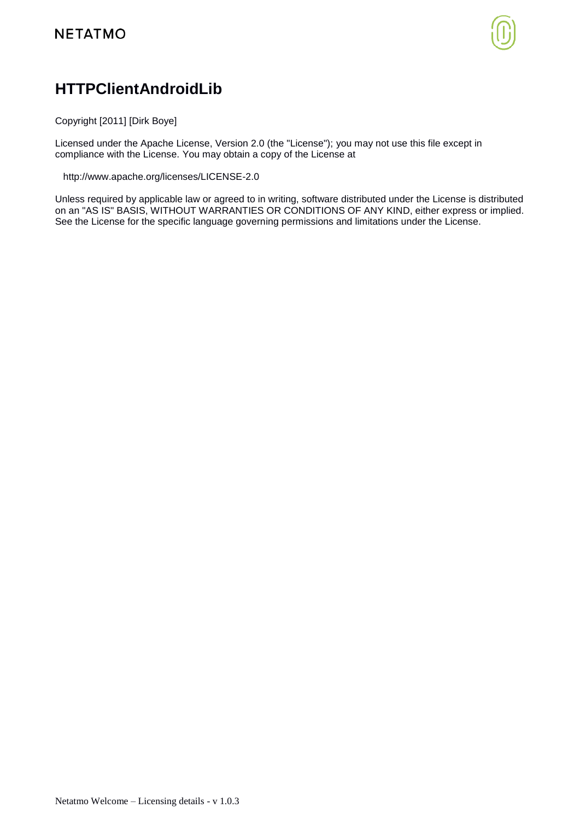# **HTTPClientAndroidLib**

Copyright [2011] [Dirk Boye]

Licensed under the Apache License, Version 2.0 (the "License"); you may not use this file except in compliance with the License. You may obtain a copy of the License at

http://www.apache.org/licenses/LICENSE-2.0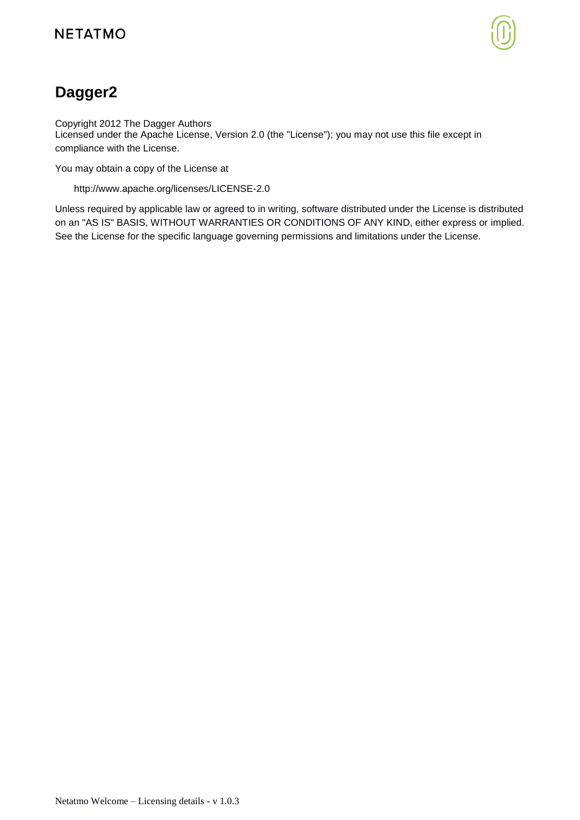

# **Dagger2**

Copyright 2012 The Dagger Authors

Licensed under the Apache License, Version 2.0 (the "License"); you may not use this file except in compliance with the License.

You may obtain a copy of the License at

http://www.apache.org/licenses/LICENSE-2.0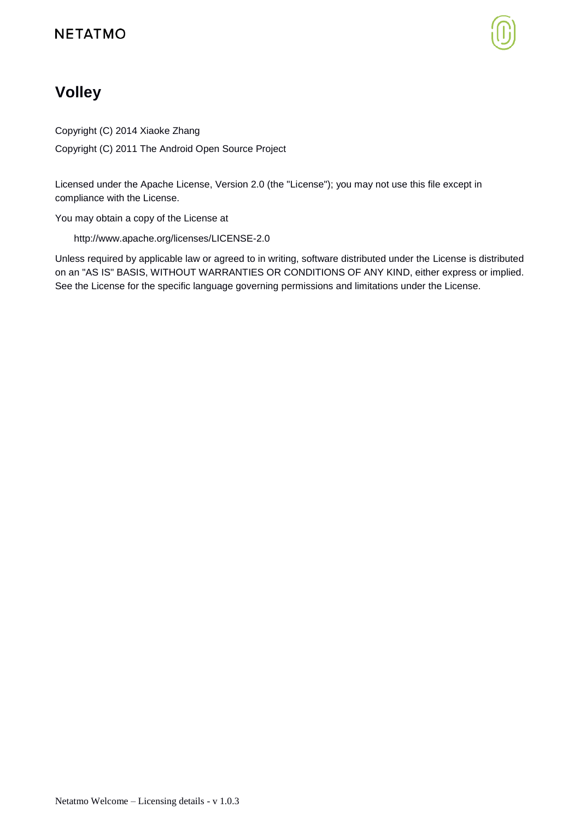

# **Volley**

Copyright (C) 2014 Xiaoke Zhang Copyright (C) 2011 The Android Open Source Project

Licensed under the Apache License, Version 2.0 (the "License"); you may not use this file except in compliance with the License.

You may obtain a copy of the License at

http://www.apache.org/licenses/LICENSE-2.0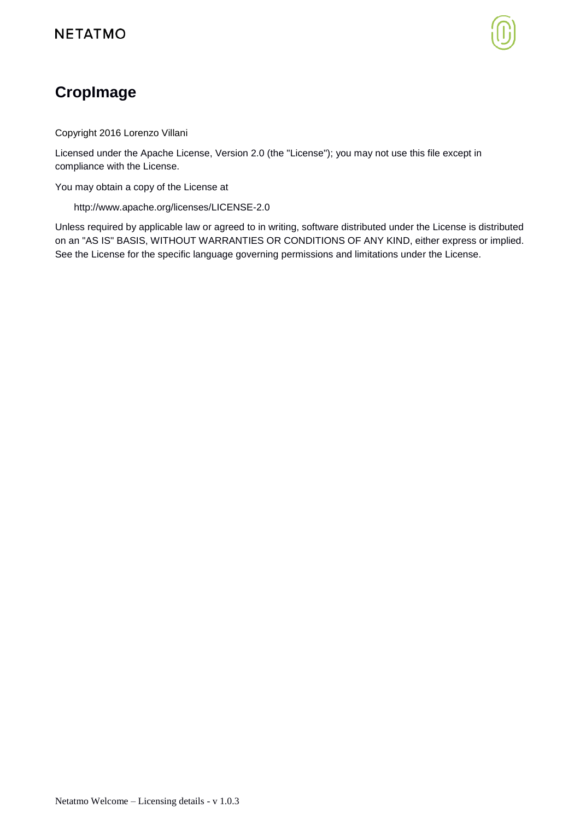

# **CropImage**

Copyright 2016 Lorenzo Villani

Licensed under the Apache License, Version 2.0 (the "License"); you may not use this file except in compliance with the License.

You may obtain a copy of the License at

http://www.apache.org/licenses/LICENSE-2.0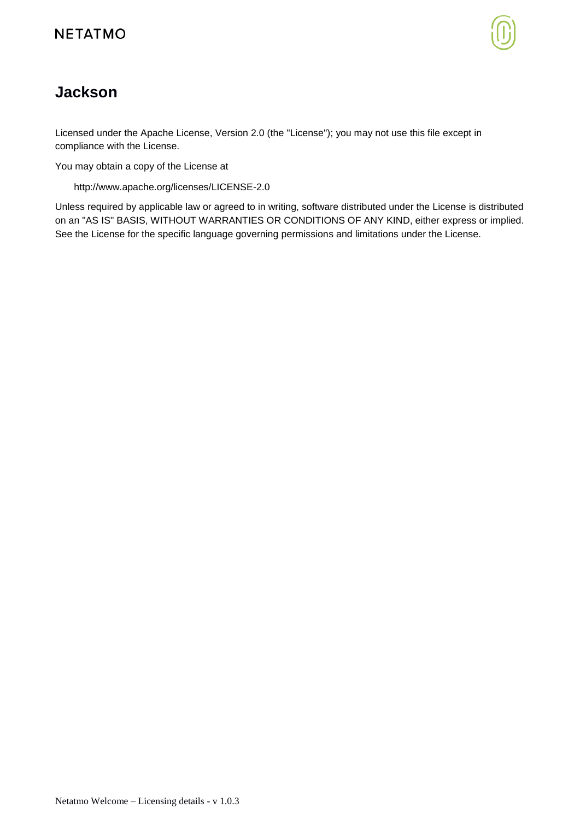# **Jackson**

Licensed under the Apache License, Version 2.0 (the "License"); you may not use this file except in compliance with the License.

You may obtain a copy of the License at

http://www.apache.org/licenses/LICENSE-2.0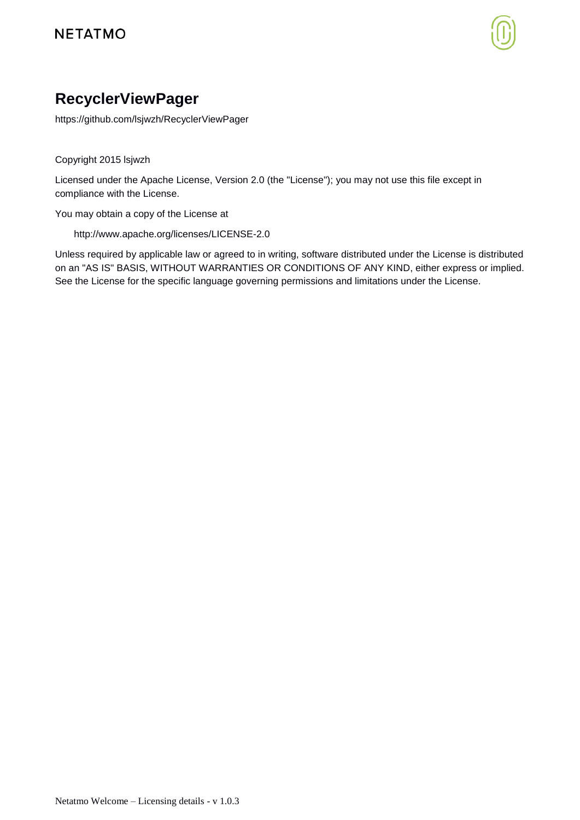

# **RecyclerViewPager**

https://github.com/lsjwzh/RecyclerViewPager

Copyright 2015 lsjwzh

Licensed under the Apache License, Version 2.0 (the "License"); you may not use this file except in compliance with the License.

You may obtain a copy of the License at

http://www.apache.org/licenses/LICENSE-2.0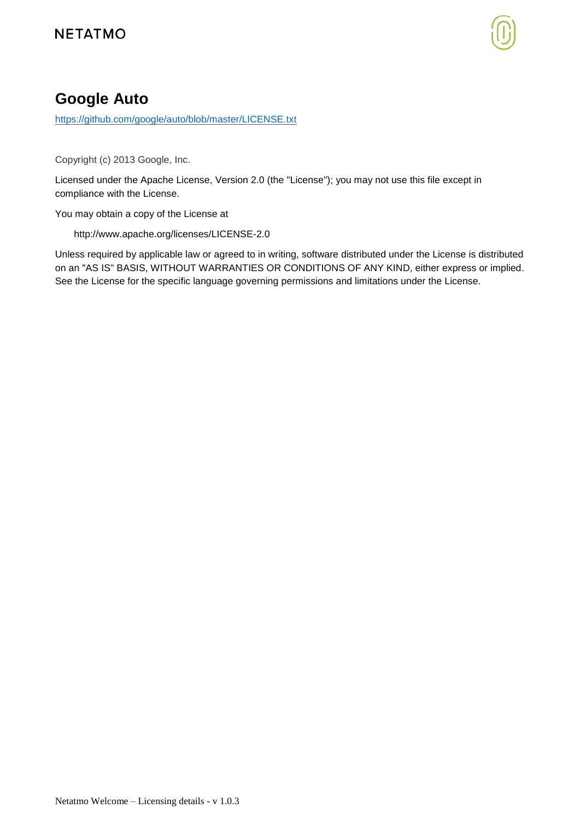

# **Google Auto**

<https://github.com/google/auto/blob/master/LICENSE.txt>

Copyright (c) 2013 Google, Inc.

Licensed under the Apache License, Version 2.0 (the "License"); you may not use this file except in compliance with the License.

You may obtain a copy of the License at

http://www.apache.org/licenses/LICENSE-2.0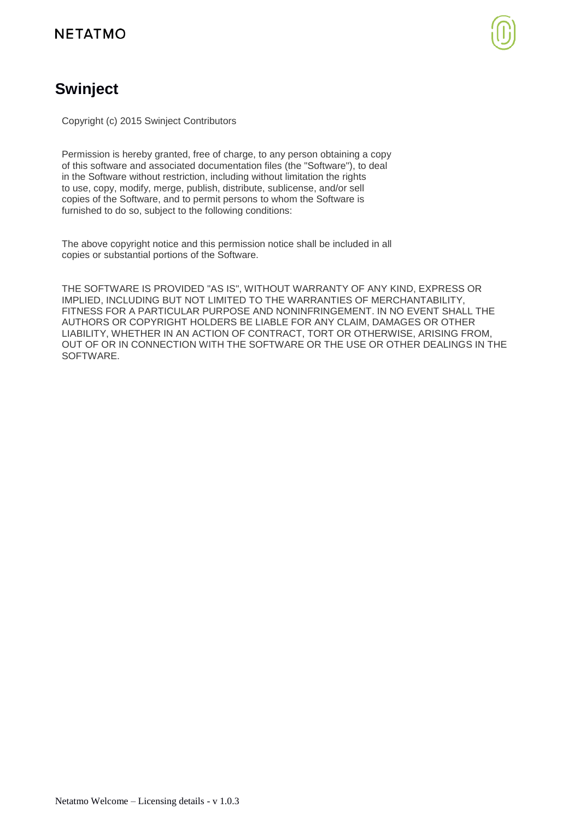

### **Swinject**

Copyright (c) 2015 Swinject Contributors

Permission is hereby granted, free of charge, to any person obtaining a copy of this software and associated documentation files (the "Software"), to deal in the Software without restriction, including without limitation the rights to use, copy, modify, merge, publish, distribute, sublicense, and/or sell copies of the Software, and to permit persons to whom the Software is furnished to do so, subject to the following conditions:

The above copyright notice and this permission notice shall be included in all copies or substantial portions of the Software.

THE SOFTWARE IS PROVIDED "AS IS", WITHOUT WARRANTY OF ANY KIND, EXPRESS OR IMPLIED, INCLUDING BUT NOT LIMITED TO THE WARRANTIES OF MERCHANTABILITY, FITNESS FOR A PARTICULAR PURPOSE AND NONINFRINGEMENT. IN NO EVENT SHALL THE AUTHORS OR COPYRIGHT HOLDERS BE LIABLE FOR ANY CLAIM, DAMAGES OR OTHER LIABILITY, WHETHER IN AN ACTION OF CONTRACT, TORT OR OTHERWISE, ARISING FROM, OUT OF OR IN CONNECTION WITH THE SOFTWARE OR THE USE OR OTHER DEALINGS IN THE SOFTWARE.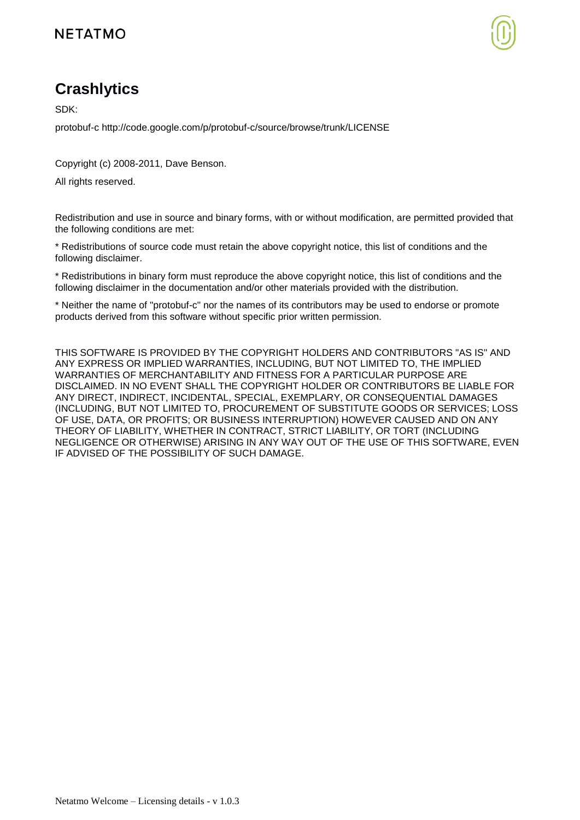

# **Crashlytics**

SDK:

protobuf-c http://code.google.com/p/protobuf-c/source/browse/trunk/LICENSE

Copyright (c) 2008-2011, Dave Benson.

All rights reserved.

Redistribution and use in source and binary forms, with or without modification, are permitted provided that the following conditions are met:

\* Redistributions of source code must retain the above copyright notice, this list of conditions and the following disclaimer.

\* Redistributions in binary form must reproduce the above copyright notice, this list of conditions and the following disclaimer in the documentation and/or other materials provided with the distribution.

\* Neither the name of "protobuf-c" nor the names of its contributors may be used to endorse or promote products derived from this software without specific prior written permission.

THIS SOFTWARE IS PROVIDED BY THE COPYRIGHT HOLDERS AND CONTRIBUTORS "AS IS" AND ANY EXPRESS OR IMPLIED WARRANTIES, INCLUDING, BUT NOT LIMITED TO, THE IMPLIED WARRANTIES OF MERCHANTABILITY AND FITNESS FOR A PARTICULAR PURPOSE ARE DISCLAIMED. IN NO EVENT SHALL THE COPYRIGHT HOLDER OR CONTRIBUTORS BE LIABLE FOR ANY DIRECT, INDIRECT, INCIDENTAL, SPECIAL, EXEMPLARY, OR CONSEQUENTIAL DAMAGES (INCLUDING, BUT NOT LIMITED TO, PROCUREMENT OF SUBSTITUTE GOODS OR SERVICES; LOSS OF USE, DATA, OR PROFITS; OR BUSINESS INTERRUPTION) HOWEVER CAUSED AND ON ANY THEORY OF LIABILITY, WHETHER IN CONTRACT, STRICT LIABILITY, OR TORT (INCLUDING NEGLIGENCE OR OTHERWISE) ARISING IN ANY WAY OUT OF THE USE OF THIS SOFTWARE, EVEN IF ADVISED OF THE POSSIBILITY OF SUCH DAMAGE.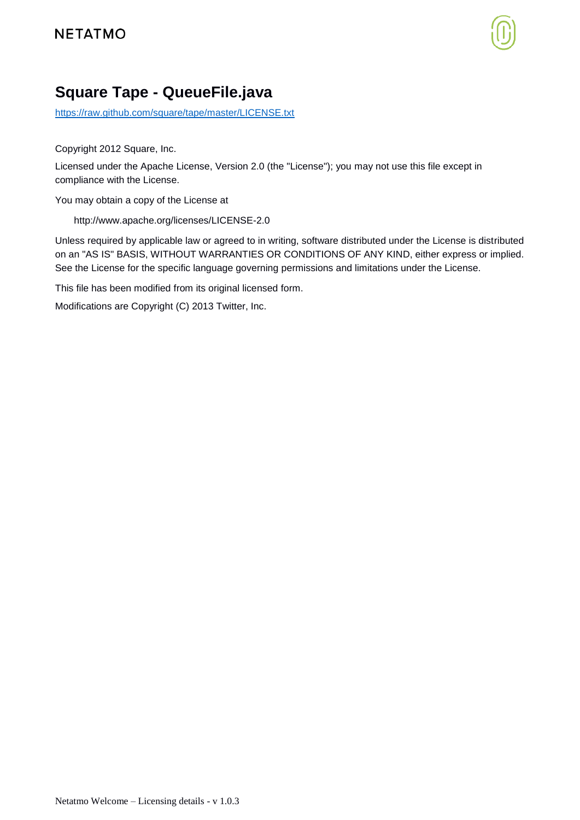

### **Square Tape - QueueFile.java**

<https://raw.github.com/square/tape/master/LICENSE.txt>

Copyright 2012 Square, Inc.

Licensed under the Apache License, Version 2.0 (the "License"); you may not use this file except in compliance with the License.

You may obtain a copy of the License at

http://www.apache.org/licenses/LICENSE-2.0

Unless required by applicable law or agreed to in writing, software distributed under the License is distributed on an "AS IS" BASIS, WITHOUT WARRANTIES OR CONDITIONS OF ANY KIND, either express or implied. See the License for the specific language governing permissions and limitations under the License.

This file has been modified from its original licensed form.

Modifications are Copyright (C) 2013 Twitter, Inc.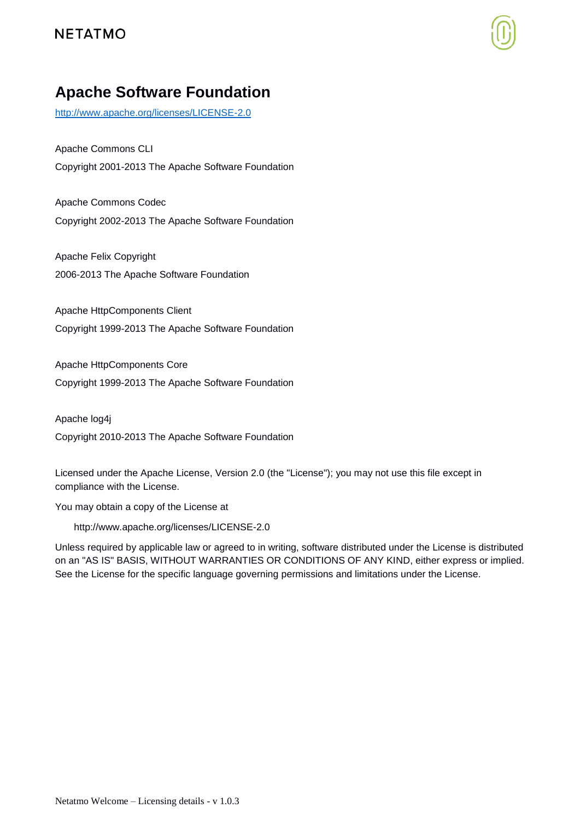

## **Apache Software Foundation**

<http://www.apache.org/licenses/LICENSE-2.0>

Apache Commons CLI Copyright 2001-2013 The Apache Software Foundation

Apache Commons Codec Copyright 2002-2013 The Apache Software Foundation

Apache Felix Copyright 2006-2013 The Apache Software Foundation

Apache HttpComponents Client Copyright 1999-2013 The Apache Software Foundation

Apache HttpComponents Core Copyright 1999-2013 The Apache Software Foundation

Apache log4j Copyright 2010-2013 The Apache Software Foundation

Licensed under the Apache License, Version 2.0 (the "License"); you may not use this file except in compliance with the License.

You may obtain a copy of the License at

http://www.apache.org/licenses/LICENSE-2.0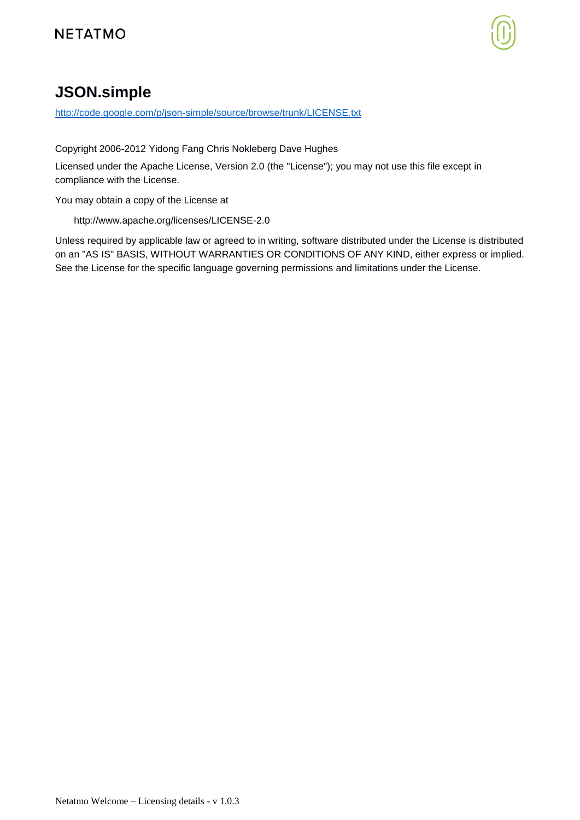

#### **JSON.simple**

<http://code.google.com/p/json-simple/source/browse/trunk/LICENSE.txt>

Copyright 2006-2012 Yidong Fang Chris Nokleberg Dave Hughes

Licensed under the Apache License, Version 2.0 (the "License"); you may not use this file except in compliance with the License.

You may obtain a copy of the License at

http://www.apache.org/licenses/LICENSE-2.0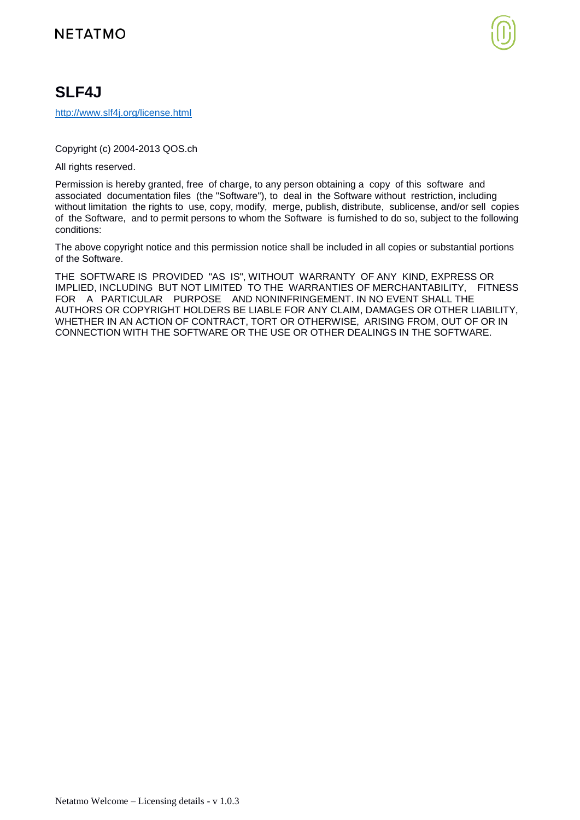

### **SLF4J**

<http://www.slf4j.org/license.html>

Copyright (c) 2004-2013 QOS.ch

All rights reserved.

Permission is hereby granted, free of charge, to any person obtaining a copy of this software and associated documentation files (the "Software"), to deal in the Software without restriction, including without limitation the rights to use, copy, modify, merge, publish, distribute, sublicense, and/or sell copies of the Software, and to permit persons to whom the Software is furnished to do so, subject to the following conditions:

The above copyright notice and this permission notice shall be included in all copies or substantial portions of the Software.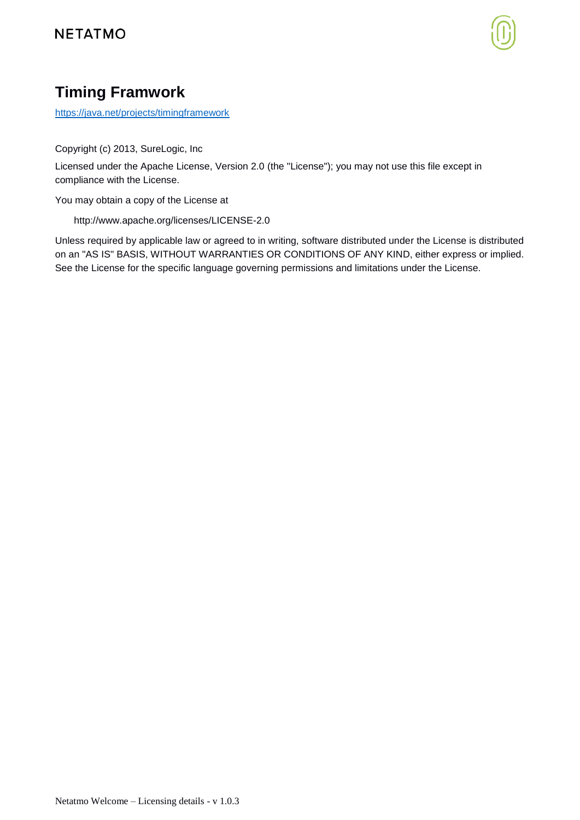

# **Timing Framwork**

<https://java.net/projects/timingframework>

Copyright (c) 2013, SureLogic, Inc

Licensed under the Apache License, Version 2.0 (the "License"); you may not use this file except in compliance with the License.

You may obtain a copy of the License at

http://www.apache.org/licenses/LICENSE-2.0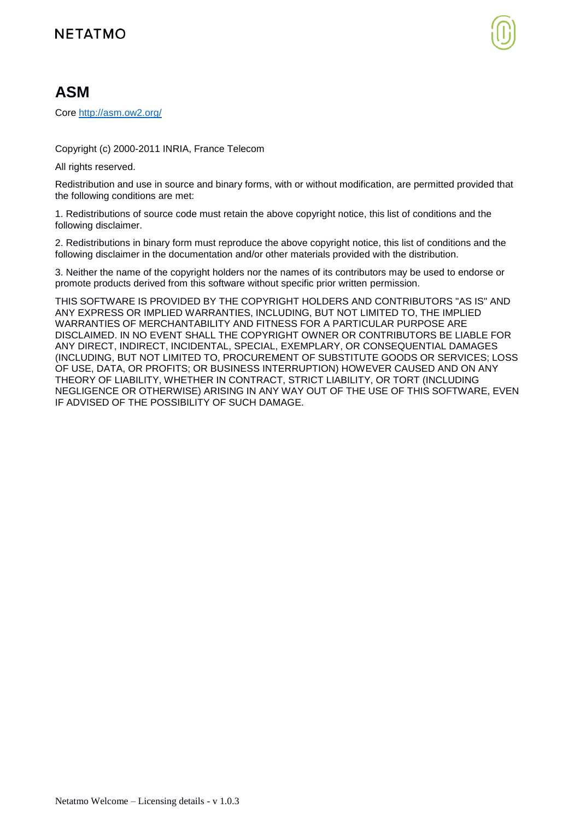

#### **ASM**

Core<http://asm.ow2.org/>

Copyright (c) 2000-2011 INRIA, France Telecom

All rights reserved.

Redistribution and use in source and binary forms, with or without modification, are permitted provided that the following conditions are met:

1. Redistributions of source code must retain the above copyright notice, this list of conditions and the following disclaimer.

2. Redistributions in binary form must reproduce the above copyright notice, this list of conditions and the following disclaimer in the documentation and/or other materials provided with the distribution.

3. Neither the name of the copyright holders nor the names of its contributors may be used to endorse or promote products derived from this software without specific prior written permission.

THIS SOFTWARE IS PROVIDED BY THE COPYRIGHT HOLDERS AND CONTRIBUTORS "AS IS" AND ANY EXPRESS OR IMPLIED WARRANTIES, INCLUDING, BUT NOT LIMITED TO, THE IMPLIED WARRANTIES OF MERCHANTABILITY AND FITNESS FOR A PARTICULAR PURPOSE ARE DISCLAIMED. IN NO EVENT SHALL THE COPYRIGHT OWNER OR CONTRIBUTORS BE LIABLE FOR ANY DIRECT, INDIRECT, INCIDENTAL, SPECIAL, EXEMPLARY, OR CONSEQUENTIAL DAMAGES (INCLUDING, BUT NOT LIMITED TO, PROCUREMENT OF SUBSTITUTE GOODS OR SERVICES; LOSS OF USE, DATA, OR PROFITS; OR BUSINESS INTERRUPTION) HOWEVER CAUSED AND ON ANY THEORY OF LIABILITY, WHETHER IN CONTRACT, STRICT LIABILITY, OR TORT (INCLUDING NEGLIGENCE OR OTHERWISE) ARISING IN ANY WAY OUT OF THE USE OF THIS SOFTWARE, EVEN IF ADVISED OF THE POSSIBILITY OF SUCH DAMAGE.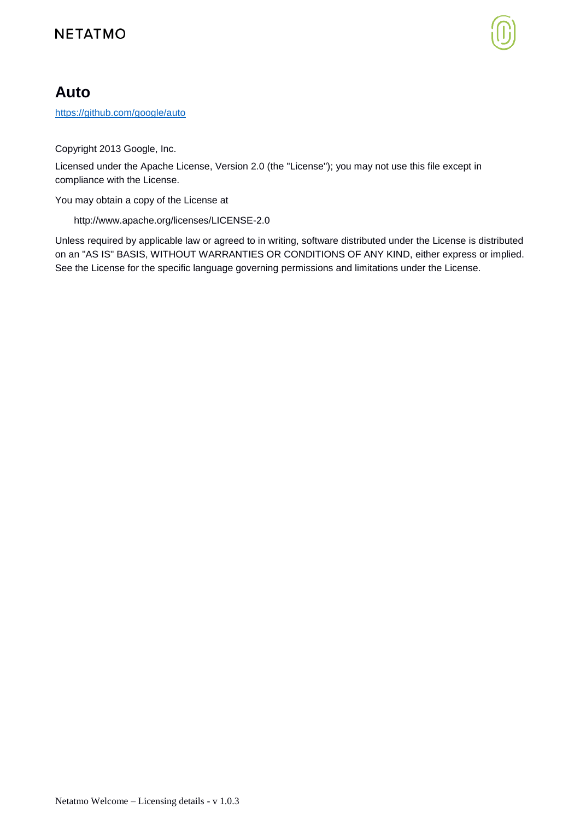

#### **Auto**

<https://github.com/google/auto>

Copyright 2013 Google, Inc.

Licensed under the Apache License, Version 2.0 (the "License"); you may not use this file except in compliance with the License.

You may obtain a copy of the License at

http://www.apache.org/licenses/LICENSE-2.0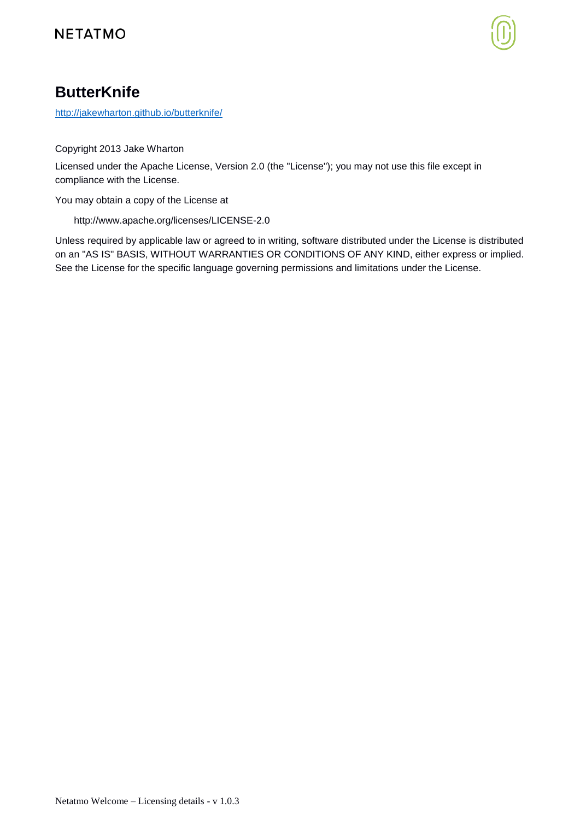

## **ButterKnife**

<http://jakewharton.github.io/butterknife/>

Copyright 2013 Jake Wharton

Licensed under the Apache License, Version 2.0 (the "License"); you may not use this file except in compliance with the License.

You may obtain a copy of the License at

http://www.apache.org/licenses/LICENSE-2.0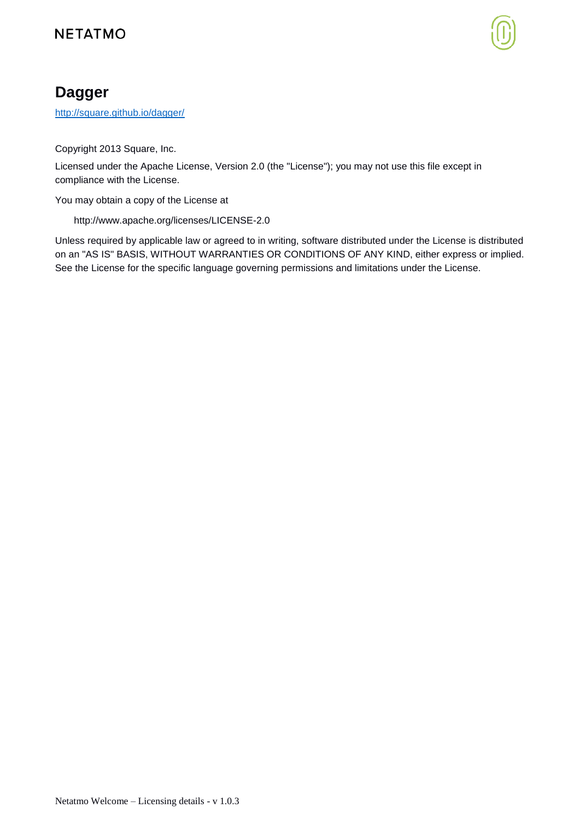

## **Dagger**

<http://square.github.io/dagger/>

Copyright 2013 Square, Inc.

Licensed under the Apache License, Version 2.0 (the "License"); you may not use this file except in compliance with the License.

You may obtain a copy of the License at

http://www.apache.org/licenses/LICENSE-2.0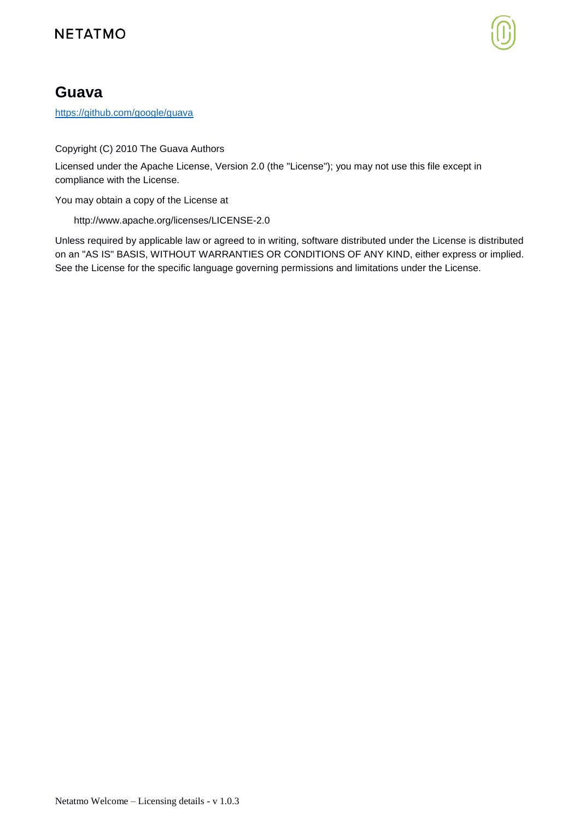

## **Guava**

<https://github.com/google/guava>

Copyright (C) 2010 The Guava Authors

Licensed under the Apache License, Version 2.0 (the "License"); you may not use this file except in compliance with the License.

You may obtain a copy of the License at

http://www.apache.org/licenses/LICENSE-2.0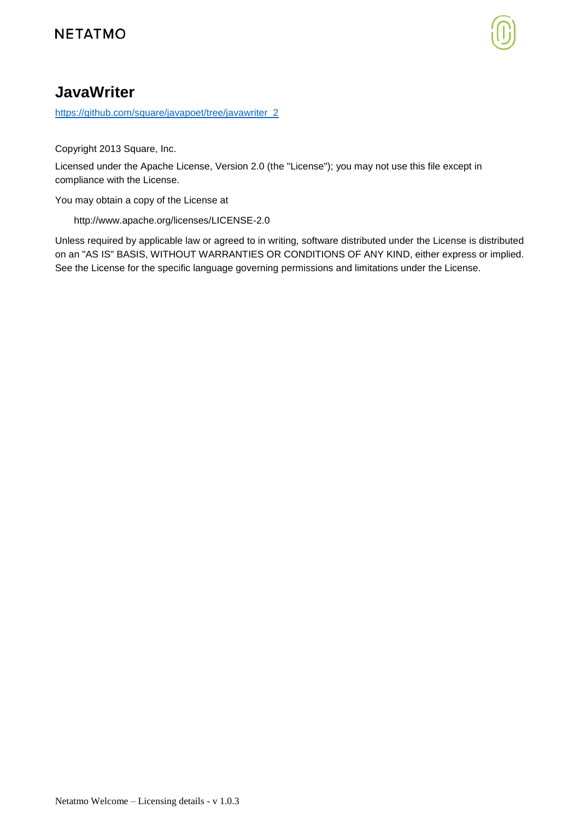

## **JavaWriter**

[https://github.com/square/javapoet/tree/javawriter\\_2](https://github.com/square/javapoet/tree/javawriter_2)

Copyright 2013 Square, Inc.

Licensed under the Apache License, Version 2.0 (the "License"); you may not use this file except in compliance with the License.

You may obtain a copy of the License at

http://www.apache.org/licenses/LICENSE-2.0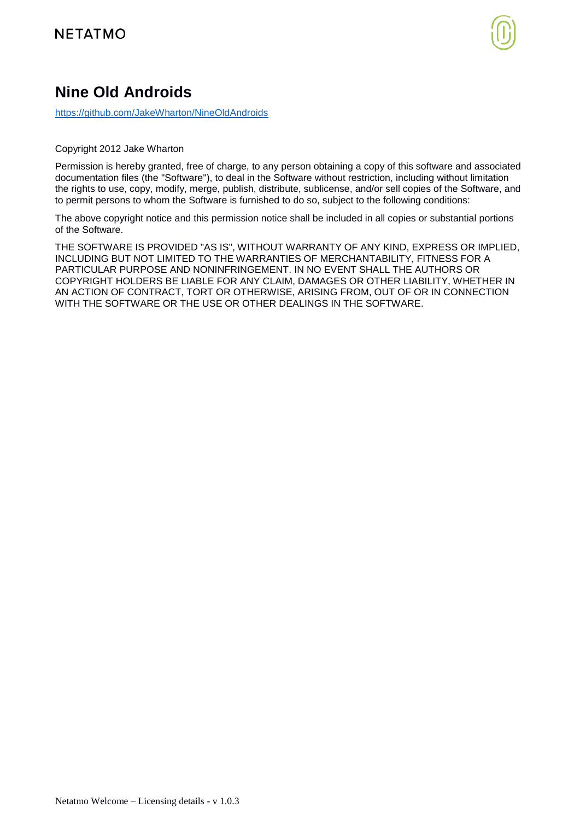

#### **Nine Old Androids**

<https://github.com/JakeWharton/NineOldAndroids>

Copyright 2012 Jake Wharton

Permission is hereby granted, free of charge, to any person obtaining a copy of this software and associated documentation files (the "Software"), to deal in the Software without restriction, including without limitation the rights to use, copy, modify, merge, publish, distribute, sublicense, and/or sell copies of the Software, and to permit persons to whom the Software is furnished to do so, subject to the following conditions:

The above copyright notice and this permission notice shall be included in all copies or substantial portions of the Software.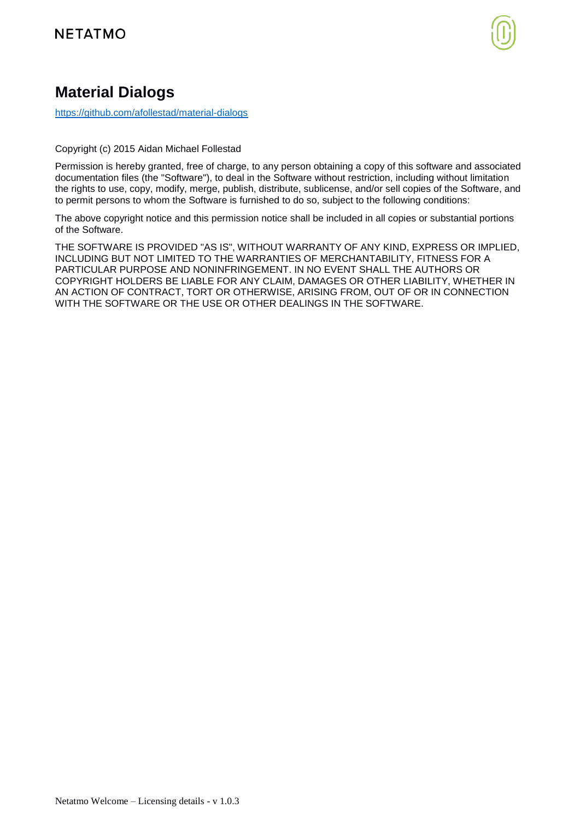# **Material Dialogs**

<https://github.com/afollestad/material-dialogs>

#### Copyright (c) 2015 Aidan Michael Follestad

Permission is hereby granted, free of charge, to any person obtaining a copy of this software and associated documentation files (the "Software"), to deal in the Software without restriction, including without limitation the rights to use, copy, modify, merge, publish, distribute, sublicense, and/or sell copies of the Software, and to permit persons to whom the Software is furnished to do so, subject to the following conditions:

The above copyright notice and this permission notice shall be included in all copies or substantial portions of the Software.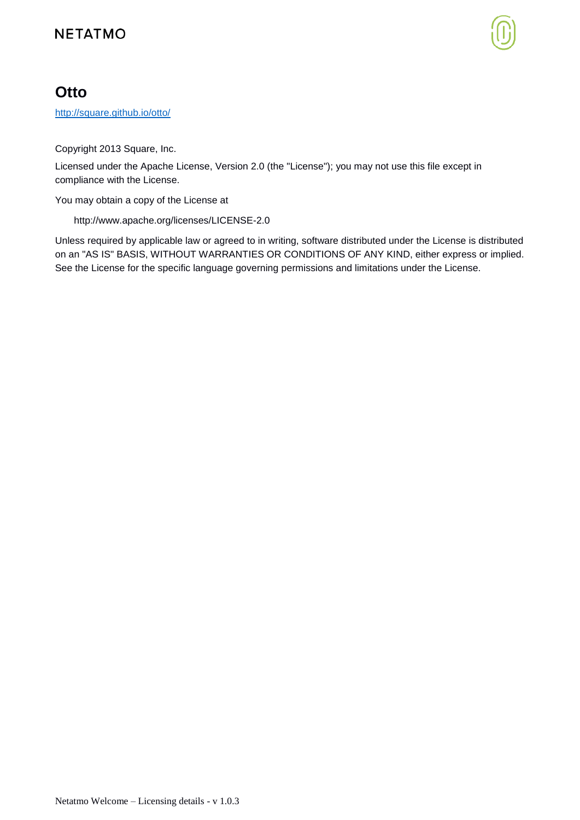

### **Otto**

<http://square.github.io/otto/>

Copyright 2013 Square, Inc.

Licensed under the Apache License, Version 2.0 (the "License"); you may not use this file except in compliance with the License.

You may obtain a copy of the License at

http://www.apache.org/licenses/LICENSE-2.0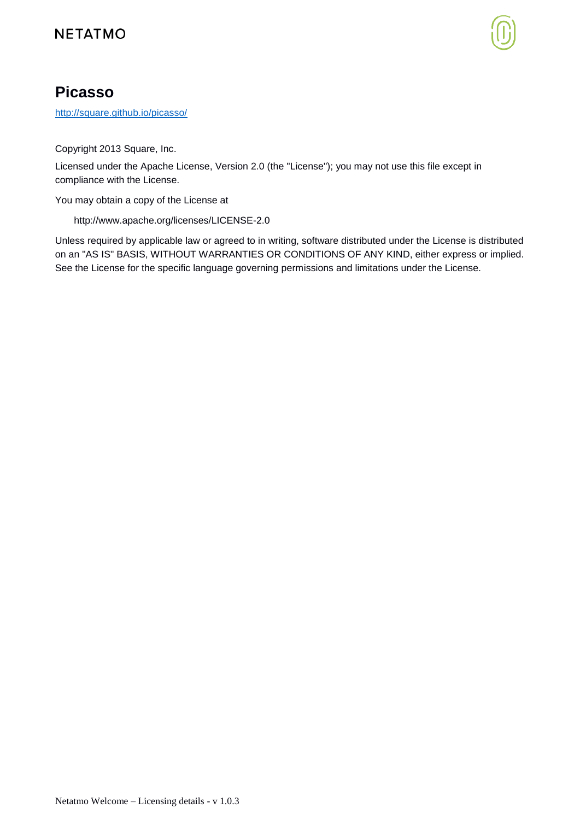

## **Picasso**

<http://square.github.io/picasso/>

Copyright 2013 Square, Inc.

Licensed under the Apache License, Version 2.0 (the "License"); you may not use this file except in compliance with the License.

You may obtain a copy of the License at

http://www.apache.org/licenses/LICENSE-2.0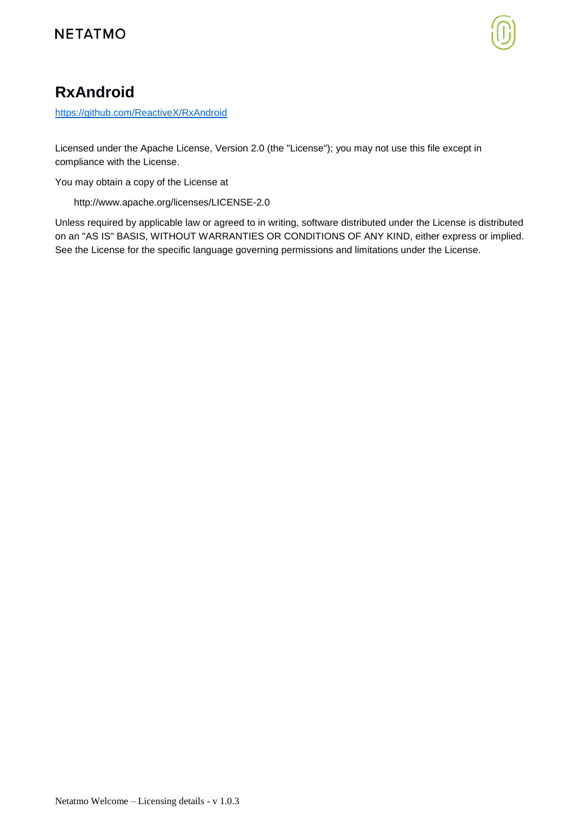

# **RxAndroid**

<https://github.com/ReactiveX/RxAndroid>

Licensed under the Apache License, Version 2.0 (the "License"); you may not use this file except in compliance with the License.

You may obtain a copy of the License at

http://www.apache.org/licenses/LICENSE-2.0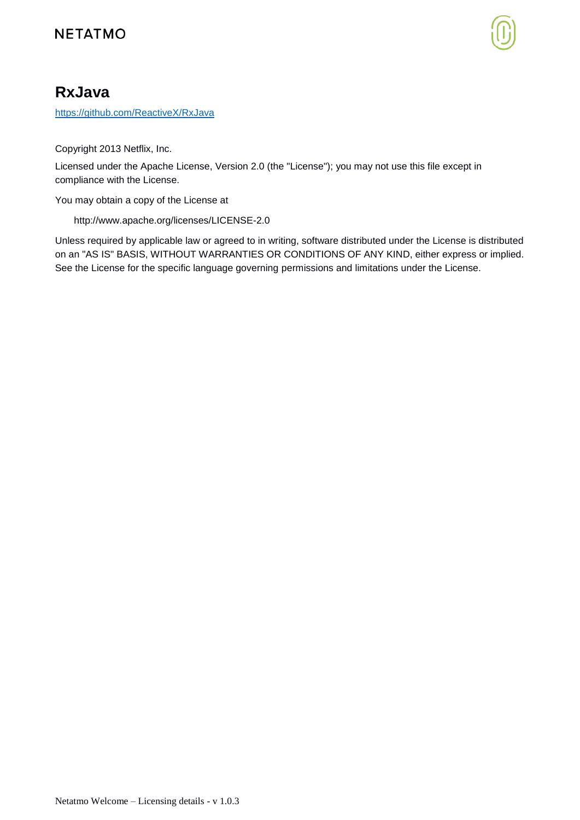

# **RxJava**

<https://github.com/ReactiveX/RxJava>

Copyright 2013 Netflix, Inc.

Licensed under the Apache License, Version 2.0 (the "License"); you may not use this file except in compliance with the License.

You may obtain a copy of the License at

http://www.apache.org/licenses/LICENSE-2.0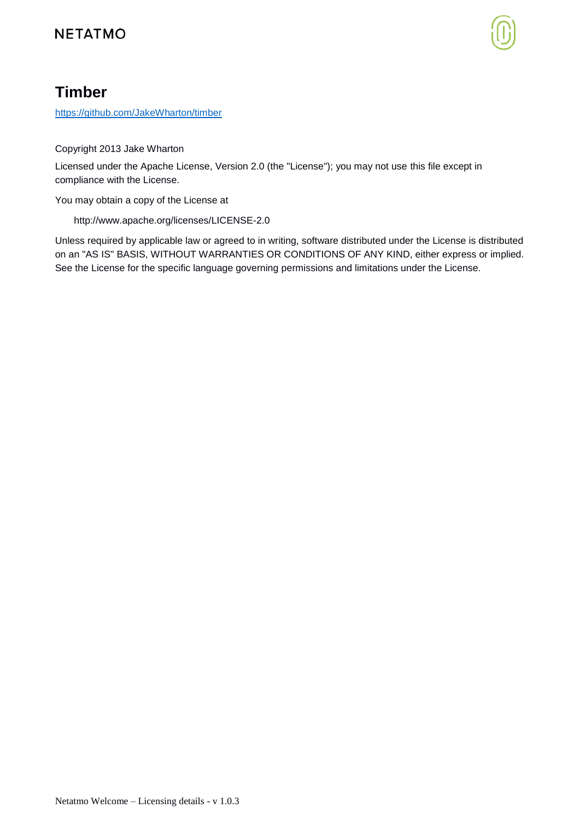

## **Timber**

<https://github.com/JakeWharton/timber>

Copyright 2013 Jake Wharton

Licensed under the Apache License, Version 2.0 (the "License"); you may not use this file except in compliance with the License.

You may obtain a copy of the License at

http://www.apache.org/licenses/LICENSE-2.0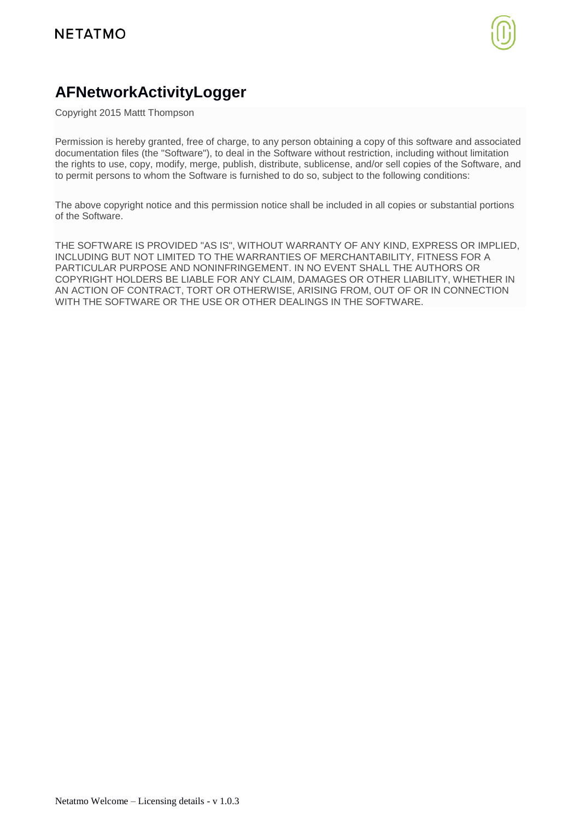

# **AFNetworkActivityLogger**

Copyright 2015 Mattt Thompson

Permission is hereby granted, free of charge, to any person obtaining a copy of this software and associated documentation files (the "Software"), to deal in the Software without restriction, including without limitation the rights to use, copy, modify, merge, publish, distribute, sublicense, and/or sell copies of the Software, and to permit persons to whom the Software is furnished to do so, subject to the following conditions:

The above copyright notice and this permission notice shall be included in all copies or substantial portions of the Software.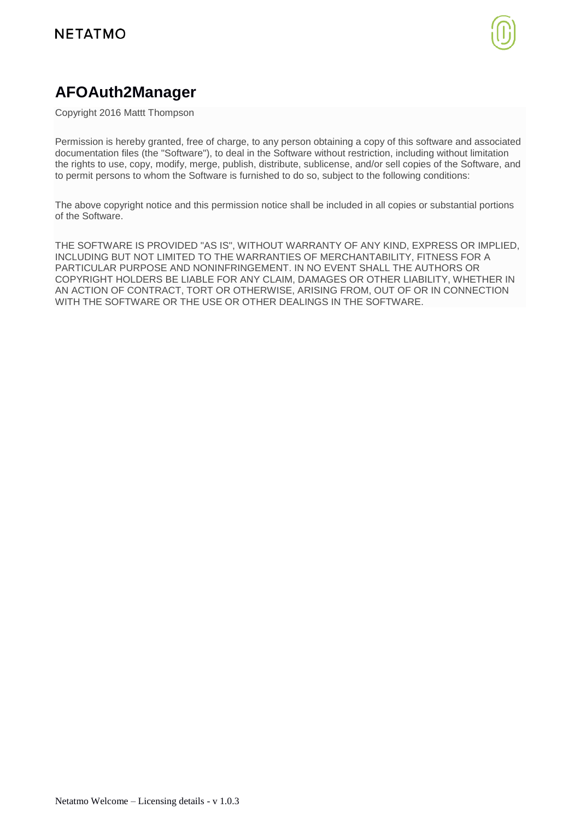## **AFOAuth2Manager**

Copyright 2016 Mattt Thompson

Permission is hereby granted, free of charge, to any person obtaining a copy of this software and associated documentation files (the "Software"), to deal in the Software without restriction, including without limitation the rights to use, copy, modify, merge, publish, distribute, sublicense, and/or sell copies of the Software, and to permit persons to whom the Software is furnished to do so, subject to the following conditions:

The above copyright notice and this permission notice shall be included in all copies or substantial portions of the Software.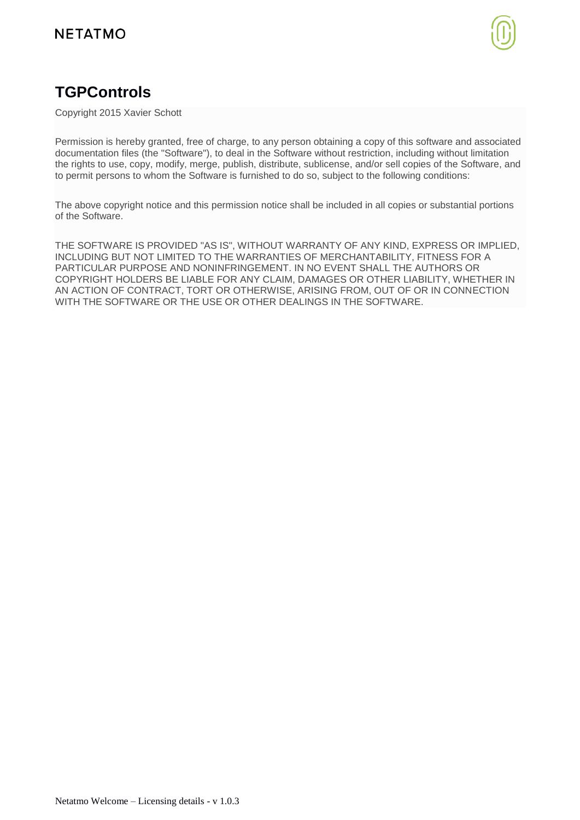

### **TGPControls**

Copyright 2015 Xavier Schott

Permission is hereby granted, free of charge, to any person obtaining a copy of this software and associated documentation files (the "Software"), to deal in the Software without restriction, including without limitation the rights to use, copy, modify, merge, publish, distribute, sublicense, and/or sell copies of the Software, and to permit persons to whom the Software is furnished to do so, subject to the following conditions:

The above copyright notice and this permission notice shall be included in all copies or substantial portions of the Software.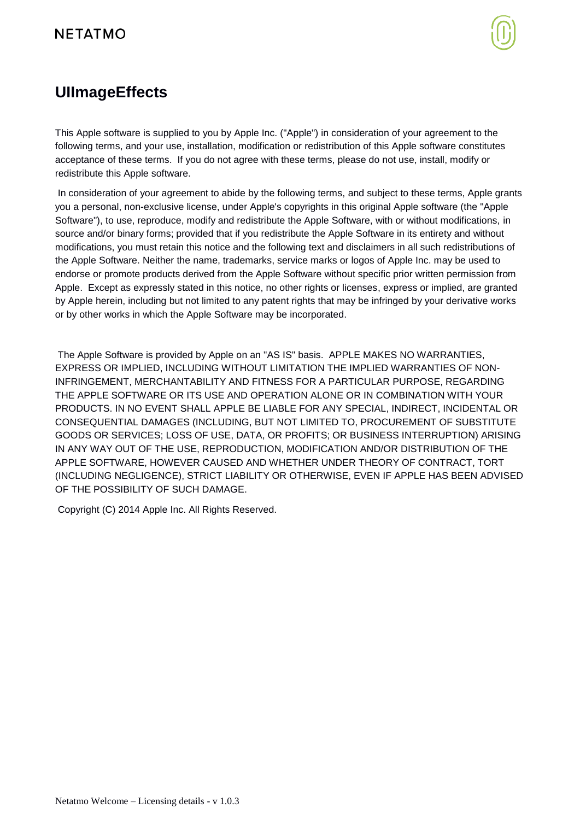#### **NETATMO**



## **UIImageEffects**

This Apple software is supplied to you by Apple Inc. ("Apple") in consideration of your agreement to the following terms, and your use, installation, modification or redistribution of this Apple software constitutes acceptance of these terms. If you do not agree with these terms, please do not use, install, modify or redistribute this Apple software.

In consideration of your agreement to abide by the following terms, and subject to these terms, Apple grants you a personal, non-exclusive license, under Apple's copyrights in this original Apple software (the "Apple Software"), to use, reproduce, modify and redistribute the Apple Software, with or without modifications, in source and/or binary forms; provided that if you redistribute the Apple Software in its entirety and without modifications, you must retain this notice and the following text and disclaimers in all such redistributions of the Apple Software. Neither the name, trademarks, service marks or logos of Apple Inc. may be used to endorse or promote products derived from the Apple Software without specific prior written permission from Apple. Except as expressly stated in this notice, no other rights or licenses, express or implied, are granted by Apple herein, including but not limited to any patent rights that may be infringed by your derivative works or by other works in which the Apple Software may be incorporated.

The Apple Software is provided by Apple on an "AS IS" basis. APPLE MAKES NO WARRANTIES, EXPRESS OR IMPLIED, INCLUDING WITHOUT LIMITATION THE IMPLIED WARRANTIES OF NON-INFRINGEMENT, MERCHANTABILITY AND FITNESS FOR A PARTICULAR PURPOSE, REGARDING THE APPLE SOFTWARE OR ITS USE AND OPERATION ALONE OR IN COMBINATION WITH YOUR PRODUCTS. IN NO EVENT SHALL APPLE BE LIABLE FOR ANY SPECIAL, INDIRECT, INCIDENTAL OR CONSEQUENTIAL DAMAGES (INCLUDING, BUT NOT LIMITED TO, PROCUREMENT OF SUBSTITUTE GOODS OR SERVICES; LOSS OF USE, DATA, OR PROFITS; OR BUSINESS INTERRUPTION) ARISING IN ANY WAY OUT OF THE USE, REPRODUCTION, MODIFICATION AND/OR DISTRIBUTION OF THE APPLE SOFTWARE, HOWEVER CAUSED AND WHETHER UNDER THEORY OF CONTRACT, TORT (INCLUDING NEGLIGENCE), STRICT LIABILITY OR OTHERWISE, EVEN IF APPLE HAS BEEN ADVISED OF THE POSSIBILITY OF SUCH DAMAGE.

Copyright (C) 2014 Apple Inc. All Rights Reserved.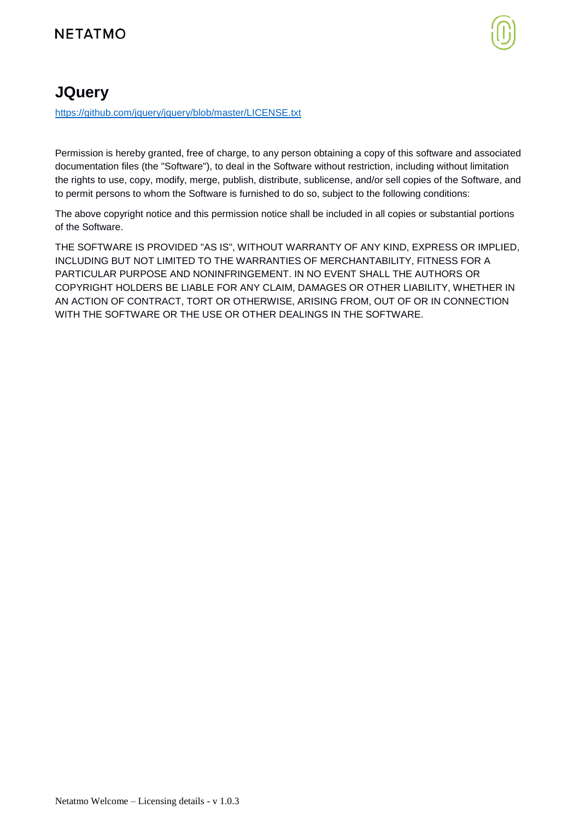

## **JQuery**

<https://github.com/jquery/jquery/blob/master/LICENSE.txt>

Permission is hereby granted, free of charge, to any person obtaining a copy of this software and associated documentation files (the "Software"), to deal in the Software without restriction, including without limitation the rights to use, copy, modify, merge, publish, distribute, sublicense, and/or sell copies of the Software, and to permit persons to whom the Software is furnished to do so, subject to the following conditions:

The above copyright notice and this permission notice shall be included in all copies or substantial portions of the Software.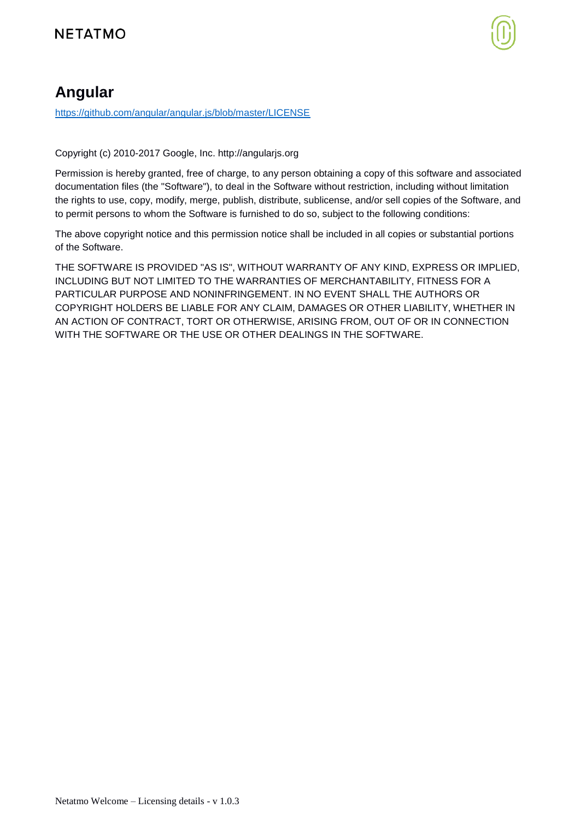

### **Angular**

<https://github.com/angular/angular.js/blob/master/LICENSE>

#### Copyright (c) 2010-2017 Google, Inc. http://angularjs.org

Permission is hereby granted, free of charge, to any person obtaining a copy of this software and associated documentation files (the "Software"), to deal in the Software without restriction, including without limitation the rights to use, copy, modify, merge, publish, distribute, sublicense, and/or sell copies of the Software, and to permit persons to whom the Software is furnished to do so, subject to the following conditions:

The above copyright notice and this permission notice shall be included in all copies or substantial portions of the Software.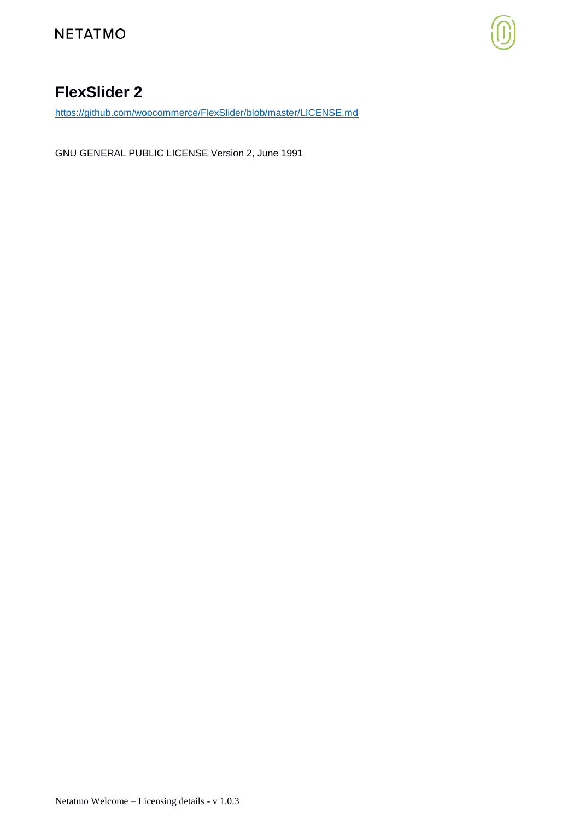

# **FlexSlider 2**

<https://github.com/woocommerce/FlexSlider/blob/master/LICENSE.md>

GNU GENERAL PUBLIC LICENSE Version 2, June 1991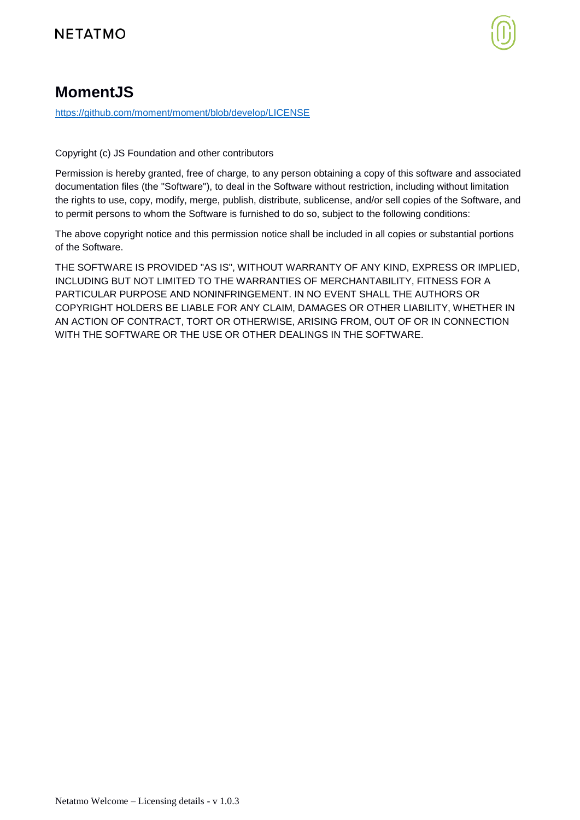

#### **MomentJS**

<https://github.com/moment/moment/blob/develop/LICENSE>

#### Copyright (c) JS Foundation and other contributors

Permission is hereby granted, free of charge, to any person obtaining a copy of this software and associated documentation files (the "Software"), to deal in the Software without restriction, including without limitation the rights to use, copy, modify, merge, publish, distribute, sublicense, and/or sell copies of the Software, and to permit persons to whom the Software is furnished to do so, subject to the following conditions:

The above copyright notice and this permission notice shall be included in all copies or substantial portions of the Software.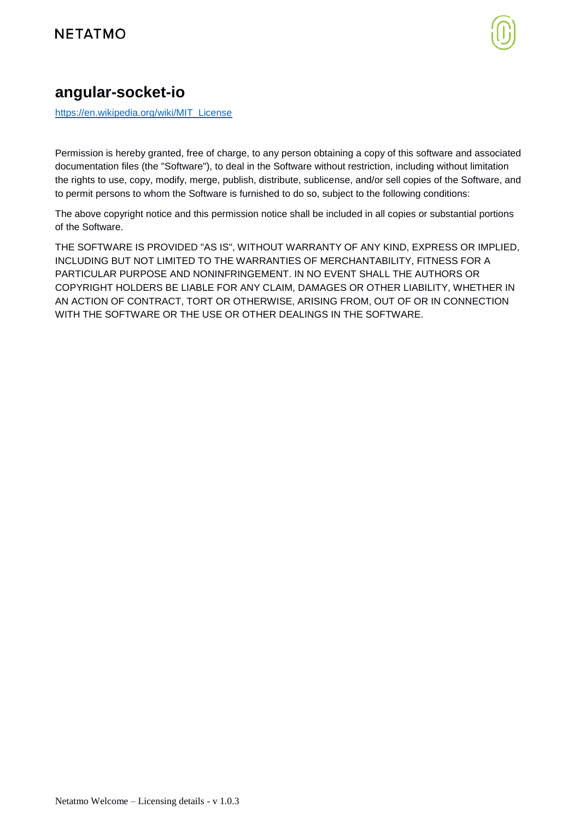## **angular-socket-io**

[https://en.wikipedia.org/wiki/MIT\\_License](https://en.wikipedia.org/wiki/MIT_License)

Permission is hereby granted, free of charge, to any person obtaining a copy of this software and associated documentation files (the "Software"), to deal in the Software without restriction, including without limitation the rights to use, copy, modify, merge, publish, distribute, sublicense, and/or sell copies of the Software, and to permit persons to whom the Software is furnished to do so, subject to the following conditions:

The above copyright notice and this permission notice shall be included in all copies or substantial portions of the Software.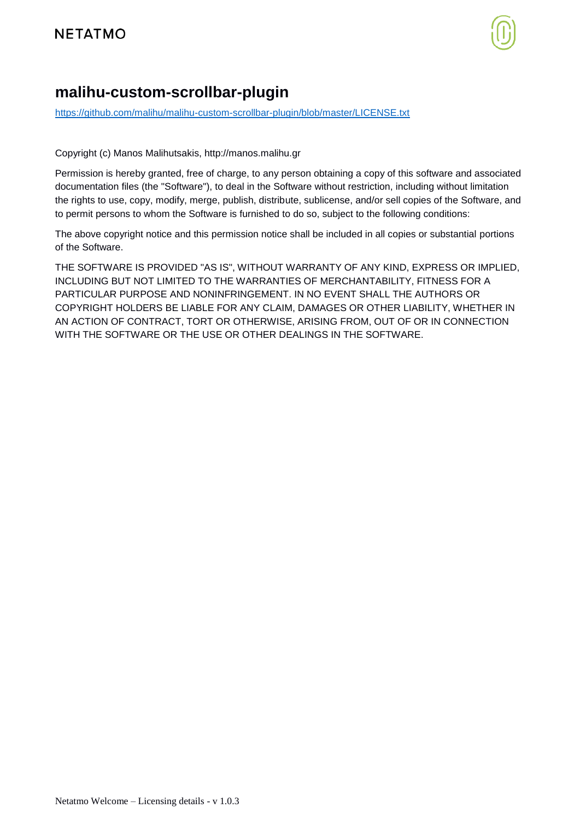

#### **malihu-custom-scrollbar-plugin**

<https://github.com/malihu/malihu-custom-scrollbar-plugin/blob/master/LICENSE.txt>

#### Copyright (c) Manos Malihutsakis, http://manos.malihu.gr

Permission is hereby granted, free of charge, to any person obtaining a copy of this software and associated documentation files (the "Software"), to deal in the Software without restriction, including without limitation the rights to use, copy, modify, merge, publish, distribute, sublicense, and/or sell copies of the Software, and to permit persons to whom the Software is furnished to do so, subject to the following conditions:

The above copyright notice and this permission notice shall be included in all copies or substantial portions of the Software.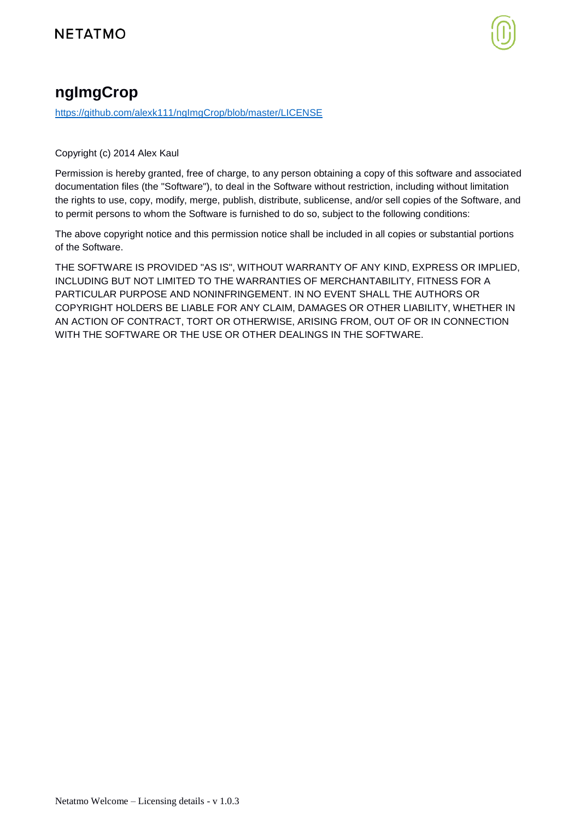

## **ngImgCrop**

<https://github.com/alexk111/ngImgCrop/blob/master/LICENSE>

Copyright (c) 2014 Alex Kaul

Permission is hereby granted, free of charge, to any person obtaining a copy of this software and associated documentation files (the "Software"), to deal in the Software without restriction, including without limitation the rights to use, copy, modify, merge, publish, distribute, sublicense, and/or sell copies of the Software, and to permit persons to whom the Software is furnished to do so, subject to the following conditions:

The above copyright notice and this permission notice shall be included in all copies or substantial portions of the Software.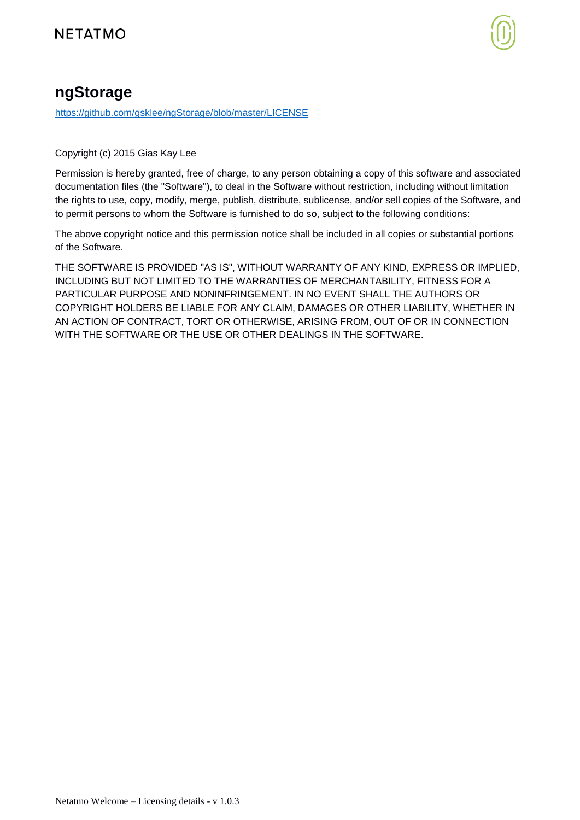

## **ngStorage**

<https://github.com/gsklee/ngStorage/blob/master/LICENSE>

Copyright (c) 2015 Gias Kay Lee

Permission is hereby granted, free of charge, to any person obtaining a copy of this software and associated documentation files (the "Software"), to deal in the Software without restriction, including without limitation the rights to use, copy, modify, merge, publish, distribute, sublicense, and/or sell copies of the Software, and to permit persons to whom the Software is furnished to do so, subject to the following conditions:

The above copyright notice and this permission notice shall be included in all copies or substantial portions of the Software.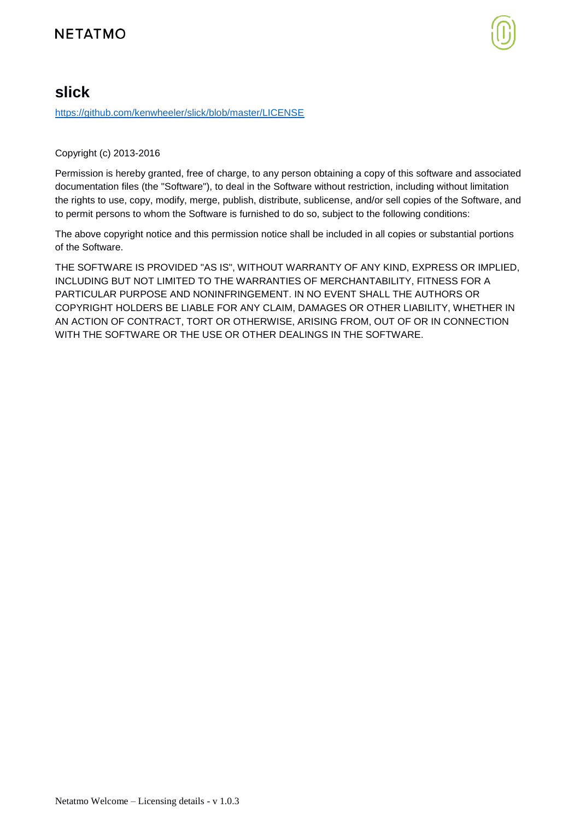

#### **slick**

<https://github.com/kenwheeler/slick/blob/master/LICENSE>

Copyright (c) 2013-2016

Permission is hereby granted, free of charge, to any person obtaining a copy of this software and associated documentation files (the "Software"), to deal in the Software without restriction, including without limitation the rights to use, copy, modify, merge, publish, distribute, sublicense, and/or sell copies of the Software, and to permit persons to whom the Software is furnished to do so, subject to the following conditions:

The above copyright notice and this permission notice shall be included in all copies or substantial portions of the Software.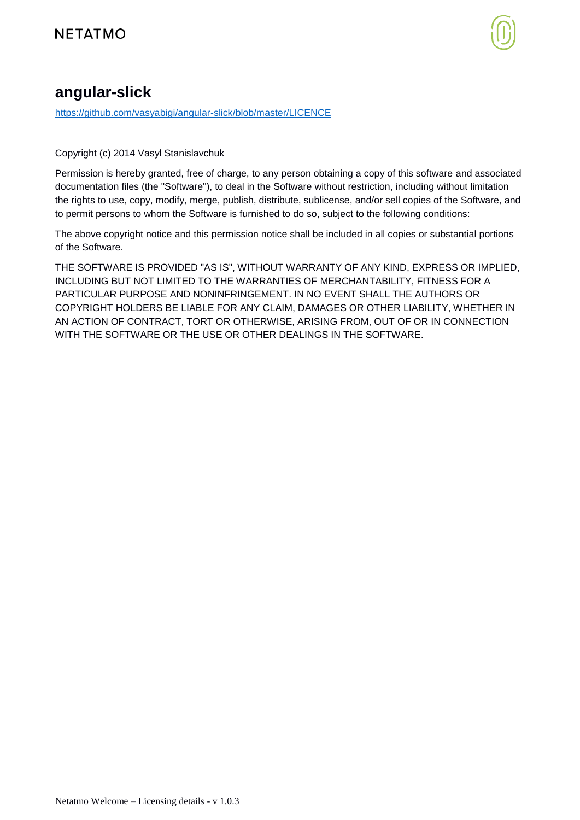

### **angular-slick**

<https://github.com/vasyabigi/angular-slick/blob/master/LICENCE>

Copyright (c) 2014 Vasyl Stanislavchuk

Permission is hereby granted, free of charge, to any person obtaining a copy of this software and associated documentation files (the "Software"), to deal in the Software without restriction, including without limitation the rights to use, copy, modify, merge, publish, distribute, sublicense, and/or sell copies of the Software, and to permit persons to whom the Software is furnished to do so, subject to the following conditions:

The above copyright notice and this permission notice shall be included in all copies or substantial portions of the Software.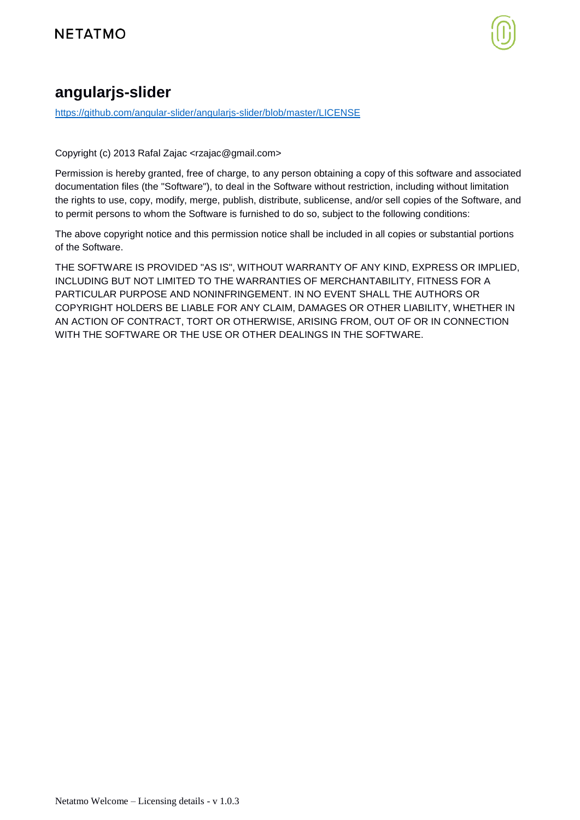

## **angularjs-slider**

<https://github.com/angular-slider/angularjs-slider/blob/master/LICENSE>

#### Copyright (c) 2013 Rafal Zajac <rzajac@gmail.com>

Permission is hereby granted, free of charge, to any person obtaining a copy of this software and associated documentation files (the "Software"), to deal in the Software without restriction, including without limitation the rights to use, copy, modify, merge, publish, distribute, sublicense, and/or sell copies of the Software, and to permit persons to whom the Software is furnished to do so, subject to the following conditions:

The above copyright notice and this permission notice shall be included in all copies or substantial portions of the Software.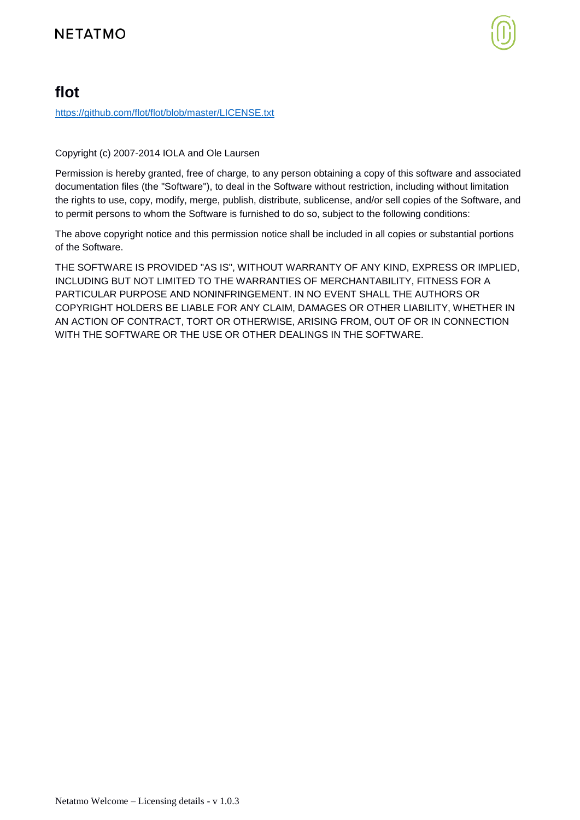

#### **flot**

<https://github.com/flot/flot/blob/master/LICENSE.txt>

#### Copyright (c) 2007-2014 IOLA and Ole Laursen

Permission is hereby granted, free of charge, to any person obtaining a copy of this software and associated documentation files (the "Software"), to deal in the Software without restriction, including without limitation the rights to use, copy, modify, merge, publish, distribute, sublicense, and/or sell copies of the Software, and to permit persons to whom the Software is furnished to do so, subject to the following conditions:

The above copyright notice and this permission notice shall be included in all copies or substantial portions of the Software.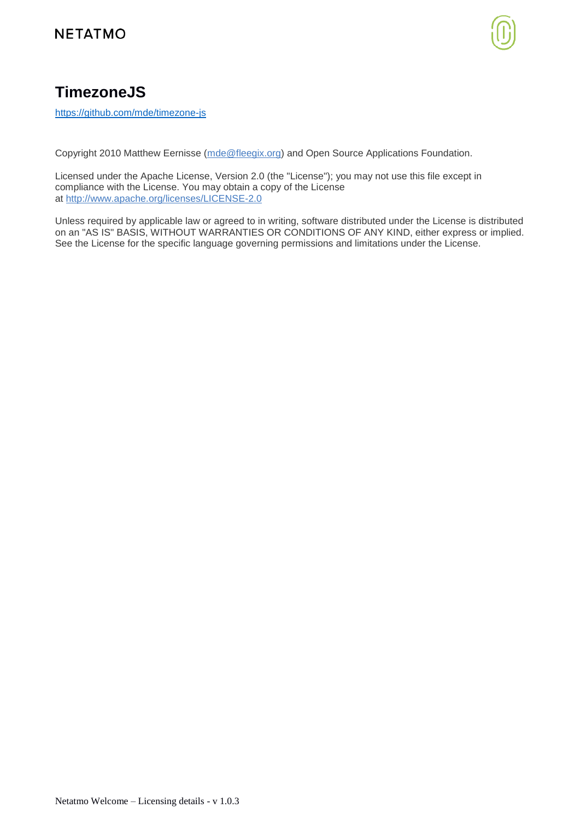# **TimezoneJS**

<https://github.com/mde/timezone-js>

Copyright 2010 Matthew Eernisse [\(mde@fleegix.org\)](mailto:mde@fleegix.org) and Open Source Applications Foundation.

Licensed under the Apache License, Version 2.0 (the "License"); you may not use this file except in compliance with the License. You may obtain a copy of the License at <http://www.apache.org/licenses/LICENSE-2.0>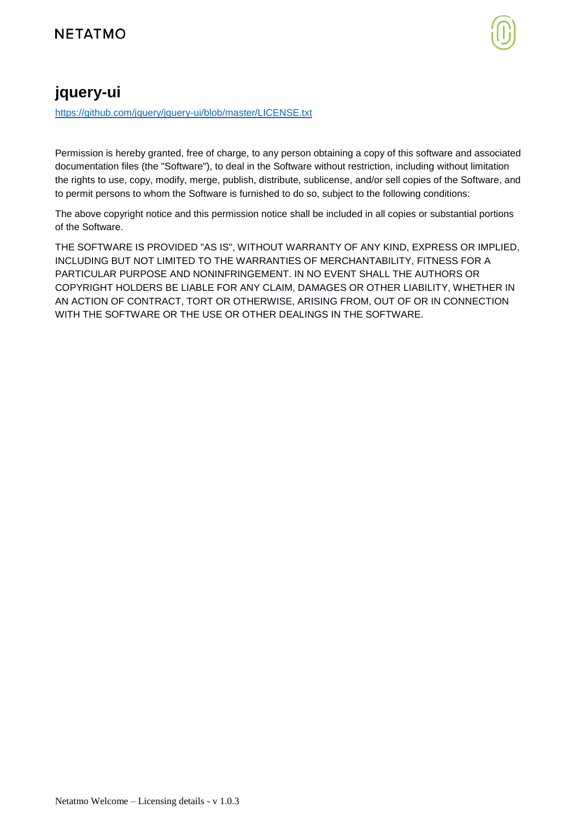

# **jquery-ui**

<https://github.com/jquery/jquery-ui/blob/master/LICENSE.txt>

Permission is hereby granted, free of charge, to any person obtaining a copy of this software and associated documentation files (the "Software"), to deal in the Software without restriction, including without limitation the rights to use, copy, modify, merge, publish, distribute, sublicense, and/or sell copies of the Software, and to permit persons to whom the Software is furnished to do so, subject to the following conditions:

The above copyright notice and this permission notice shall be included in all copies or substantial portions of the Software.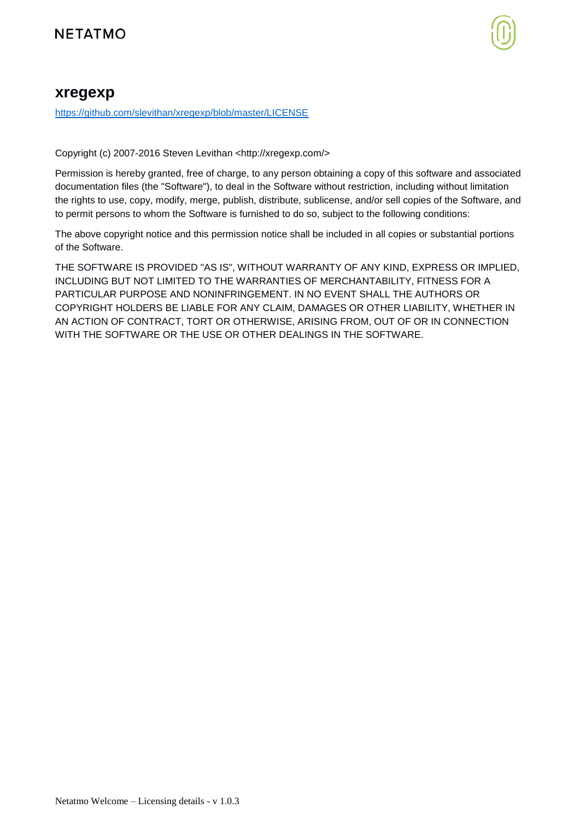

#### **xregexp**

<https://github.com/slevithan/xregexp/blob/master/LICENSE>

Copyright (c) 2007-2016 Steven Levithan <http://xregexp.com/>

Permission is hereby granted, free of charge, to any person obtaining a copy of this software and associated documentation files (the "Software"), to deal in the Software without restriction, including without limitation the rights to use, copy, modify, merge, publish, distribute, sublicense, and/or sell copies of the Software, and to permit persons to whom the Software is furnished to do so, subject to the following conditions:

The above copyright notice and this permission notice shall be included in all copies or substantial portions of the Software.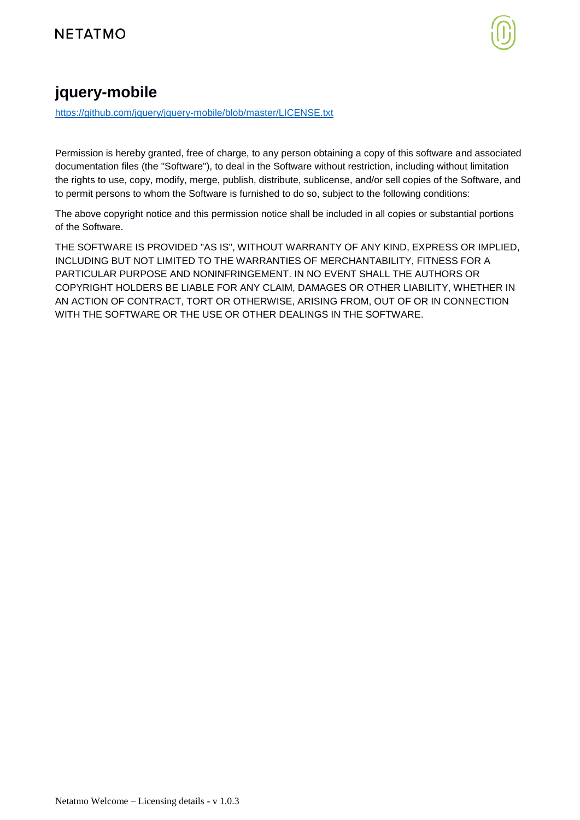

### **jquery-mobile**

<https://github.com/jquery/jquery-mobile/blob/master/LICENSE.txt>

Permission is hereby granted, free of charge, to any person obtaining a copy of this software and associated documentation files (the "Software"), to deal in the Software without restriction, including without limitation the rights to use, copy, modify, merge, publish, distribute, sublicense, and/or sell copies of the Software, and to permit persons to whom the Software is furnished to do so, subject to the following conditions:

The above copyright notice and this permission notice shall be included in all copies or substantial portions of the Software.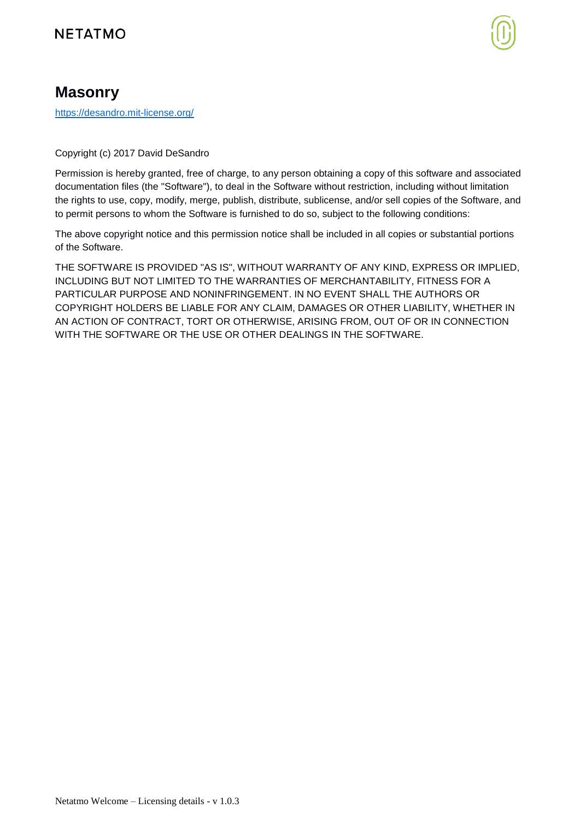

## **Masonry**

<https://desandro.mit-license.org/>

Copyright (c) 2017 David DeSandro

Permission is hereby granted, free of charge, to any person obtaining a copy of this software and associated documentation files (the "Software"), to deal in the Software without restriction, including without limitation the rights to use, copy, modify, merge, publish, distribute, sublicense, and/or sell copies of the Software, and to permit persons to whom the Software is furnished to do so, subject to the following conditions:

The above copyright notice and this permission notice shall be included in all copies or substantial portions of the Software.

THE SOFTWARE IS PROVIDED "AS IS", WITHOUT WARRANTY OF ANY KIND, EXPRESS OR IMPLIED, INCLUDING BUT NOT LIMITED TO THE WARRANTIES OF MERCHANTABILITY, FITNESS FOR A PARTICULAR PURPOSE AND NONINFRINGEMENT. IN NO EVENT SHALL THE AUTHORS OR COPYRIGHT HOLDERS BE LIABLE FOR ANY CLAIM, DAMAGES OR OTHER LIABILITY, WHETHER IN AN ACTION OF CONTRACT, TORT OR OTHERWISE, ARISING FROM, OUT OF OR IN CONNECTION WITH THE SOFTWARE OR THE USE OR OTHER DEALINGS IN THE SOFTWARE.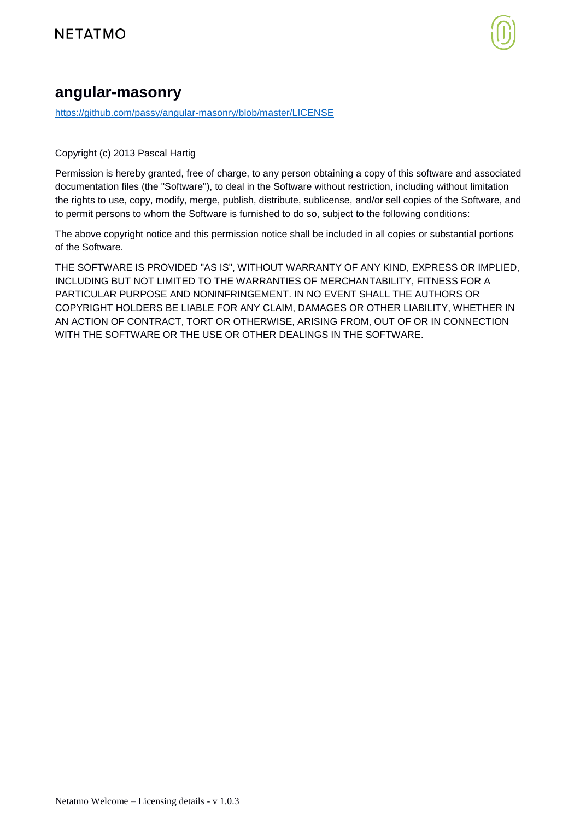

### **angular-masonry**

<https://github.com/passy/angular-masonry/blob/master/LICENSE>

#### Copyright (c) 2013 Pascal Hartig

Permission is hereby granted, free of charge, to any person obtaining a copy of this software and associated documentation files (the "Software"), to deal in the Software without restriction, including without limitation the rights to use, copy, modify, merge, publish, distribute, sublicense, and/or sell copies of the Software, and to permit persons to whom the Software is furnished to do so, subject to the following conditions:

The above copyright notice and this permission notice shall be included in all copies or substantial portions of the Software.

THE SOFTWARE IS PROVIDED "AS IS", WITHOUT WARRANTY OF ANY KIND, EXPRESS OR IMPLIED, INCLUDING BUT NOT LIMITED TO THE WARRANTIES OF MERCHANTABILITY, FITNESS FOR A PARTICULAR PURPOSE AND NONINFRINGEMENT. IN NO EVENT SHALL THE AUTHORS OR COPYRIGHT HOLDERS BE LIABLE FOR ANY CLAIM, DAMAGES OR OTHER LIABILITY, WHETHER IN AN ACTION OF CONTRACT, TORT OR OTHERWISE, ARISING FROM, OUT OF OR IN CONNECTION WITH THE SOFTWARE OR THE USE OR OTHER DEALINGS IN THE SOFTWARE.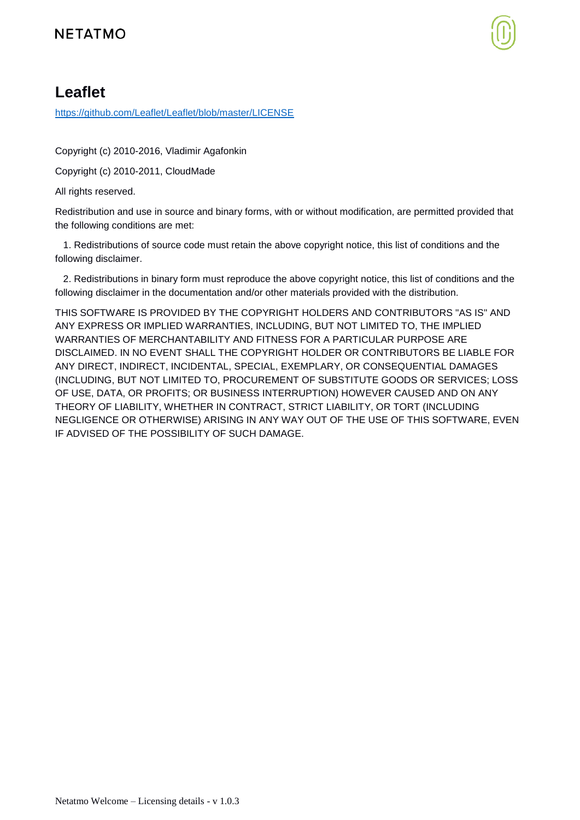

## **Leaflet**

<https://github.com/Leaflet/Leaflet/blob/master/LICENSE>

Copyright (c) 2010-2016, Vladimir Agafonkin

Copyright (c) 2010-2011, CloudMade

All rights reserved.

Redistribution and use in source and binary forms, with or without modification, are permitted provided that the following conditions are met:

 1. Redistributions of source code must retain the above copyright notice, this list of conditions and the following disclaimer.

 2. Redistributions in binary form must reproduce the above copyright notice, this list of conditions and the following disclaimer in the documentation and/or other materials provided with the distribution.

THIS SOFTWARE IS PROVIDED BY THE COPYRIGHT HOLDERS AND CONTRIBUTORS "AS IS" AND ANY EXPRESS OR IMPLIED WARRANTIES, INCLUDING, BUT NOT LIMITED TO, THE IMPLIED WARRANTIES OF MERCHANTABILITY AND FITNESS FOR A PARTICULAR PURPOSE ARE DISCLAIMED. IN NO EVENT SHALL THE COPYRIGHT HOLDER OR CONTRIBUTORS BE LIABLE FOR ANY DIRECT, INDIRECT, INCIDENTAL, SPECIAL, EXEMPLARY, OR CONSEQUENTIAL DAMAGES (INCLUDING, BUT NOT LIMITED TO, PROCUREMENT OF SUBSTITUTE GOODS OR SERVICES; LOSS OF USE, DATA, OR PROFITS; OR BUSINESS INTERRUPTION) HOWEVER CAUSED AND ON ANY THEORY OF LIABILITY, WHETHER IN CONTRACT, STRICT LIABILITY, OR TORT (INCLUDING NEGLIGENCE OR OTHERWISE) ARISING IN ANY WAY OUT OF THE USE OF THIS SOFTWARE, EVEN IF ADVISED OF THE POSSIBILITY OF SUCH DAMAGE.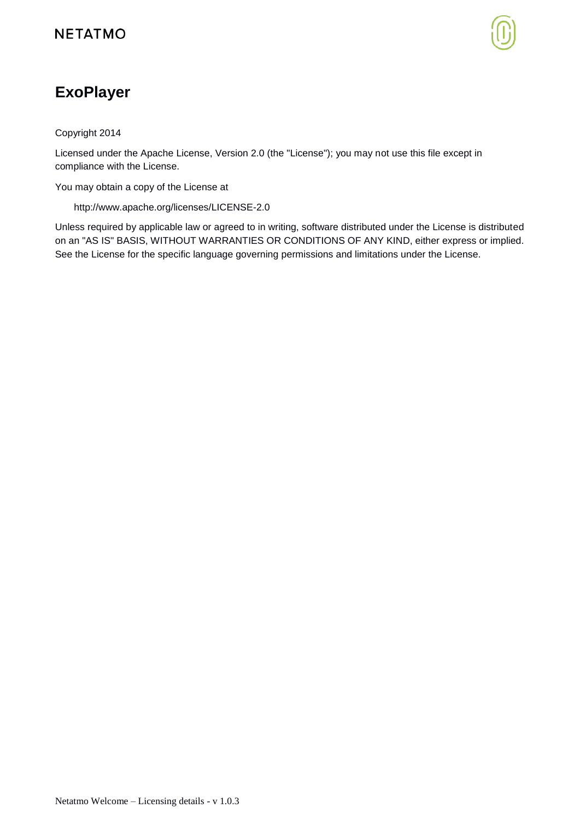

# **ExoPlayer**

Copyright 2014

Licensed under the Apache License, Version 2.0 (the "License"); you may not use this file except in compliance with the License.

You may obtain a copy of the License at

http://www.apache.org/licenses/LICENSE-2.0

Unless required by applicable law or agreed to in writing, software distributed under the License is distributed on an "AS IS" BASIS, WITHOUT WARRANTIES OR CONDITIONS OF ANY KIND, either express or implied. See the License for the specific language governing permissions and limitations under the License.